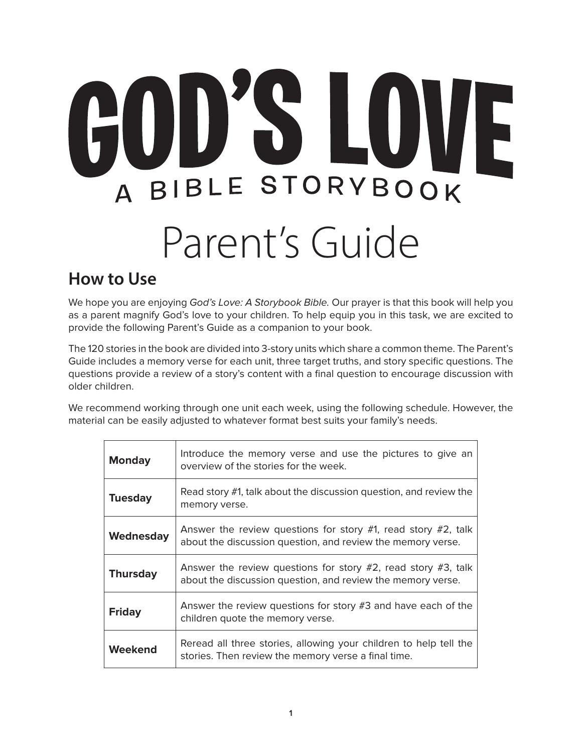# GOD'S LOVE A BIBLE STORYBOOK Parent's Guide

### **How to Use**

We hope you are enjoying God's Love: A Storybook Bible. Our prayer is that this book will help you as a parent magnify God's love to your children. To help equip you in this task, we are excited to provide the following Parent's Guide as a companion to your book.

The 120 stories in the book are divided into 3-story units which share a common theme. The Parent's Guide includes a memory verse for each unit, three target truths, and story specific questions. The questions provide a review of a story's content with a final question to encourage discussion with older children.

We recommend working through one unit each week, using the following schedule. However, the material can be easily adjusted to whatever format best suits your family's needs.

| <b>Monday</b>   | Introduce the memory verse and use the pictures to give an<br>overview of the stories for the week.                                |
|-----------------|------------------------------------------------------------------------------------------------------------------------------------|
| <b>Tuesday</b>  | Read story #1, talk about the discussion question, and review the<br>memory verse.                                                 |
| Wednesday       | Answer the review questions for story $#1$ , read story $#2$ , talk<br>about the discussion question, and review the memory verse. |
| <b>Thursday</b> | Answer the review questions for story $#2$ , read story $#3$ , talk<br>about the discussion question, and review the memory verse. |
| <b>Friday</b>   | Answer the review questions for story #3 and have each of the<br>children quote the memory verse.                                  |
| Weekend         | Reread all three stories, allowing your children to help tell the<br>stories. Then review the memory verse a final time.           |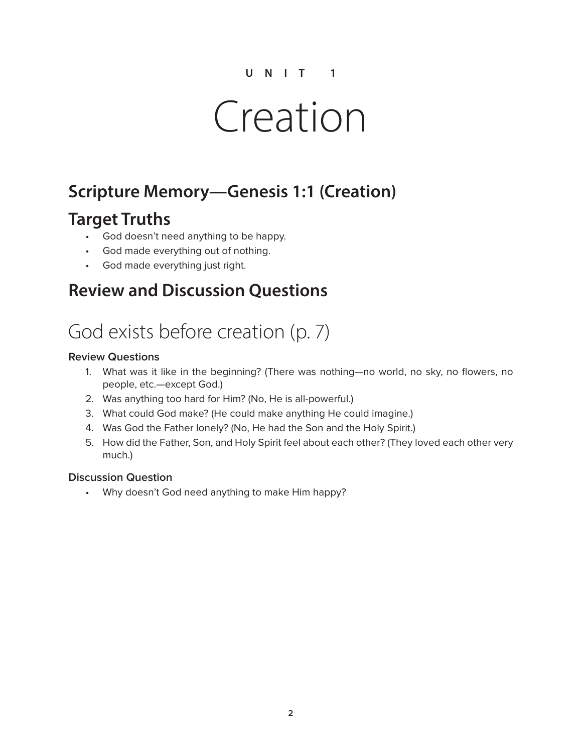# Creation

## **Scripture Memory—Genesis 1:1 (Creation)**

### **Target Truths**

- God doesn't need anything to be happy.
- God made everything out of nothing.
- God made everything just right.

### **Review and Discussion Questions**

# God exists before creation (p. 7)

#### **Review Questions**

- 1. What was it like in the beginning? (There was nothing—no world, no sky, no flowers, no people, etc.—except God.)
- 2. Was anything too hard for Him? (No, He is all-powerful.)
- 3. What could God make? (He could make anything He could imagine.)
- 4. Was God the Father lonely? (No, He had the Son and the Holy Spirit.)
- 5. How did the Father, Son, and Holy Spirit feel about each other? (They loved each other very much.)

#### **Discussion Question**

• Why doesn't God need anything to make Him happy?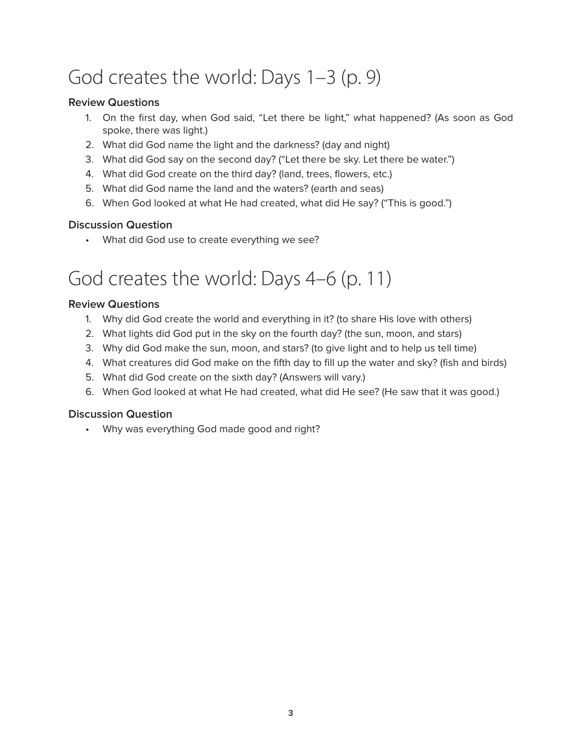# God creates the world: Days 1–3 (p. 9)

### **Review Questions**

- 1. On the first day, when God said, "Let there be light," what happened? (As soon as God spoke, there was light.)
- 2. What did God name the light and the darkness? (day and night)
- 3. What did God say on the second day? ("Let there be sky. Let there be water.")
- 4. What did God create on the third day? (land, trees, flowers, etc.)
- 5. What did God name the land and the waters? (earth and seas)
- 6. When God looked at what He had created, what did He say? ("This is good.")

### **Discussion Question**

• What did God use to create everything we see?

# God creates the world: Days 4–6 (p. 11)

#### **Review Questions**

- 1. Why did God create the world and everything in it? (to share His love with others)
- 2. What lights did God put in the sky on the fourth day? (the sun, moon, and stars)
- 3. Why did God make the sun, moon, and stars? (to give light and to help us tell time)
- 4. What creatures did God make on the fifth day to fill up the water and sky? (fish and birds)
- 5. What did God create on the sixth day? (Answers will vary.)
- 6. When God looked at what He had created, what did He see? (He saw that it was good.)

#### **Discussion Question**

• Why was everything God made good and right?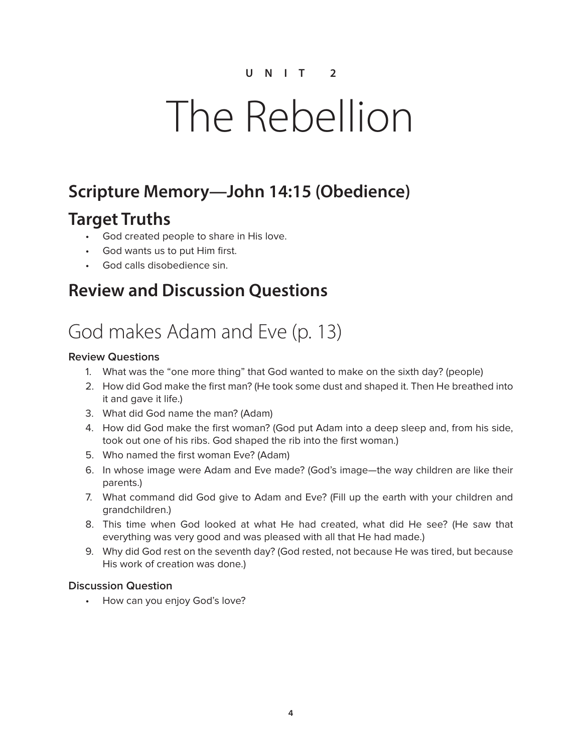# The Rebellion

## **Scripture Memory—John 14:15 (Obedience)**

### **Target Truths**

- God created people to share in His love.
- God wants us to put Him first.
- God calls disobedience sin.

### **Review and Discussion Questions**

# God makes Adam and Eve (p. 13)

### **Review Questions**

- 1. What was the "one more thing" that God wanted to make on the sixth day? (people)
- 2. How did God make the first man? (He took some dust and shaped it. Then He breathed into it and gave it life.)
- 3. What did God name the man? (Adam)
- 4. How did God make the first woman? (God put Adam into a deep sleep and, from his side, took out one of his ribs. God shaped the rib into the first woman.)
- 5. Who named the first woman Eve? (Adam)
- 6. In whose image were Adam and Eve made? (God's image—the way children are like their parents.)
- 7. What command did God give to Adam and Eve? (Fill up the earth with your children and grandchildren.)
- 8. This time when God looked at what He had created, what did He see? (He saw that everything was very good and was pleased with all that He had made.)
- 9. Why did God rest on the seventh day? (God rested, not because He was tired, but because His work of creation was done.)

### **Discussion Question**

• How can you enjoy God's love?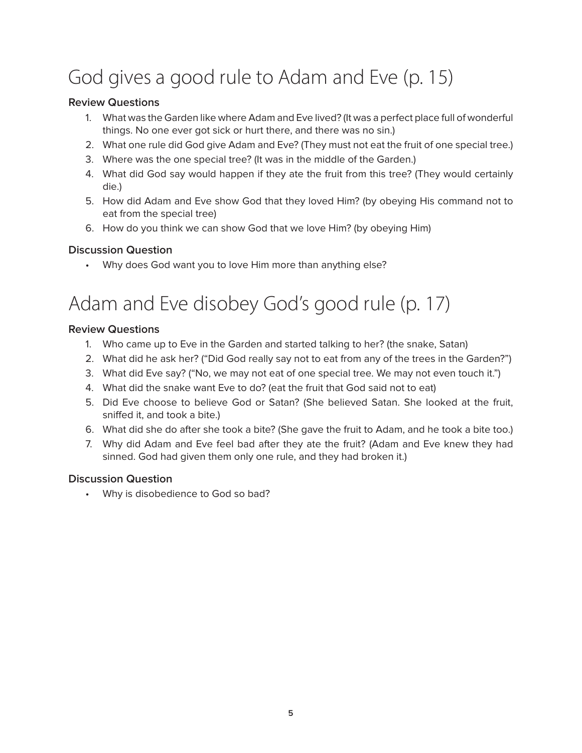# God gives a good rule to Adam and Eve (p. 15)

### **Review Questions**

- 1. What was the Garden like where Adam and Eve lived? (It was a perfect place full of wonderful things. No one ever got sick or hurt there, and there was no sin.)
- 2. What one rule did God give Adam and Eve? (They must not eat the fruit of one special tree.)
- 3. Where was the one special tree? (It was in the middle of the Garden.)
- 4. What did God say would happen if they ate the fruit from this tree? (They would certainly die.)
- 5. How did Adam and Eve show God that they loved Him? (by obeying His command not to eat from the special tree)
- 6. How do you think we can show God that we love Him? (by obeying Him)

### **Discussion Question**

• Why does God want you to love Him more than anything else?

## Adam and Eve disobey God's good rule (p. 17)

### **Review Questions**

- 1. Who came up to Eve in the Garden and started talking to her? (the snake, Satan)
- 2. What did he ask her? ("Did God really say not to eat from any of the trees in the Garden?")
- 3. What did Eve say? ("No, we may not eat of one special tree. We may not even touch it.")
- 4. What did the snake want Eve to do? (eat the fruit that God said not to eat)
- 5. Did Eve choose to believe God or Satan? (She believed Satan. She looked at the fruit, sniffed it, and took a bite.)
- 6. What did she do after she took a bite? (She gave the fruit to Adam, and he took a bite too.)
- 7. Why did Adam and Eve feel bad after they ate the fruit? (Adam and Eve knew they had sinned. God had given them only one rule, and they had broken it.)

### **Discussion Question**

• Why is disobedience to God so bad?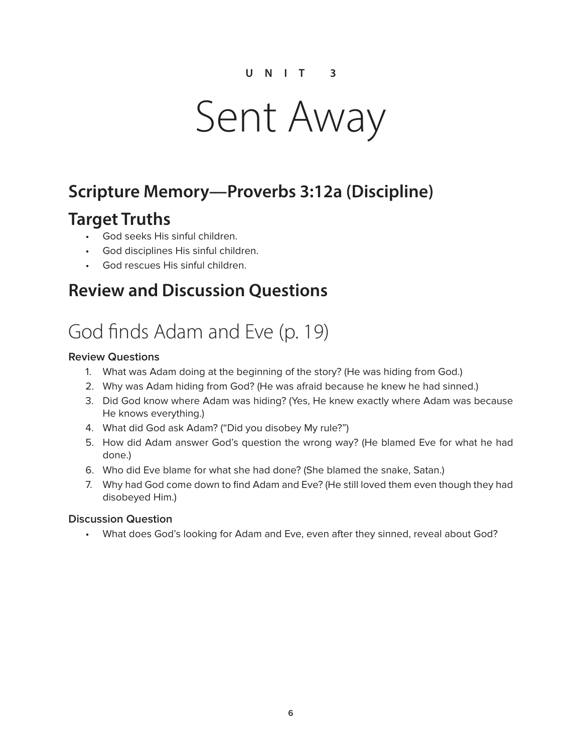# Sent Away

### **Scripture Memory—Proverbs 3:12a (Discipline)**

### **Target Truths**

- God seeks His sinful children.
- God disciplines His sinful children.
- God rescues His sinful children.

### **Review and Discussion Questions**

# God finds Adam and Eve (p. 19)

#### **Review Questions**

- 1. What was Adam doing at the beginning of the story? (He was hiding from God.)
- 2. Why was Adam hiding from God? (He was afraid because he knew he had sinned.)
- 3. Did God know where Adam was hiding? (Yes, He knew exactly where Adam was because He knows everything.)
- 4. What did God ask Adam? ("Did you disobey My rule?")
- 5. How did Adam answer God's question the wrong way? (He blamed Eve for what he had done.)
- 6. Who did Eve blame for what she had done? (She blamed the snake, Satan.)
- 7. Why had God come down to find Adam and Eve? (He still loved them even though they had disobeyed Him.)

#### **Discussion Question**

• What does God's looking for Adam and Eve, even after they sinned, reveal about God?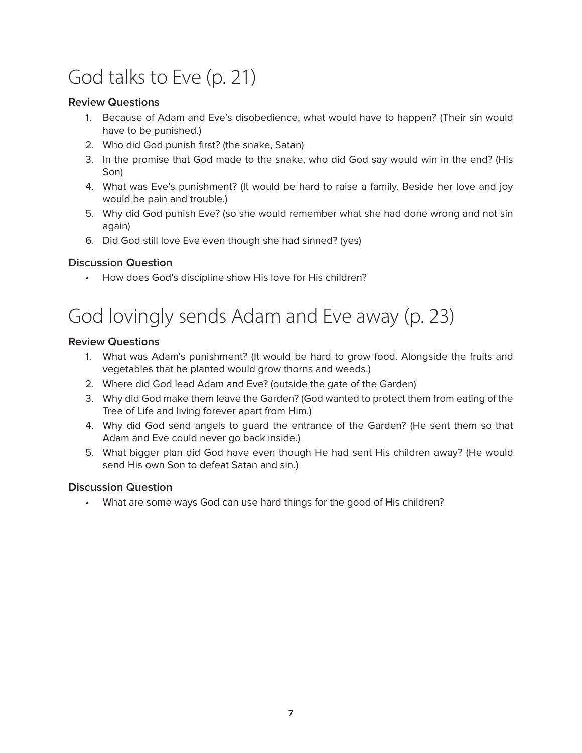# God talks to Eve (p. 21)

### **Review Questions**

- 1. Because of Adam and Eve's disobedience, what would have to happen? (Their sin would have to be punished.)
- 2. Who did God punish first? (the snake, Satan)
- 3. In the promise that God made to the snake, who did God say would win in the end? (His Son)
- 4. What was Eve's punishment? (It would be hard to raise a family. Beside her love and joy would be pain and trouble.)
- 5. Why did God punish Eve? (so she would remember what she had done wrong and not sin again)
- 6. Did God still love Eve even though she had sinned? (yes)

### **Discussion Question**

• How does God's discipline show His love for His children?

# God lovingly sends Adam and Eve away (p. 23)

### **Review Questions**

- 1. What was Adam's punishment? (It would be hard to grow food. Alongside the fruits and vegetables that he planted would grow thorns and weeds.)
- 2. Where did God lead Adam and Eve? (outside the gate of the Garden)
- 3. Why did God make them leave the Garden? (God wanted to protect them from eating of the Tree of Life and living forever apart from Him.)
- 4. Why did God send angels to guard the entrance of the Garden? (He sent them so that Adam and Eve could never go back inside.)
- 5. What bigger plan did God have even though He had sent His children away? (He would send His own Son to defeat Satan and sin.)

#### **Discussion Question**

• What are some ways God can use hard things for the good of His children?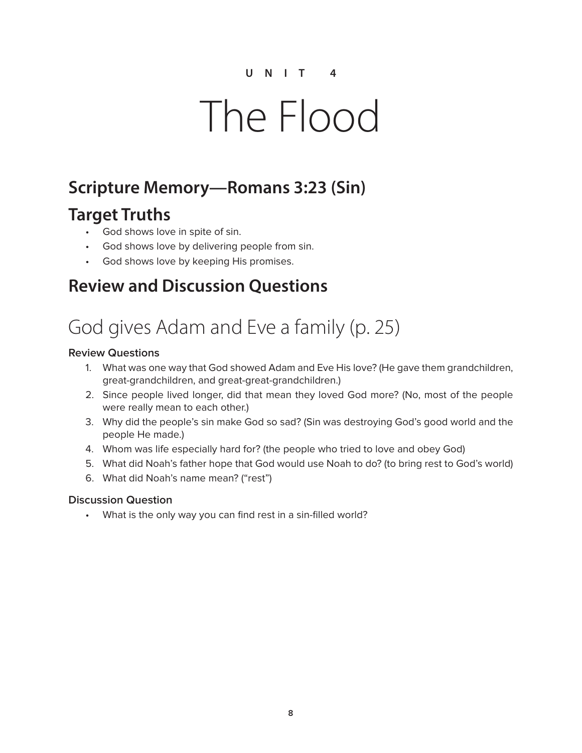# The Flood

### **Scripture Memory—Romans 3:23 (Sin)**

### **Target Truths**

- God shows love in spite of sin.
- God shows love by delivering people from sin.
- God shows love by keeping His promises.

### **Review and Discussion Questions**

# God gives Adam and Eve a family (p. 25)

### **Review Questions**

- 1. What was one way that God showed Adam and Eve His love? (He gave them grandchildren, great-grandchildren, and great-great-grandchildren.)
- 2. Since people lived longer, did that mean they loved God more? (No, most of the people were really mean to each other.)
- 3. Why did the people's sin make God so sad? (Sin was destroying God's good world and the people He made.)
- 4. Whom was life especially hard for? (the people who tried to love and obey God)
- 5. What did Noah's father hope that God would use Noah to do? (to bring rest to God's world)
- 6. What did Noah's name mean? ("rest")

#### **Discussion Question**

• What is the only way you can find rest in a sin-filled world?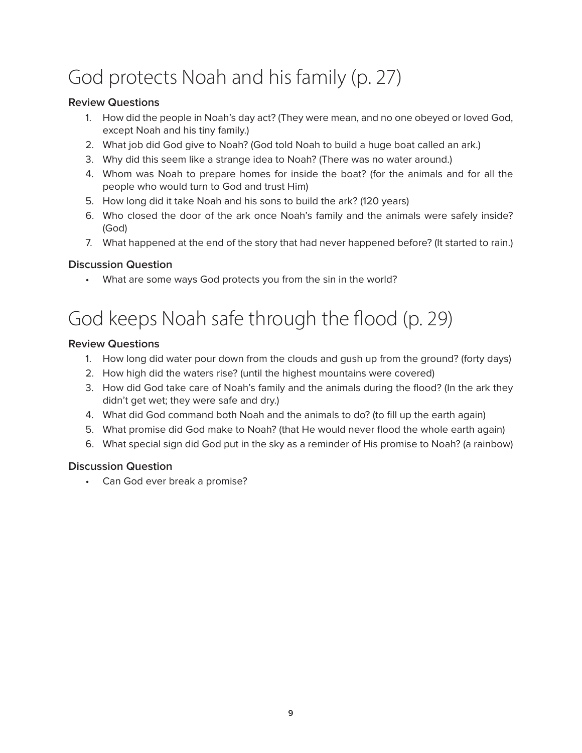# God protects Noah and his family (p. 27)

### **Review Questions**

- 1. How did the people in Noah's day act? (They were mean, and no one obeyed or loved God, except Noah and his tiny family.)
- 2. What job did God give to Noah? (God told Noah to build a huge boat called an ark.)
- 3. Why did this seem like a strange idea to Noah? (There was no water around.)
- 4. Whom was Noah to prepare homes for inside the boat? (for the animals and for all the people who would turn to God and trust Him)
- 5. How long did it take Noah and his sons to build the ark? (120 years)
- 6. Who closed the door of the ark once Noah's family and the animals were safely inside? (God)
- 7. What happened at the end of the story that had never happened before? (It started to rain.)

### **Discussion Question**

• What are some ways God protects you from the sin in the world?

## God keeps Noah safe through the flood (p. 29)

### **Review Questions**

- 1. How long did water pour down from the clouds and gush up from the ground? (forty days)
- 2. How high did the waters rise? (until the highest mountains were covered)
- 3. How did God take care of Noah's family and the animals during the flood? (In the ark they didn't get wet; they were safe and dry.)
- 4. What did God command both Noah and the animals to do? (to fill up the earth again)
- 5. What promise did God make to Noah? (that He would never flood the whole earth again)
- 6. What special sign did God put in the sky as a reminder of His promise to Noah? (a rainbow)

### **Discussion Question**

• Can God ever break a promise?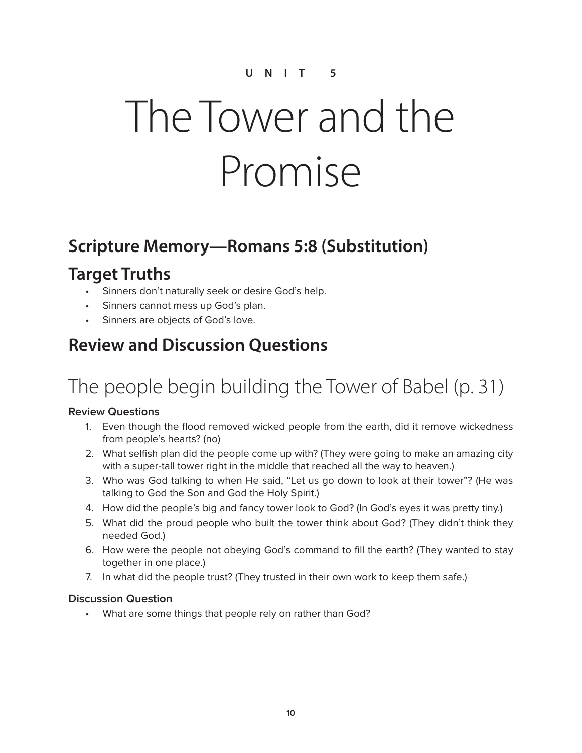# The Tower and the Promise

### **Scripture Memory—Romans 5:8 (Substitution)**

### **Target Truths**

- Sinners don't naturally seek or desire God's help.
- Sinners cannot mess up God's plan.
- Sinners are objects of God's love.

## **Review and Discussion Questions**

# The people begin building the Tower of Babel (p. 31)

#### **Review Questions**

- 1. Even though the flood removed wicked people from the earth, did it remove wickedness from people's hearts? (no)
- 2. What selfish plan did the people come up with? (They were going to make an amazing city with a super-tall tower right in the middle that reached all the way to heaven.)
- 3. Who was God talking to when He said, "Let us go down to look at their tower"? (He was talking to God the Son and God the Holy Spirit.)
- 4. How did the people's big and fancy tower look to God? (In God's eyes it was pretty tiny.)
- 5. What did the proud people who built the tower think about God? (They didn't think they needed God.)
- 6. How were the people not obeying God's command to fill the earth? (They wanted to stay together in one place.)
- 7. In what did the people trust? (They trusted in their own work to keep them safe.)

#### **Discussion Question**

• What are some things that people rely on rather than God?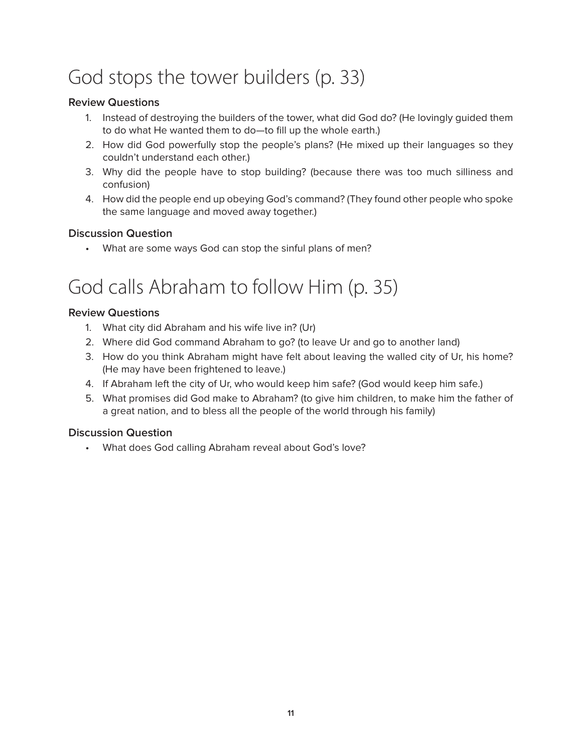# God stops the tower builders (p. 33)

### **Review Questions**

- 1. Instead of destroying the builders of the tower, what did God do? (He lovingly guided them to do what He wanted them to do—to fill up the whole earth.)
- 2. How did God powerfully stop the people's plans? (He mixed up their languages so they couldn't understand each other.)
- 3. Why did the people have to stop building? (because there was too much silliness and confusion)
- 4. How did the people end up obeying God's command? (They found other people who spoke the same language and moved away together.)

### **Discussion Question**

• What are some ways God can stop the sinful plans of men?

# God calls Abraham to follow Him (p. 35)

### **Review Questions**

- 1. What city did Abraham and his wife live in? (Ur)
- 2. Where did God command Abraham to go? (to leave Ur and go to another land)
- 3. How do you think Abraham might have felt about leaving the walled city of Ur, his home? (He may have been frightened to leave.)
- 4. If Abraham left the city of Ur, who would keep him safe? (God would keep him safe.)
- 5. What promises did God make to Abraham? (to give him children, to make him the father of a great nation, and to bless all the people of the world through his family)

### **Discussion Question**

• What does God calling Abraham reveal about God's love?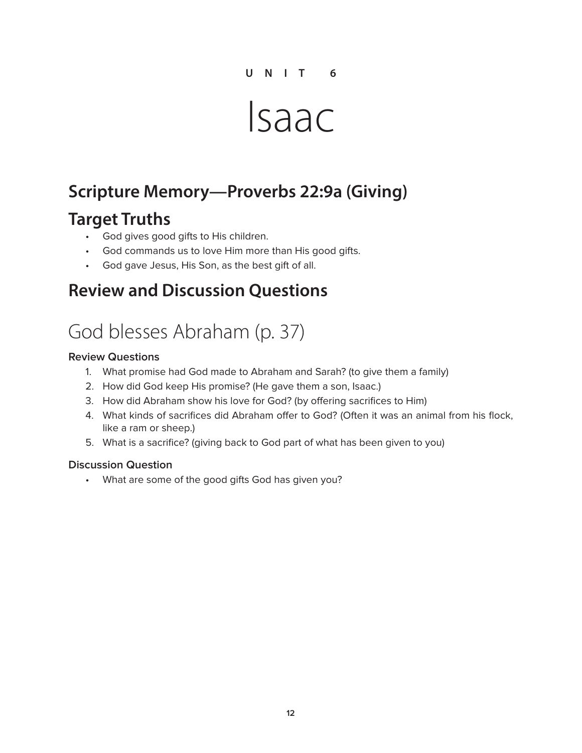# Isaac

### **Scripture Memory—Proverbs 22:9a (Giving)**

### **Target Truths**

- God gives good gifts to His children.
- God commands us to love Him more than His good gifts.
- God gave Jesus, His Son, as the best gift of all.

### **Review and Discussion Questions**

## God blesses Abraham (p. 37)

#### **Review Questions**

- 1. What promise had God made to Abraham and Sarah? (to give them a family)
- 2. How did God keep His promise? (He gave them a son, Isaac.)
- 3. How did Abraham show his love for God? (by offering sacrifices to Him)
- 4. What kinds of sacrifices did Abraham offer to God? (Often it was an animal from his flock, like a ram or sheep.)
- 5. What is a sacrifice? (giving back to God part of what has been given to you)

#### **Discussion Question**

• What are some of the good gifts God has given you?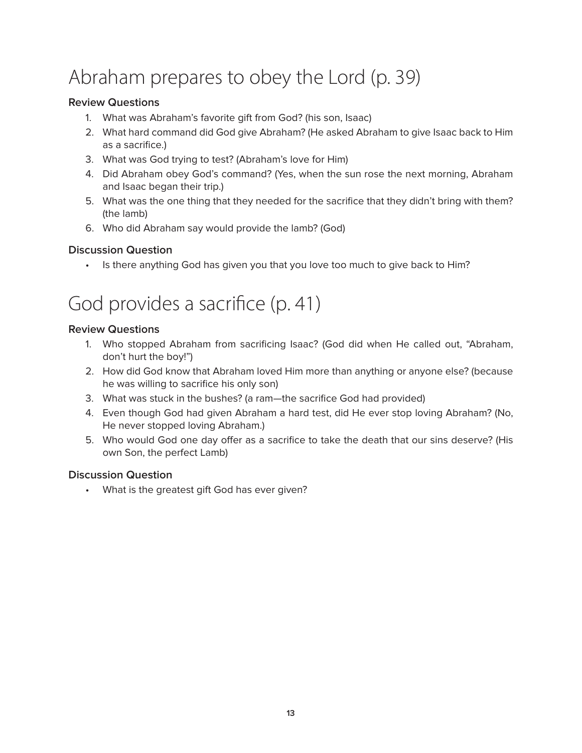# Abraham prepares to obey the Lord (p. 39)

### **Review Questions**

- 1. What was Abraham's favorite gift from God? (his son, Isaac)
- 2. What hard command did God give Abraham? (He asked Abraham to give Isaac back to Him as a sacrifice.)
- 3. What was God trying to test? (Abraham's love for Him)
- 4. Did Abraham obey God's command? (Yes, when the sun rose the next morning, Abraham and Isaac began their trip.)
- 5. What was the one thing that they needed for the sacrifice that they didn't bring with them? (the lamb)
- 6. Who did Abraham say would provide the lamb? (God)

### **Discussion Question**

• Is there anything God has given you that you love too much to give back to Him?

# God provides a sacrifice (p. 41)

### **Review Questions**

- 1. Who stopped Abraham from sacrificing Isaac? (God did when He called out, "Abraham, don't hurt the boy!")
- 2. How did God know that Abraham loved Him more than anything or anyone else? (because he was willing to sacrifice his only son)
- 3. What was stuck in the bushes? (a ram—the sacrifice God had provided)
- 4. Even though God had given Abraham a hard test, did He ever stop loving Abraham? (No, He never stopped loving Abraham.)
- 5. Who would God one day offer as a sacrifice to take the death that our sins deserve? (His own Son, the perfect Lamb)

### **Discussion Question**

• What is the greatest gift God has ever given?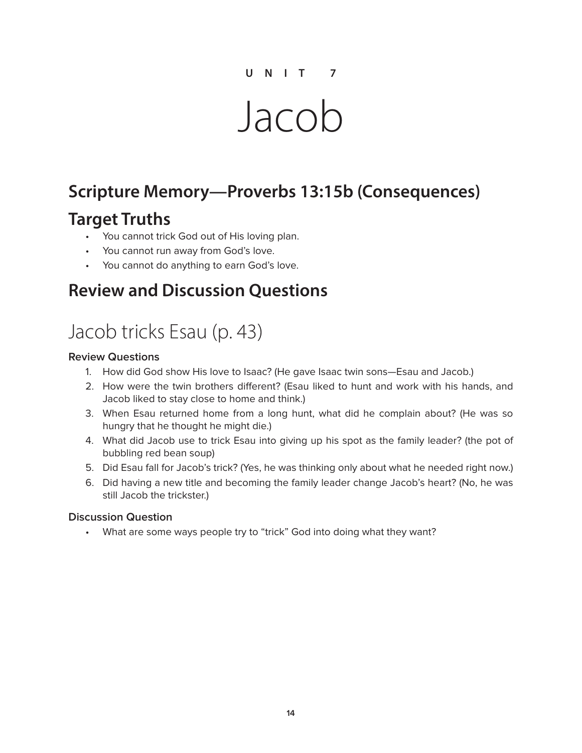# Jacob

## **Scripture Memory—Proverbs 13:15b (Consequences)**

### **Target Truths**

- You cannot trick God out of His loving plan.
- You cannot run away from God's love.
- You cannot do anything to earn God's love.

### **Review and Discussion Questions**

# Jacob tricks Esau (p. 43)

#### **Review Questions**

- 1. How did God show His love to Isaac? (He gave Isaac twin sons—Esau and Jacob.)
- 2. How were the twin brothers different? (Esau liked to hunt and work with his hands, and Jacob liked to stay close to home and think.)
- 3. When Esau returned home from a long hunt, what did he complain about? (He was so hungry that he thought he might die.)
- 4. What did Jacob use to trick Esau into giving up his spot as the family leader? (the pot of bubbling red bean soup)
- 5. Did Esau fall for Jacob's trick? (Yes, he was thinking only about what he needed right now.)
- 6. Did having a new title and becoming the family leader change Jacob's heart? (No, he was still Jacob the trickster.)

#### **Discussion Question**

• What are some ways people try to "trick" God into doing what they want?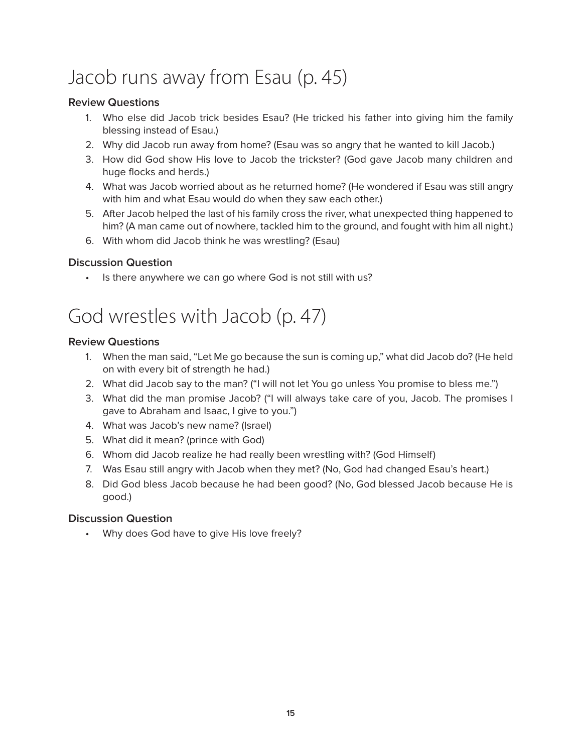# Jacob runs away from Esau (p. 45)

### **Review Questions**

- 1. Who else did Jacob trick besides Esau? (He tricked his father into giving him the family blessing instead of Esau.)
- 2. Why did Jacob run away from home? (Esau was so angry that he wanted to kill Jacob.)
- 3. How did God show His love to Jacob the trickster? (God gave Jacob many children and huge flocks and herds.)
- 4. What was Jacob worried about as he returned home? (He wondered if Esau was still angry with him and what Esau would do when they saw each other.)
- 5. After Jacob helped the last of his family cross the river, what unexpected thing happened to him? (A man came out of nowhere, tackled him to the ground, and fought with him all night.)
- 6. With whom did Jacob think he was wrestling? (Esau)

### **Discussion Question**

• Is there anywhere we can go where God is not still with us?

## God wrestles with Jacob (p. 47)

### **Review Questions**

- 1. When the man said, "Let Me go because the sun is coming up," what did Jacob do? (He held on with every bit of strength he had.)
- 2. What did Jacob say to the man? ("I will not let You go unless You promise to bless me.")
- 3. What did the man promise Jacob? ("I will always take care of you, Jacob. The promises I gave to Abraham and Isaac, I give to you.")
- 4. What was Jacob's new name? (Israel)
- 5. What did it mean? (prince with God)
- 6. Whom did Jacob realize he had really been wrestling with? (God Himself)
- 7. Was Esau still angry with Jacob when they met? (No, God had changed Esau's heart.)
- 8. Did God bless Jacob because he had been good? (No, God blessed Jacob because He is good.)

#### **Discussion Question**

• Why does God have to give His love freely?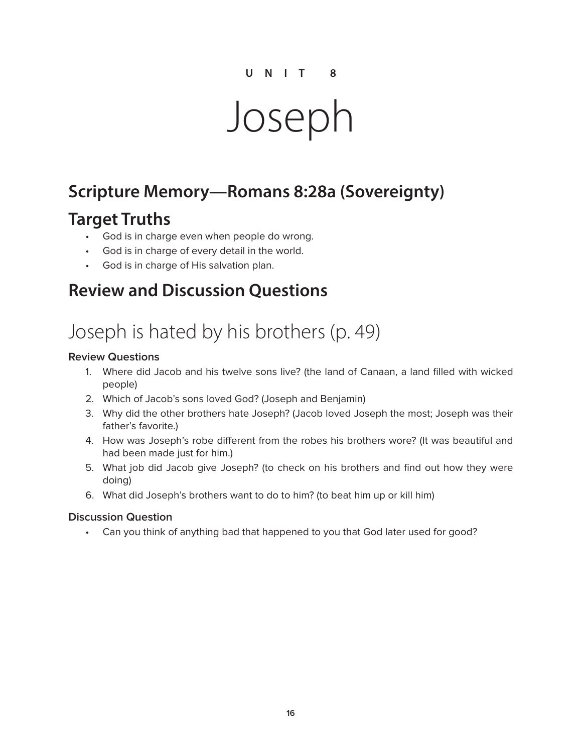# Joseph

### **Scripture Memory—Romans 8:28a (Sovereignty)**

### **Target Truths**

- God is in charge even when people do wrong.
- God is in charge of every detail in the world.
- God is in charge of His salvation plan.

### **Review and Discussion Questions**

# Joseph is hated by his brothers (p. 49)

#### **Review Questions**

- 1. Where did Jacob and his twelve sons live? (the land of Canaan, a land filled with wicked people)
- 2. Which of Jacob's sons loved God? (Joseph and Benjamin)
- 3. Why did the other brothers hate Joseph? (Jacob loved Joseph the most; Joseph was their father's favorite.)
- 4. How was Joseph's robe different from the robes his brothers wore? (It was beautiful and had been made just for him.)
- 5. What job did Jacob give Joseph? (to check on his brothers and find out how they were doing)
- 6. What did Joseph's brothers want to do to him? (to beat him up or kill him)

#### **Discussion Question**

• Can you think of anything bad that happened to you that God later used for good?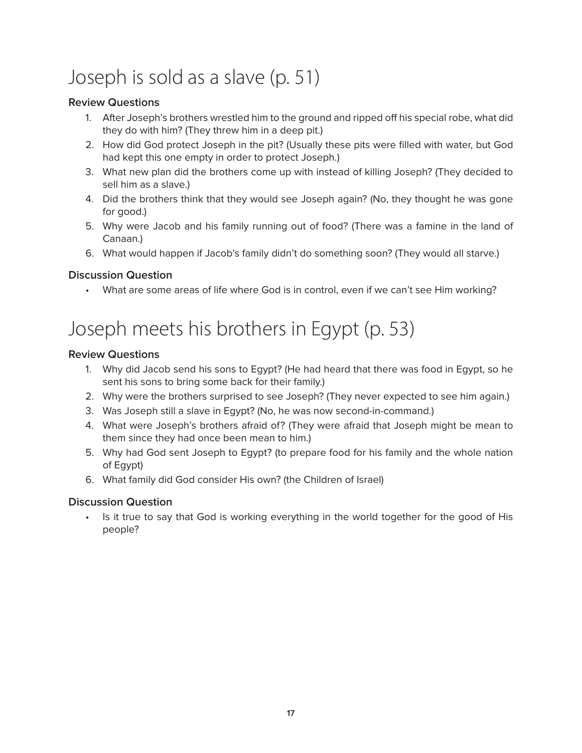# Joseph is sold as a slave (p. 51)

### **Review Questions**

- 1. After Joseph's brothers wrestled him to the ground and ripped off his special robe, what did they do with him? (They threw him in a deep pit.)
- 2. How did God protect Joseph in the pit? (Usually these pits were filled with water, but God had kept this one empty in order to protect Joseph.)
- 3. What new plan did the brothers come up with instead of killing Joseph? (They decided to sell him as a slave.)
- 4. Did the brothers think that they would see Joseph again? (No, they thought he was gone for good.)
- 5. Why were Jacob and his family running out of food? (There was a famine in the land of Canaan.)
- 6. What would happen if Jacob's family didn't do something soon? (They would all starve.)

### **Discussion Question**

• What are some areas of life where God is in control, even if we can't see Him working?

# Joseph meets his brothers in Egypt (p. 53)

#### **Review Questions**

- 1. Why did Jacob send his sons to Egypt? (He had heard that there was food in Egypt, so he sent his sons to bring some back for their family.)
- 2. Why were the brothers surprised to see Joseph? (They never expected to see him again.)
- 3. Was Joseph still a slave in Egypt? (No, he was now second-in-command.)
- 4. What were Joseph's brothers afraid of? (They were afraid that Joseph might be mean to them since they had once been mean to him.)
- 5. Why had God sent Joseph to Egypt? (to prepare food for his family and the whole nation of Egypt)
- 6. What family did God consider His own? (the Children of Israel)

#### **Discussion Question**

Is it true to say that God is working everything in the world together for the good of His people?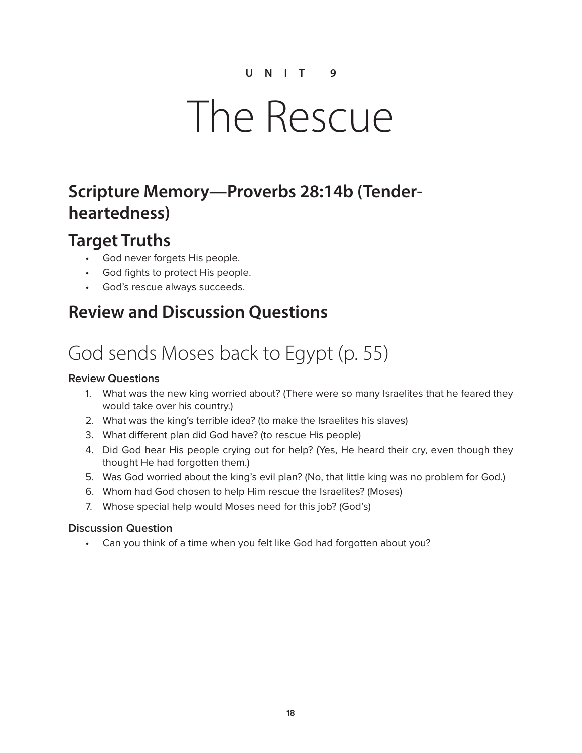# The Rescue

### **Scripture Memory—Proverbs 28:14b (Tenderheartedness)**

### **Target Truths**

- God never forgets His people.
- God fights to protect His people.
- God's rescue always succeeds.

### **Review and Discussion Questions**

# God sends Moses back to Egypt (p. 55)

### **Review Questions**

- 1. What was the new king worried about? (There were so many Israelites that he feared they would take over his country.)
- 2. What was the king's terrible idea? (to make the Israelites his slaves)
- 3. What different plan did God have? (to rescue His people)
- 4. Did God hear His people crying out for help? (Yes, He heard their cry, even though they thought He had forgotten them.)
- 5. Was God worried about the king's evil plan? (No, that little king was no problem for God.)
- 6. Whom had God chosen to help Him rescue the Israelites? (Moses)
- 7. Whose special help would Moses need for this job? (God's)

#### **Discussion Question**

• Can you think of a time when you felt like God had forgotten about you?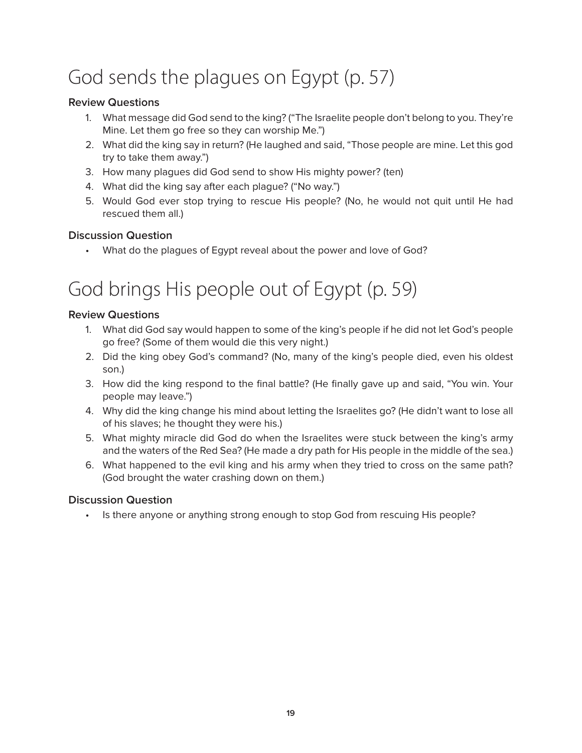# God sends the plagues on Egypt (p. 57)

### **Review Questions**

- 1. What message did God send to the king? ("The Israelite people don't belong to you. They're Mine. Let them go free so they can worship Me.")
- 2. What did the king say in return? (He laughed and said, "Those people are mine. Let this god try to take them away.")
- 3. How many plagues did God send to show His mighty power? (ten)
- 4. What did the king say after each plague? ("No way.")
- 5. Would God ever stop trying to rescue His people? (No, he would not quit until He had rescued them all.)

### **Discussion Question**

• What do the plagues of Egypt reveal about the power and love of God?

# God brings His people out of Egypt (p. 59)

### **Review Questions**

- 1. What did God say would happen to some of the king's people if he did not let God's people go free? (Some of them would die this very night.)
- 2. Did the king obey God's command? (No, many of the king's people died, even his oldest son.)
- 3. How did the king respond to the final battle? (He finally gave up and said, "You win. Your people may leave.")
- 4. Why did the king change his mind about letting the Israelites go? (He didn't want to lose all of his slaves; he thought they were his.)
- 5. What mighty miracle did God do when the Israelites were stuck between the king's army and the waters of the Red Sea? (He made a dry path for His people in the middle of the sea.)
- 6. What happened to the evil king and his army when they tried to cross on the same path? (God brought the water crashing down on them.)

### **Discussion Question**

• Is there anyone or anything strong enough to stop God from rescuing His people?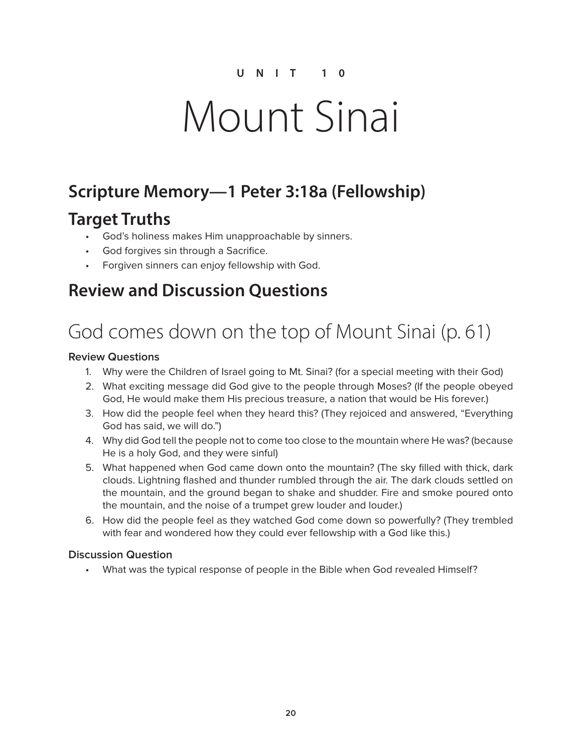# Mount Sinai

## **Scripture Memory—1 Peter 3:18a (Fellowship)**

### **Target Truths**

- God's holiness makes Him unapproachable by sinners.
- God forgives sin through a Sacrifice.
- Forgiven sinners can enjoy fellowship with God.

### **Review and Discussion Questions**

# God comes down on the top of Mount Sinai (p. 61)

### **Review Questions**

- 1. Why were the Children of Israel going to Mt. Sinai? (for a special meeting with their God)
- 2. What exciting message did God give to the people through Moses? (If the people obeyed God, He would make them His precious treasure, a nation that would be His forever.)
- 3. How did the people feel when they heard this? (They rejoiced and answered, "Everything God has said, we will do.")
- 4. Why did God tell the people not to come too close to the mountain where He was? (because He is a holy God, and they were sinful)
- 5. What happened when God came down onto the mountain? (The sky filled with thick, dark clouds. Lightning flashed and thunder rumbled through the air. The dark clouds settled on the mountain, and the ground began to shake and shudder. Fire and smoke poured onto the mountain, and the noise of a trumpet grew louder and louder.)
- 6. How did the people feel as they watched God come down so powerfully? (They trembled with fear and wondered how they could ever fellowship with a God like this.)

### **Discussion Question**

• What was the typical response of people in the Bible when God revealed Himself?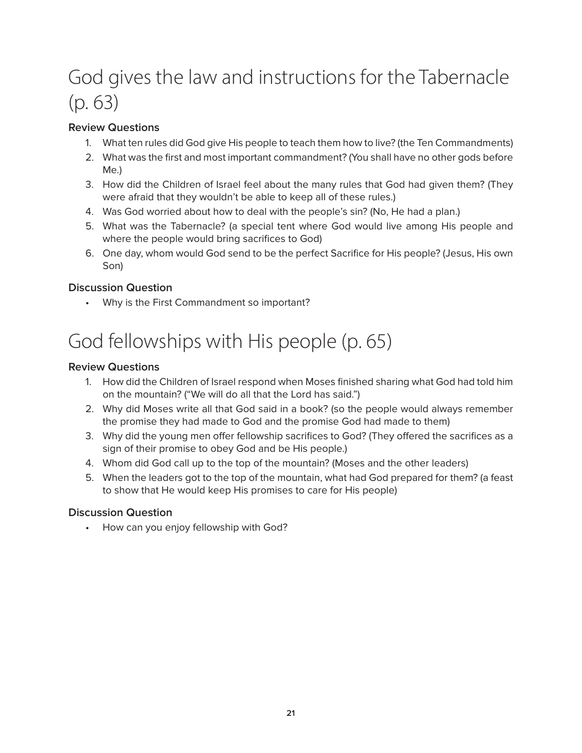# God gives the law and instructions for the Tabernacle (p. 63)

### **Review Questions**

- 1. What ten rules did God give His people to teach them how to live? (the Ten Commandments)
- 2. What was the first and most important commandment? (You shall have no other gods before Me.)
- 3. How did the Children of Israel feel about the many rules that God had given them? (They were afraid that they wouldn't be able to keep all of these rules.)
- 4. Was God worried about how to deal with the people's sin? (No, He had a plan.)
- 5. What was the Tabernacle? (a special tent where God would live among His people and where the people would bring sacrifices to God)
- 6. One day, whom would God send to be the perfect Sacrifice for His people? (Jesus, His own Son)

### **Discussion Question**

• Why is the First Commandment so important?

# God fellowships with His people (p. 65)

### **Review Questions**

- 1. How did the Children of Israel respond when Moses finished sharing what God had told him on the mountain? ("We will do all that the Lord has said.")
- 2. Why did Moses write all that God said in a book? (so the people would always remember the promise they had made to God and the promise God had made to them)
- 3. Why did the young men offer fellowship sacrifices to God? (They offered the sacrifices as a sign of their promise to obey God and be His people.)
- 4. Whom did God call up to the top of the mountain? (Moses and the other leaders)
- 5. When the leaders got to the top of the mountain, what had God prepared for them? (a feast to show that He would keep His promises to care for His people)

### **Discussion Question**

• How can you enjoy fellowship with God?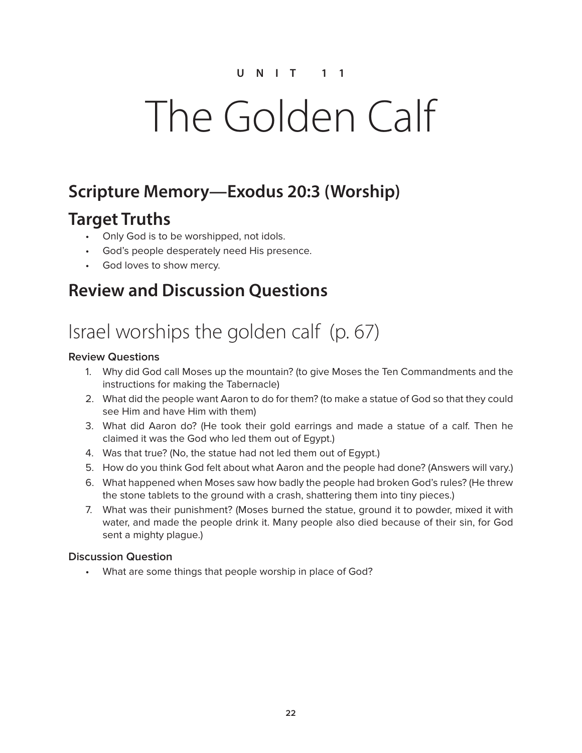# The Golden Calf

### **Scripture Memory—Exodus 20:3 (Worship)**

### **Target Truths**

- Only God is to be worshipped, not idols.
- God's people desperately need His presence.
- God loves to show mercy.

### **Review and Discussion Questions**

# Israel worships the golden calf (p. 67)

### **Review Questions**

- 1. Why did God call Moses up the mountain? (to give Moses the Ten Commandments and the instructions for making the Tabernacle)
- 2. What did the people want Aaron to do for them? (to make a statue of God so that they could see Him and have Him with them)
- 3. What did Aaron do? (He took their gold earrings and made a statue of a calf. Then he claimed it was the God who led them out of Egypt.)
- 4. Was that true? (No, the statue had not led them out of Egypt.)
- 5. How do you think God felt about what Aaron and the people had done? (Answers will vary.)
- 6. What happened when Moses saw how badly the people had broken God's rules? (He threw the stone tablets to the ground with a crash, shattering them into tiny pieces.)
- 7. What was their punishment? (Moses burned the statue, ground it to powder, mixed it with water, and made the people drink it. Many people also died because of their sin, for God sent a mighty plague.)

### **Discussion Question**

• What are some things that people worship in place of God?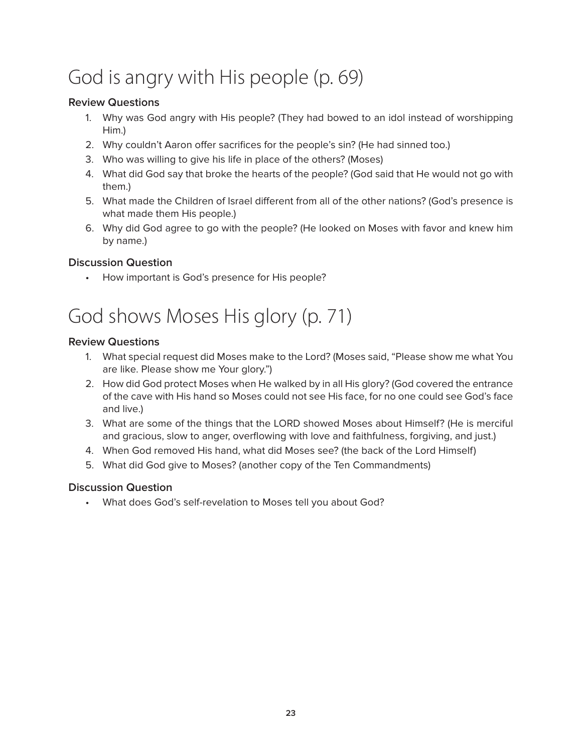# God is angry with His people (p. 69)

### **Review Questions**

- 1. Why was God angry with His people? (They had bowed to an idol instead of worshipping Him.)
- 2. Why couldn't Aaron offer sacrifices for the people's sin? (He had sinned too.)
- 3. Who was willing to give his life in place of the others? (Moses)
- 4. What did God say that broke the hearts of the people? (God said that He would not go with them.)
- 5. What made the Children of Israel different from all of the other nations? (God's presence is what made them His people.)
- 6. Why did God agree to go with the people? (He looked on Moses with favor and knew him by name.)

### **Discussion Question**

• How important is God's presence for His people?

# God shows Moses His glory (p. 71)

### **Review Questions**

- 1. What special request did Moses make to the Lord? (Moses said, "Please show me what You are like. Please show me Your glory.")
- 2. How did God protect Moses when He walked by in all His glory? (God covered the entrance of the cave with His hand so Moses could not see His face, for no one could see God's face and live.)
- 3. What are some of the things that the LORD showed Moses about Himself? (He is merciful and gracious, slow to anger, overflowing with love and faithfulness, forgiving, and just.)
- 4. When God removed His hand, what did Moses see? (the back of the Lord Himself)
- 5. What did God give to Moses? (another copy of the Ten Commandments)

### **Discussion Question**

• What does God's self-revelation to Moses tell you about God?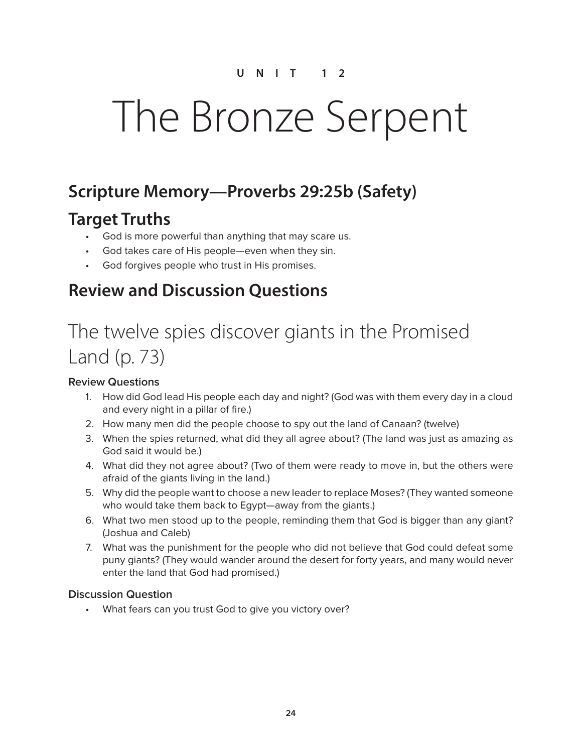# The Bronze Serpent

### **Scripture Memory—Proverbs 29:25b (Safety)**

### **Target Truths**

- God is more powerful than anything that may scare us.
- God takes care of His people—even when they sin.
- God forgives people who trust in His promises.

### **Review and Discussion Questions**

# The twelve spies discover giants in the Promised Land (p. 73)

#### **Review Questions**

- 1. How did God lead His people each day and night? (God was with them every day in a cloud and every night in a pillar of fire.)
- 2. How many men did the people choose to spy out the land of Canaan? (twelve)
- 3. When the spies returned, what did they all agree about? (The land was just as amazing as God said it would be.)
- 4. What did they not agree about? (Two of them were ready to move in, but the others were afraid of the giants living in the land.)
- 5. Why did the people want to choose a new leader to replace Moses? (They wanted someone who would take them back to Egypt—away from the giants.)
- 6. What two men stood up to the people, reminding them that God is bigger than any giant? (Joshua and Caleb)
- 7. What was the punishment for the people who did not believe that God could defeat some puny giants? (They would wander around the desert for forty years, and many would never enter the land that God had promised.)

#### **Discussion Question**

• What fears can you trust God to give you victory over?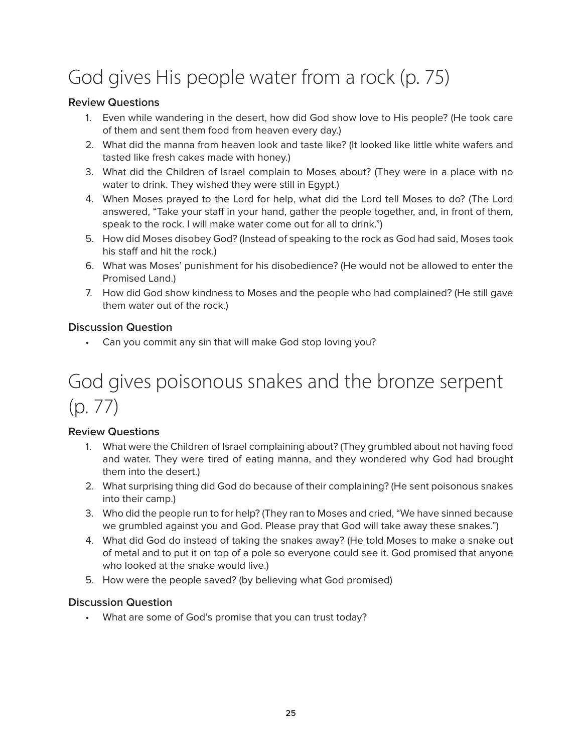# God gives His people water from a rock (p. 75)

### **Review Questions**

- 1. Even while wandering in the desert, how did God show love to His people? (He took care of them and sent them food from heaven every day.)
- 2. What did the manna from heaven look and taste like? (It looked like little white wafers and tasted like fresh cakes made with honey.)
- 3. What did the Children of Israel complain to Moses about? (They were in a place with no water to drink. They wished they were still in Egypt.)
- 4. When Moses prayed to the Lord for help, what did the Lord tell Moses to do? (The Lord answered, "Take your staff in your hand, gather the people together, and, in front of them, speak to the rock. I will make water come out for all to drink.")
- 5. How did Moses disobey God? (Instead of speaking to the rock as God had said, Moses took his staff and hit the rock.)
- 6. What was Moses' punishment for his disobedience? (He would not be allowed to enter the Promised Land.)
- 7. How did God show kindness to Moses and the people who had complained? (He still gave them water out of the rock.)

### **Discussion Question**

• Can you commit any sin that will make God stop loving you?

## God gives poisonous snakes and the bronze serpent (p. 77)

### **Review Questions**

- 1. What were the Children of Israel complaining about? (They grumbled about not having food and water. They were tired of eating manna, and they wondered why God had brought them into the desert.)
- 2. What surprising thing did God do because of their complaining? (He sent poisonous snakes into their camp.)
- 3. Who did the people run to for help? (They ran to Moses and cried, "We have sinned because we grumbled against you and God. Please pray that God will take away these snakes.")
- 4. What did God do instead of taking the snakes away? (He told Moses to make a snake out of metal and to put it on top of a pole so everyone could see it. God promised that anyone who looked at the snake would live.)
- 5. How were the people saved? (by believing what God promised)

#### **Discussion Question**

• What are some of God's promise that you can trust today?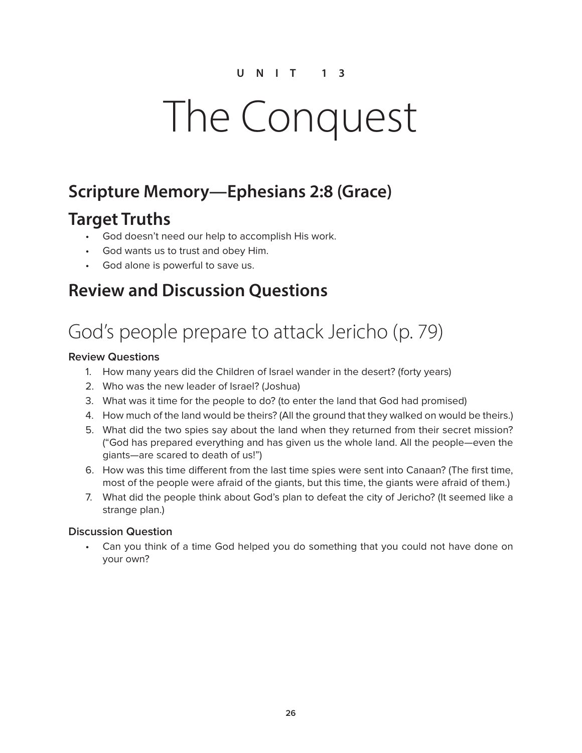# The Conquest

### **Scripture Memory—Ephesians 2:8 (Grace)**

### **Target Truths**

- God doesn't need our help to accomplish His work.
- God wants us to trust and obey Him.
- God alone is powerful to save us.

### **Review and Discussion Questions**

# God's people prepare to attack Jericho (p. 79)

### **Review Questions**

- 1. How many years did the Children of Israel wander in the desert? (forty years)
- 2. Who was the new leader of Israel? (Joshua)
- 3. What was it time for the people to do? (to enter the land that God had promised)
- 4. How much of the land would be theirs? (All the ground that they walked on would be theirs.)
- 5. What did the two spies say about the land when they returned from their secret mission? ("God has prepared everything and has given us the whole land. All the people—even the giants—are scared to death of us!")
- 6. How was this time different from the last time spies were sent into Canaan? (The first time, most of the people were afraid of the giants, but this time, the giants were afraid of them.)
- 7. What did the people think about God's plan to defeat the city of Jericho? (It seemed like a strange plan.)

#### **Discussion Question**

• Can you think of a time God helped you do something that you could not have done on your own?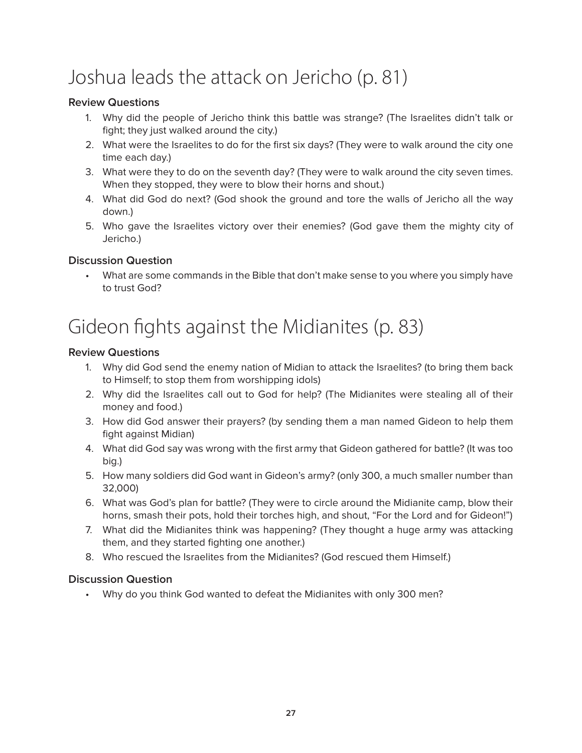# Joshua leads the attack on Jericho (p. 81)

### **Review Questions**

- 1. Why did the people of Jericho think this battle was strange? (The Israelites didn't talk or fight; they just walked around the city.)
- 2. What were the Israelites to do for the first six days? (They were to walk around the city one time each day.)
- 3. What were they to do on the seventh day? (They were to walk around the city seven times. When they stopped, they were to blow their horns and shout.)
- 4. What did God do next? (God shook the ground and tore the walls of Jericho all the way down.)
- 5. Who gave the Israelites victory over their enemies? (God gave them the mighty city of Jericho.)

### **Discussion Question**

• What are some commands in the Bible that don't make sense to you where you simply have to trust God?

# Gideon fights against the Midianites (p. 83)

### **Review Questions**

- 1. Why did God send the enemy nation of Midian to attack the Israelites? (to bring them back to Himself; to stop them from worshipping idols)
- 2. Why did the Israelites call out to God for help? (The Midianites were stealing all of their money and food.)
- 3. How did God answer their prayers? (by sending them a man named Gideon to help them fight against Midian)
- 4. What did God say was wrong with the first army that Gideon gathered for battle? (It was too big.)
- 5. How many soldiers did God want in Gideon's army? (only 300, a much smaller number than 32,000)
- 6. What was God's plan for battle? (They were to circle around the Midianite camp, blow their horns, smash their pots, hold their torches high, and shout, "For the Lord and for Gideon!")
- 7. What did the Midianites think was happening? (They thought a huge army was attacking them, and they started fighting one another.)
- 8. Who rescued the Israelites from the Midianites? (God rescued them Himself.)

#### **Discussion Question**

• Why do you think God wanted to defeat the Midianites with only 300 men?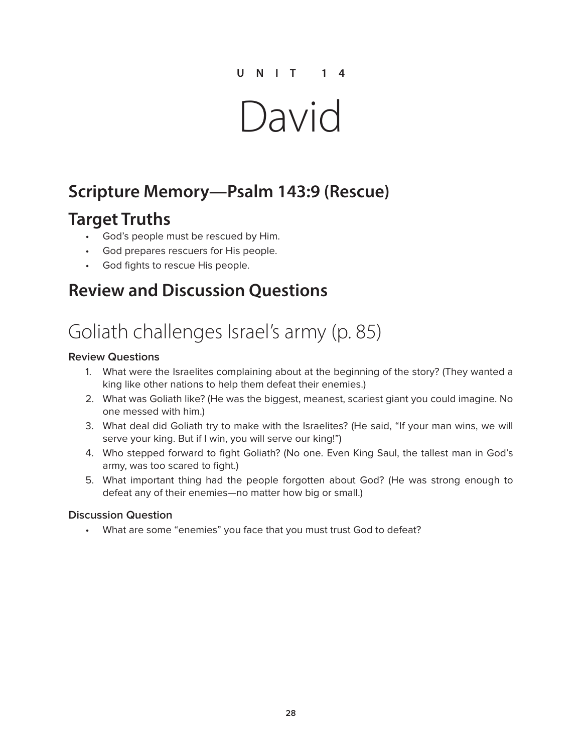# David

## **Scripture Memory—Psalm 143:9 (Rescue)**

### **Target Truths**

- God's people must be rescued by Him.
- God prepares rescuers for His people.
- God fights to rescue His people.

### **Review and Discussion Questions**

# Goliath challenges Israel's army (p. 85)

#### **Review Questions**

- 1. What were the Israelites complaining about at the beginning of the story? (They wanted a king like other nations to help them defeat their enemies.)
- 2. What was Goliath like? (He was the biggest, meanest, scariest giant you could imagine. No one messed with him.)
- 3. What deal did Goliath try to make with the Israelites? (He said, "If your man wins, we will serve your king. But if I win, you will serve our king!")
- 4. Who stepped forward to fight Goliath? (No one. Even King Saul, the tallest man in God's army, was too scared to fight.)
- 5. What important thing had the people forgotten about God? (He was strong enough to defeat any of their enemies—no matter how big or small.)

#### **Discussion Question**

• What are some "enemies" you face that you must trust God to defeat?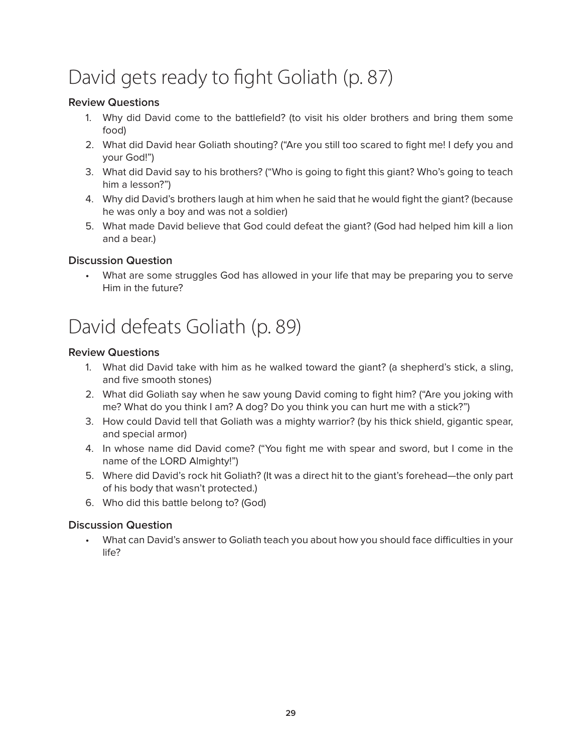# David gets ready to fight Goliath (p. 87)

### **Review Questions**

- 1. Why did David come to the battlefield? (to visit his older brothers and bring them some food)
- 2. What did David hear Goliath shouting? ("Are you still too scared to fight me! I defy you and your God!")
- 3. What did David say to his brothers? ("Who is going to fight this giant? Who's going to teach him a lesson?")
- 4. Why did David's brothers laugh at him when he said that he would fight the giant? (because he was only a boy and was not a soldier)
- 5. What made David believe that God could defeat the giant? (God had helped him kill a lion and a bear.)

### **Discussion Question**

• What are some struggles God has allowed in your life that may be preparing you to serve Him in the future?

## David defeats Goliath (p. 89)

#### **Review Questions**

- 1. What did David take with him as he walked toward the giant? (a shepherd's stick, a sling, and five smooth stones)
- 2. What did Goliath say when he saw young David coming to fight him? ("Are you joking with me? What do you think I am? A dog? Do you think you can hurt me with a stick?")
- 3. How could David tell that Goliath was a mighty warrior? (by his thick shield, gigantic spear, and special armor)
- 4. In whose name did David come? ("You fight me with spear and sword, but I come in the name of the LORD Almighty!")
- 5. Where did David's rock hit Goliath? (It was a direct hit to the giant's forehead—the only part of his body that wasn't protected.)
- 6. Who did this battle belong to? (God)

### **Discussion Question**

• What can David's answer to Goliath teach you about how you should face difficulties in your life?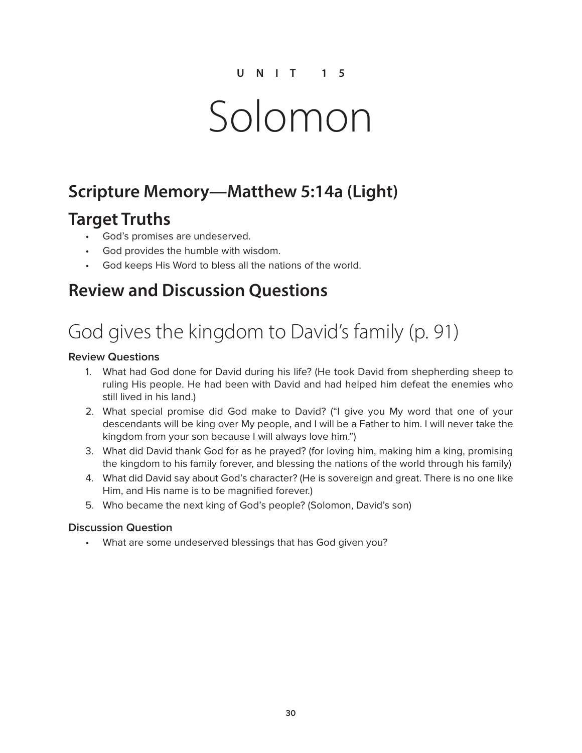# Solomon

### **Scripture Memory—Matthew 5:14a (Light)**

### **Target Truths**

- God's promises are undeserved.
- God provides the humble with wisdom.
- God keeps His Word to bless all the nations of the world.

### **Review and Discussion Questions**

# God gives the kingdom to David's family (p. 91)

#### **Review Questions**

- 1. What had God done for David during his life? (He took David from shepherding sheep to ruling His people. He had been with David and had helped him defeat the enemies who still lived in his land.)
- 2. What special promise did God make to David? ("I give you My word that one of your descendants will be king over My people, and I will be a Father to him. I will never take the kingdom from your son because I will always love him.")
- 3. What did David thank God for as he prayed? (for loving him, making him a king, promising the kingdom to his family forever, and blessing the nations of the world through his family)
- 4. What did David say about God's character? (He is sovereign and great. There is no one like Him, and His name is to be magnified forever.)
- 5. Who became the next king of God's people? (Solomon, David's son)

#### **Discussion Question**

• What are some undeserved blessings that has God given you?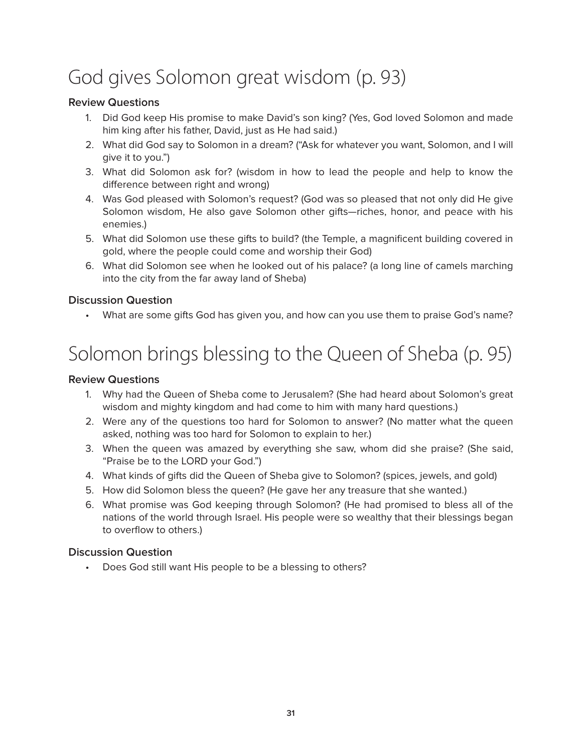# God gives Solomon great wisdom (p. 93)

### **Review Questions**

- 1. Did God keep His promise to make David's son king? (Yes, God loved Solomon and made him king after his father, David, just as He had said.)
- 2. What did God say to Solomon in a dream? ("Ask for whatever you want, Solomon, and I will give it to you.")
- 3. What did Solomon ask for? (wisdom in how to lead the people and help to know the difference between right and wrong)
- 4. Was God pleased with Solomon's request? (God was so pleased that not only did He give Solomon wisdom, He also gave Solomon other gifts—riches, honor, and peace with his enemies.)
- 5. What did Solomon use these gifts to build? (the Temple, a magnificent building covered in gold, where the people could come and worship their God)
- 6. What did Solomon see when he looked out of his palace? (a long line of camels marching into the city from the far away land of Sheba)

### **Discussion Question**

• What are some gifts God has given you, and how can you use them to praise God's name?

# Solomon brings blessing to the Queen of Sheba (p. 95)

#### **Review Questions**

- 1. Why had the Queen of Sheba come to Jerusalem? (She had heard about Solomon's great wisdom and mighty kingdom and had come to him with many hard questions.)
- 2. Were any of the questions too hard for Solomon to answer? (No matter what the queen asked, nothing was too hard for Solomon to explain to her.)
- 3. When the queen was amazed by everything she saw, whom did she praise? (She said, "Praise be to the LORD your God.")
- 4. What kinds of gifts did the Queen of Sheba give to Solomon? (spices, jewels, and gold)
- 5. How did Solomon bless the queen? (He gave her any treasure that she wanted.)
- 6. What promise was God keeping through Solomon? (He had promised to bless all of the nations of the world through Israel. His people were so wealthy that their blessings began to overflow to others.)

### **Discussion Question**

• Does God still want His people to be a blessing to others?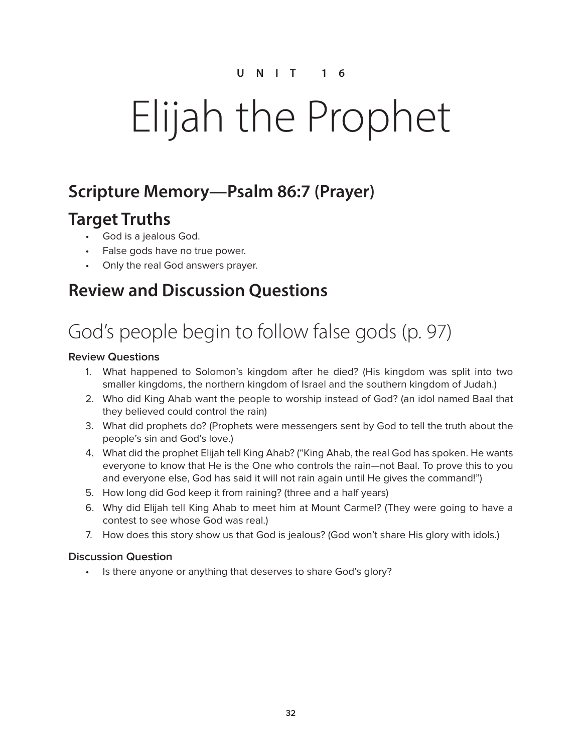# Elijah the Prophet

### **Scripture Memory—Psalm 86:7 (Prayer)**

### **Target Truths**

- God is a jealous God.
- False gods have no true power.
- Only the real God answers prayer.

### **Review and Discussion Questions**

# God's people begin to follow false gods (p. 97)

### **Review Questions**

- 1. What happened to Solomon's kingdom after he died? (His kingdom was split into two smaller kingdoms, the northern kingdom of Israel and the southern kingdom of Judah.)
- 2. Who did King Ahab want the people to worship instead of God? (an idol named Baal that they believed could control the rain)
- 3. What did prophets do? (Prophets were messengers sent by God to tell the truth about the people's sin and God's love.)
- 4. What did the prophet Elijah tell King Ahab? ("King Ahab, the real God has spoken. He wants everyone to know that He is the One who controls the rain—not Baal. To prove this to you and everyone else, God has said it will not rain again until He gives the command!")
- 5. How long did God keep it from raining? (three and a half years)
- 6. Why did Elijah tell King Ahab to meet him at Mount Carmel? (They were going to have a contest to see whose God was real.)
- 7. How does this story show us that God is jealous? (God won't share His glory with idols.)

### **Discussion Question**

• Is there anyone or anything that deserves to share God's glory?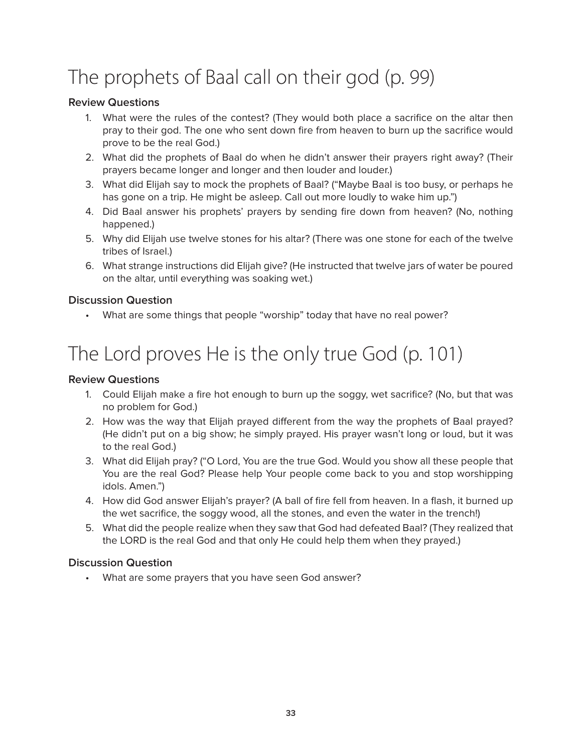# The prophets of Baal call on their god (p. 99)

### **Review Questions**

- 1. What were the rules of the contest? (They would both place a sacrifice on the altar then pray to their god. The one who sent down fire from heaven to burn up the sacrifice would prove to be the real God.)
- 2. What did the prophets of Baal do when he didn't answer their prayers right away? (Their prayers became longer and longer and then louder and louder.)
- 3. What did Elijah say to mock the prophets of Baal? ("Maybe Baal is too busy, or perhaps he has gone on a trip. He might be asleep. Call out more loudly to wake him up.")
- 4. Did Baal answer his prophets' prayers by sending fire down from heaven? (No, nothing happened.)
- 5. Why did Elijah use twelve stones for his altar? (There was one stone for each of the twelve tribes of Israel.)
- 6. What strange instructions did Elijah give? (He instructed that twelve jars of water be poured on the altar, until everything was soaking wet.)

### **Discussion Question**

• What are some things that people "worship" today that have no real power?

# The Lord proves He is the only true God (p. 101)

#### **Review Questions**

- 1. Could Elijah make a fire hot enough to burn up the soggy, wet sacrifice? (No, but that was no problem for God.)
- 2. How was the way that Elijah prayed different from the way the prophets of Baal prayed? (He didn't put on a big show; he simply prayed. His prayer wasn't long or loud, but it was to the real God.)
- 3. What did Elijah pray? ("O Lord, You are the true God. Would you show all these people that You are the real God? Please help Your people come back to you and stop worshipping idols. Amen.")
- 4. How did God answer Elijah's prayer? (A ball of fire fell from heaven. In a flash, it burned up the wet sacrifice, the soggy wood, all the stones, and even the water in the trench!)
- 5. What did the people realize when they saw that God had defeated Baal? (They realized that the LORD is the real God and that only He could help them when they prayed.)

#### **Discussion Question**

• What are some prayers that you have seen God answer?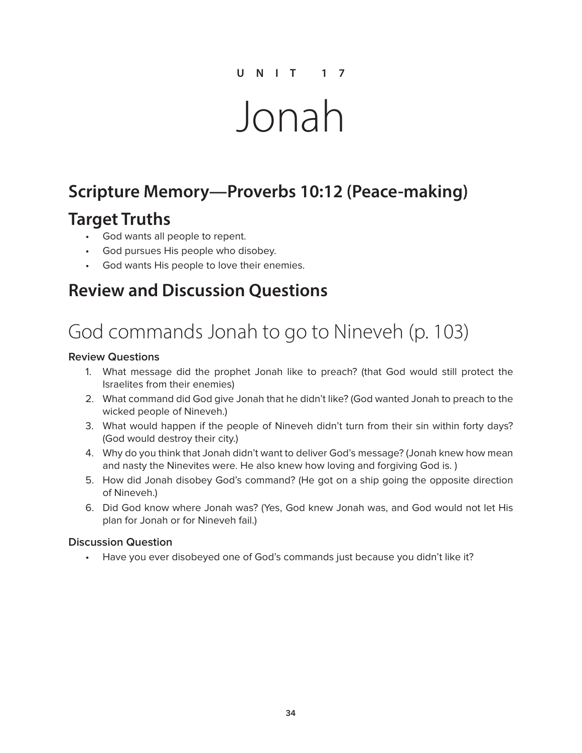# Jonah

### **Scripture Memory—Proverbs 10:12 (Peace-making)**

### **Target Truths**

- God wants all people to repent.
- God pursues His people who disobey.
- God wants His people to love their enemies.

### **Review and Discussion Questions**

# God commands Jonah to go to Nineveh (p. 103)

#### **Review Questions**

- 1. What message did the prophet Jonah like to preach? (that God would still protect the Israelites from their enemies)
- 2. What command did God give Jonah that he didn't like? (God wanted Jonah to preach to the wicked people of Nineveh.)
- 3. What would happen if the people of Nineveh didn't turn from their sin within forty days? (God would destroy their city.)
- 4. Why do you think that Jonah didn't want to deliver God's message? (Jonah knew how mean and nasty the Ninevites were. He also knew how loving and forgiving God is. )
- 5. How did Jonah disobey God's command? (He got on a ship going the opposite direction of Nineveh.)
- 6. Did God know where Jonah was? (Yes, God knew Jonah was, and God would not let His plan for Jonah or for Nineveh fail.)

#### **Discussion Question**

• Have you ever disobeyed one of God's commands just because you didn't like it?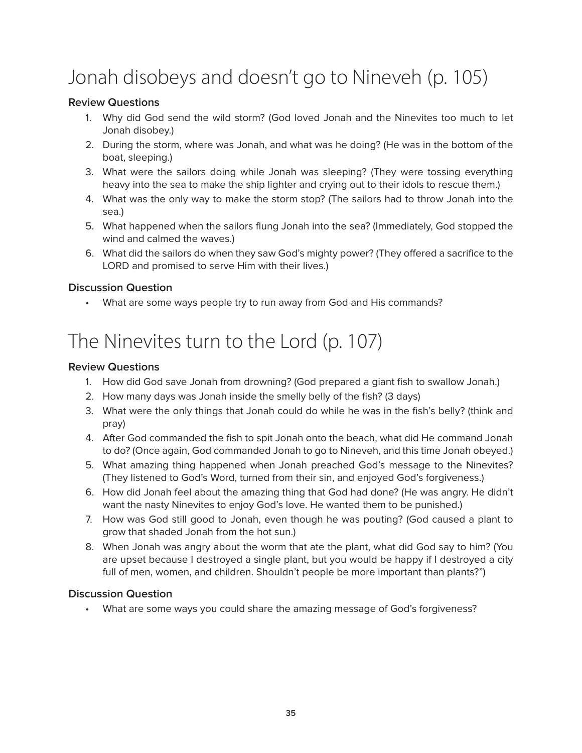# Jonah disobeys and doesn't go to Nineveh (p. 105)

### **Review Questions**

- 1. Why did God send the wild storm? (God loved Jonah and the Ninevites too much to let Jonah disobey.)
- 2. During the storm, where was Jonah, and what was he doing? (He was in the bottom of the boat, sleeping.)
- 3. What were the sailors doing while Jonah was sleeping? (They were tossing everything heavy into the sea to make the ship lighter and crying out to their idols to rescue them.)
- 4. What was the only way to make the storm stop? (The sailors had to throw Jonah into the sea.)
- 5. What happened when the sailors flung Jonah into the sea? (Immediately, God stopped the wind and calmed the waves.)
- 6. What did the sailors do when they saw God's mighty power? (They offered a sacrifice to the LORD and promised to serve Him with their lives.)

### **Discussion Question**

• What are some ways people try to run away from God and His commands?

## The Ninevites turn to the Lord (p. 107)

#### **Review Questions**

- 1. How did God save Jonah from drowning? (God prepared a giant fish to swallow Jonah.)
- 2. How many days was Jonah inside the smelly belly of the fish? (3 days)
- 3. What were the only things that Jonah could do while he was in the fish's belly? (think and pray)
- 4. After God commanded the fish to spit Jonah onto the beach, what did He command Jonah to do? (Once again, God commanded Jonah to go to Nineveh, and this time Jonah obeyed.)
- 5. What amazing thing happened when Jonah preached God's message to the Ninevites? (They listened to God's Word, turned from their sin, and enjoyed God's forgiveness.)
- 6. How did Jonah feel about the amazing thing that God had done? (He was angry. He didn't want the nasty Ninevites to enjoy God's love. He wanted them to be punished.)
- 7. How was God still good to Jonah, even though he was pouting? (God caused a plant to grow that shaded Jonah from the hot sun.)
- 8. When Jonah was angry about the worm that ate the plant, what did God say to him? (You are upset because I destroyed a single plant, but you would be happy if I destroyed a city full of men, women, and children. Shouldn't people be more important than plants?")

#### **Discussion Question**

• What are some ways you could share the amazing message of God's forgiveness?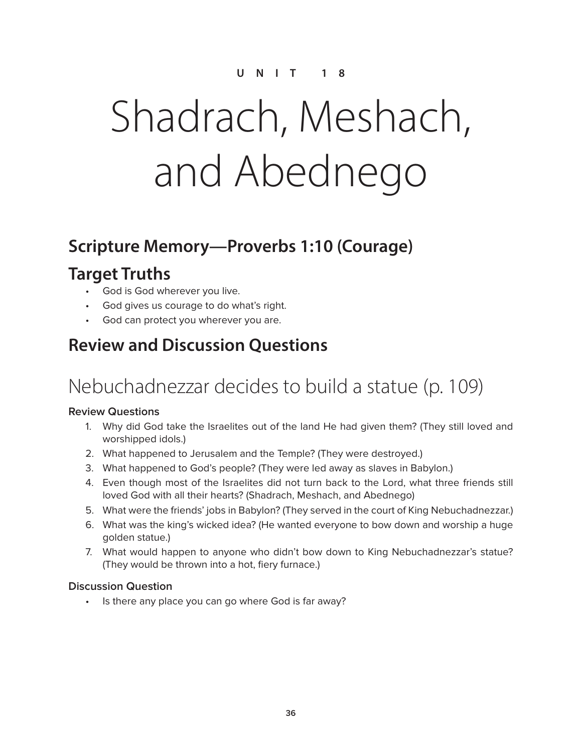# Shadrach, Meshach, and Abednego

### **Scripture Memory—Proverbs 1:10 (Courage)**

### **Target Truths**

- God is God wherever you live.
- God gives us courage to do what's right.
- God can protect you wherever you are.

### **Review and Discussion Questions**

## Nebuchadnezzar decides to build a statue (p. 109)

#### **Review Questions**

- 1. Why did God take the Israelites out of the land He had given them? (They still loved and worshipped idols.)
- 2. What happened to Jerusalem and the Temple? (They were destroyed.)
- 3. What happened to God's people? (They were led away as slaves in Babylon.)
- 4. Even though most of the Israelites did not turn back to the Lord, what three friends still loved God with all their hearts? (Shadrach, Meshach, and Abednego)
- 5. What were the friends' jobs in Babylon? (They served in the court of King Nebuchadnezzar.)
- 6. What was the king's wicked idea? (He wanted everyone to bow down and worship a huge golden statue.)
- 7. What would happen to anyone who didn't bow down to King Nebuchadnezzar's statue? (They would be thrown into a hot, fiery furnace.)

### **Discussion Question**

• Is there any place you can go where God is far away?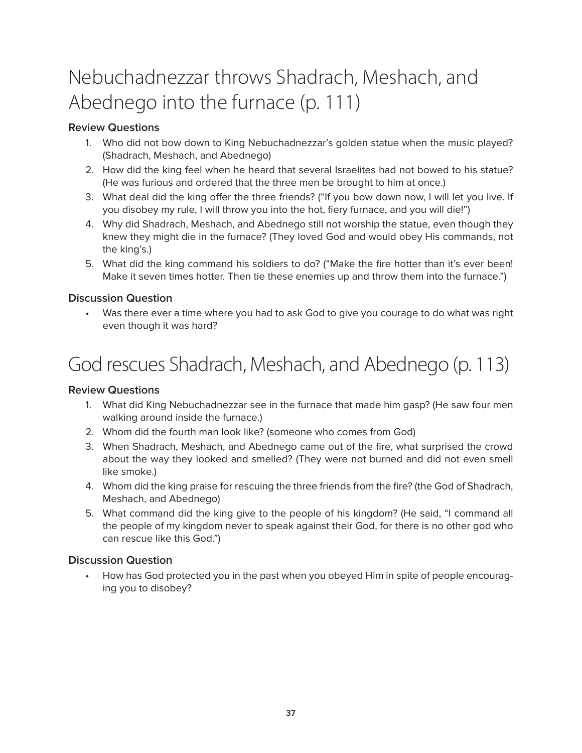# Nebuchadnezzar throws Shadrach, Meshach, and Abednego into the furnace (p. 111)

#### **Review Questions**

- 1. Who did not bow down to King Nebuchadnezzar's golden statue when the music played? (Shadrach, Meshach, and Abednego)
- 2. How did the king feel when he heard that several Israelites had not bowed to his statue? (He was furious and ordered that the three men be brought to him at once.)
- 3. What deal did the king offer the three friends? ("If you bow down now, I will let you live. If you disobey my rule, I will throw you into the hot, fiery furnace, and you will die!")
- 4. Why did Shadrach, Meshach, and Abednego still not worship the statue, even though they knew they might die in the furnace? (They loved God and would obey His commands, not the king's.)
- 5. What did the king command his soldiers to do? ("Make the fire hotter than it's ever been! Make it seven times hotter. Then tie these enemies up and throw them into the furnace.")

#### **Discussion Question**

• Was there ever a time where you had to ask God to give you courage to do what was right even though it was hard?

# God rescues Shadrach, Meshach, and Abednego (p. 113)

#### **Review Questions**

- 1. What did King Nebuchadnezzar see in the furnace that made him gasp? (He saw four men walking around inside the furnace.)
- 2. Whom did the fourth man look like? (someone who comes from God)
- 3. When Shadrach, Meshach, and Abednego came out of the fire, what surprised the crowd about the way they looked and smelled? (They were not burned and did not even smell like smoke.)
- 4. Whom did the king praise for rescuing the three friends from the fire? (the God of Shadrach, Meshach, and Abednego)
- 5. What command did the king give to the people of his kingdom? (He said, "I command all the people of my kingdom never to speak against their God, for there is no other god who can rescue like this God.")

#### **Discussion Question**

• How has God protected you in the past when you obeyed Him in spite of people encouraging you to disobey?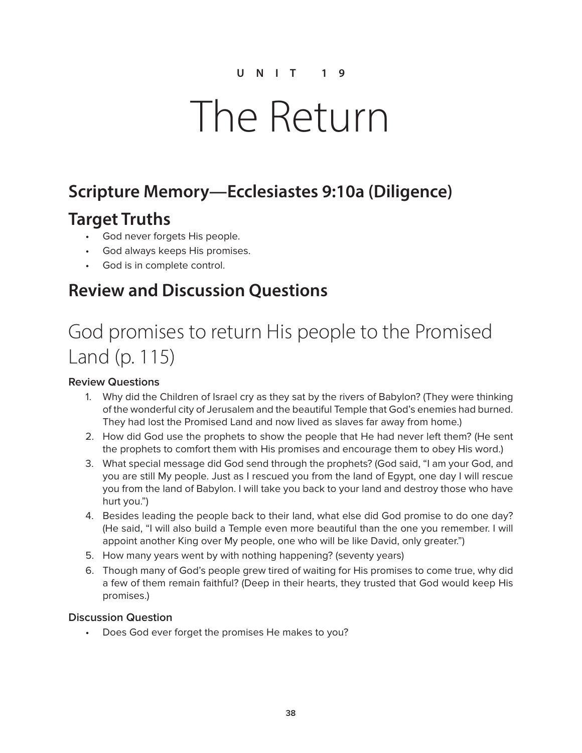# The Return

## **Scripture Memory—Ecclesiastes 9:10a (Diligence)**

### **Target Truths**

- God never forgets His people.
- God always keeps His promises.
- God is in complete control.

### **Review and Discussion Questions**

# God promises to return His people to the Promised Land (p. 115)

#### **Review Questions**

- 1. Why did the Children of Israel cry as they sat by the rivers of Babylon? (They were thinking of the wonderful city of Jerusalem and the beautiful Temple that God's enemies had burned. They had lost the Promised Land and now lived as slaves far away from home.)
- 2. How did God use the prophets to show the people that He had never left them? (He sent the prophets to comfort them with His promises and encourage them to obey His word.)
- 3. What special message did God send through the prophets? (God said, "I am your God, and you are still My people. Just as I rescued you from the land of Egypt, one day I will rescue you from the land of Babylon. I will take you back to your land and destroy those who have hurt you.")
- 4. Besides leading the people back to their land, what else did God promise to do one day? (He said, "I will also build a Temple even more beautiful than the one you remember. I will appoint another King over My people, one who will be like David, only greater.")
- 5. How many years went by with nothing happening? (seventy years)
- 6. Though many of God's people grew tired of waiting for His promises to come true, why did a few of them remain faithful? (Deep in their hearts, they trusted that God would keep His promises.)

#### **Discussion Question**

• Does God ever forget the promises He makes to you?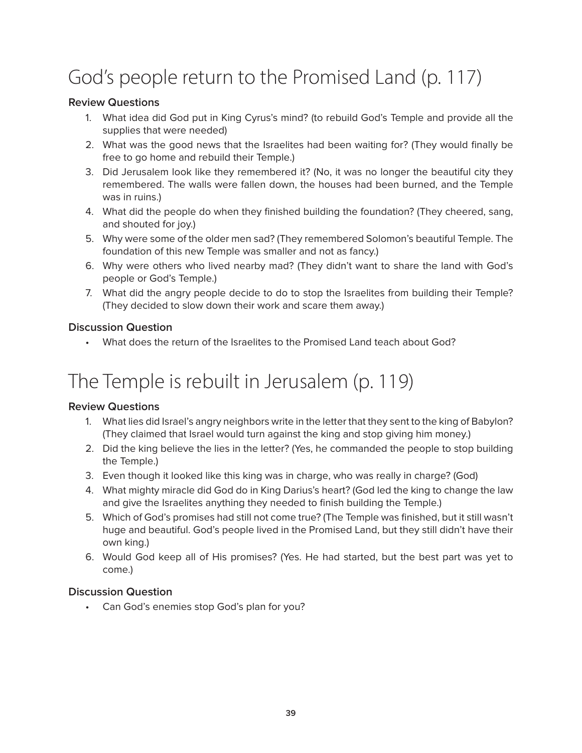# God's people return to the Promised Land (p. 117)

#### **Review Questions**

- 1. What idea did God put in King Cyrus's mind? (to rebuild God's Temple and provide all the supplies that were needed)
- 2. What was the good news that the Israelites had been waiting for? (They would finally be free to go home and rebuild their Temple.)
- 3. Did Jerusalem look like they remembered it? (No, it was no longer the beautiful city they remembered. The walls were fallen down, the houses had been burned, and the Temple was in ruins.)
- 4. What did the people do when they finished building the foundation? (They cheered, sang, and shouted for joy.)
- 5. Why were some of the older men sad? (They remembered Solomon's beautiful Temple. The foundation of this new Temple was smaller and not as fancy.)
- 6. Why were others who lived nearby mad? (They didn't want to share the land with God's people or God's Temple.)
- 7. What did the angry people decide to do to stop the Israelites from building their Temple? (They decided to slow down their work and scare them away.)

#### **Discussion Question**

• What does the return of the Israelites to the Promised Land teach about God?

# The Temple is rebuilt in Jerusalem (p. 119)

#### **Review Questions**

- 1. What lies did Israel's angry neighbors write in the letter that they sent to the king of Babylon? (They claimed that Israel would turn against the king and stop giving him money.)
- 2. Did the king believe the lies in the letter? (Yes, he commanded the people to stop building the Temple.)
- 3. Even though it looked like this king was in charge, who was really in charge? (God)
- 4. What mighty miracle did God do in King Darius's heart? (God led the king to change the law and give the Israelites anything they needed to finish building the Temple.)
- 5. Which of God's promises had still not come true? (The Temple was finished, but it still wasn't huge and beautiful. God's people lived in the Promised Land, but they still didn't have their own king.)
- 6. Would God keep all of His promises? (Yes. He had started, but the best part was yet to come.)

#### **Discussion Question**

• Can God's enemies stop God's plan for you?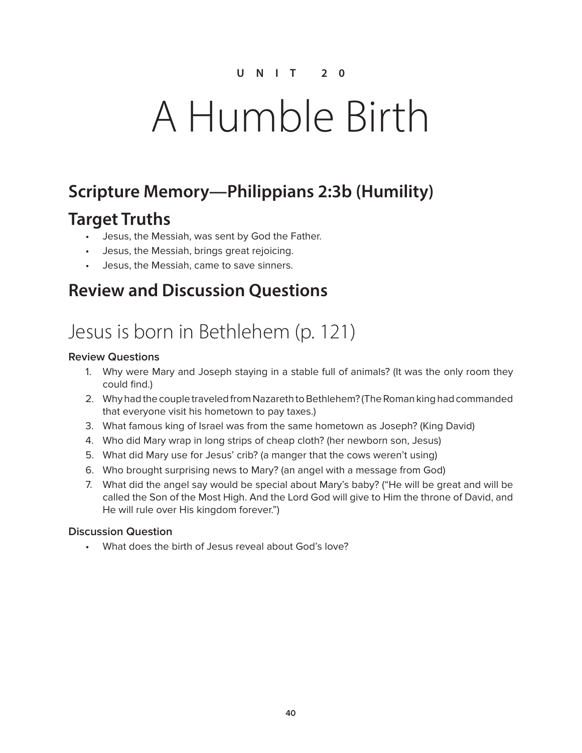# A Humble Birth

## **Scripture Memory—Philippians 2:3b (Humility)**

### **Target Truths**

- Jesus, the Messiah, was sent by God the Father.
- Jesus, the Messiah, brings great rejoicing.
- Jesus, the Messiah, came to save sinners.

### **Review and Discussion Questions**

## Jesus is born in Bethlehem (p. 121)

#### **Review Questions**

- 1. Why were Mary and Joseph staying in a stable full of animals? (It was the only room they could find.)
- 2. Why had the couple traveled from Nazareth to Bethlehem? (The Roman king had commanded that everyone visit his hometown to pay taxes.)
- 3. What famous king of Israel was from the same hometown as Joseph? (King David)
- 4. Who did Mary wrap in long strips of cheap cloth? (her newborn son, Jesus)
- 5. What did Mary use for Jesus' crib? (a manger that the cows weren't using)
- 6. Who brought surprising news to Mary? (an angel with a message from God)
- 7. What did the angel say would be special about Mary's baby? ("He will be great and will be called the Son of the Most High. And the Lord God will give to Him the throne of David, and He will rule over His kingdom forever.")

#### **Discussion Question**

• What does the birth of Jesus reveal about God's love?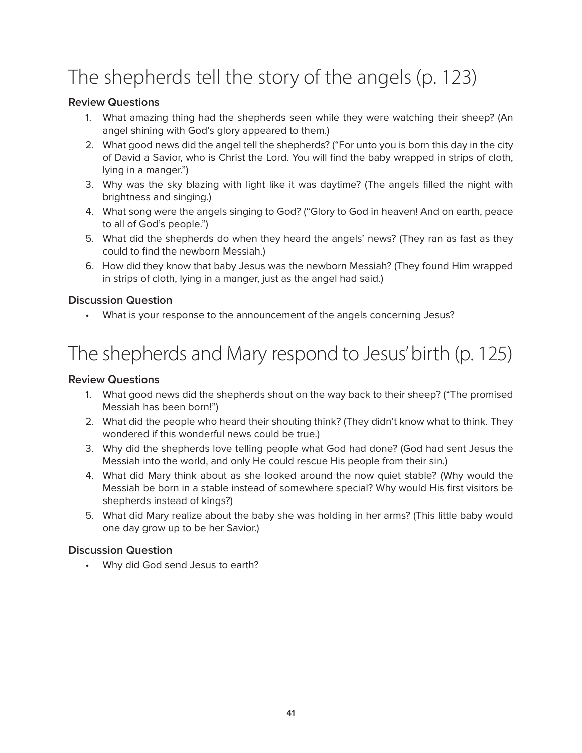# The shepherds tell the story of the angels (p. 123)

#### **Review Questions**

- 1. What amazing thing had the shepherds seen while they were watching their sheep? (An angel shining with God's glory appeared to them.)
- 2. What good news did the angel tell the shepherds? ("For unto you is born this day in the city of David a Savior, who is Christ the Lord. You will find the baby wrapped in strips of cloth, lying in a manger.")
- 3. Why was the sky blazing with light like it was daytime? (The angels filled the night with brightness and singing.)
- 4. What song were the angels singing to God? ("Glory to God in heaven! And on earth, peace to all of God's people.")
- 5. What did the shepherds do when they heard the angels' news? (They ran as fast as they could to find the newborn Messiah.)
- 6. How did they know that baby Jesus was the newborn Messiah? (They found Him wrapped in strips of cloth, lying in a manger, just as the angel had said.)

#### **Discussion Question**

What is your response to the announcement of the angels concerning Jesus?

# The shepherds and Mary respond to Jesus' birth (p. 125)

#### **Review Questions**

- 1. What good news did the shepherds shout on the way back to their sheep? ("The promised Messiah has been born!")
- 2. What did the people who heard their shouting think? (They didn't know what to think. They wondered if this wonderful news could be true.)
- 3. Why did the shepherds love telling people what God had done? (God had sent Jesus the Messiah into the world, and only He could rescue His people from their sin.)
- 4. What did Mary think about as she looked around the now quiet stable? (Why would the Messiah be born in a stable instead of somewhere special? Why would His first visitors be shepherds instead of kings?)
- 5. What did Mary realize about the baby she was holding in her arms? (This little baby would one day grow up to be her Savior.)

#### **Discussion Question**

• Why did God send Jesus to earth?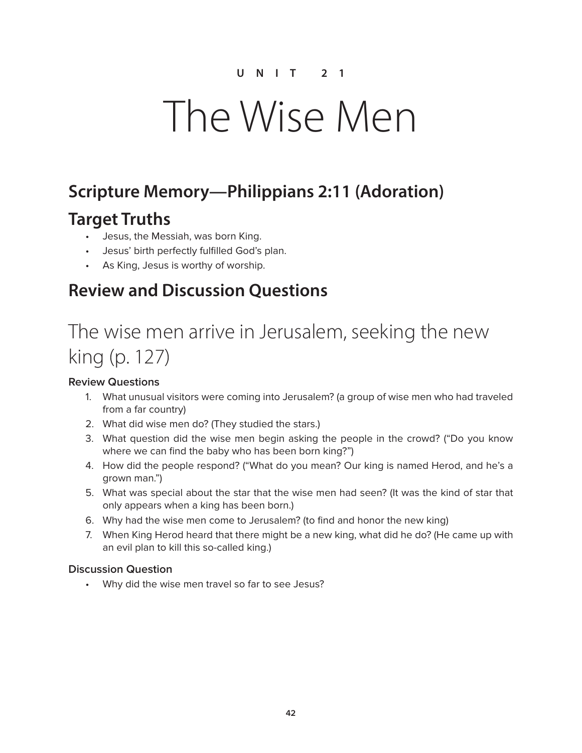# The Wise Men

## **Scripture Memory—Philippians 2:11 (Adoration)**

### **Target Truths**

- Jesus, the Messiah, was born King.
- Jesus' birth perfectly fulfilled God's plan.
- As King, Jesus is worthy of worship.

### **Review and Discussion Questions**

# The wise men arrive in Jerusalem, seeking the new king (p. 127)

#### **Review Questions**

- 1. What unusual visitors were coming into Jerusalem? (a group of wise men who had traveled from a far country)
- 2. What did wise men do? (They studied the stars.)
- 3. What question did the wise men begin asking the people in the crowd? ("Do you know where we can find the baby who has been born king?")
- 4. How did the people respond? ("What do you mean? Our king is named Herod, and he's a grown man.")
- 5. What was special about the star that the wise men had seen? (It was the kind of star that only appears when a king has been born.)
- 6. Why had the wise men come to Jerusalem? (to find and honor the new king)
- 7. When King Herod heard that there might be a new king, what did he do? (He came up with an evil plan to kill this so-called king.)

#### **Discussion Question**

• Why did the wise men travel so far to see Jesus?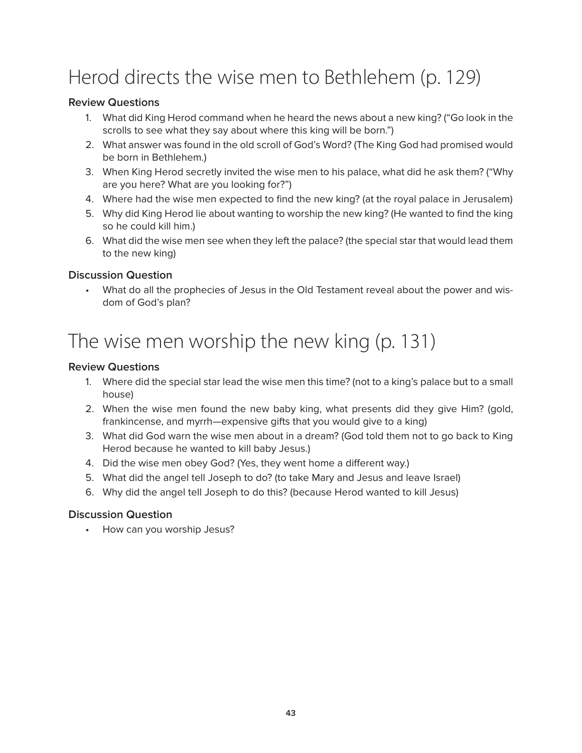# Herod directs the wise men to Bethlehem (p. 129)

#### **Review Questions**

- 1. What did King Herod command when he heard the news about a new king? ("Go look in the scrolls to see what they say about where this king will be born.")
- 2. What answer was found in the old scroll of God's Word? (The King God had promised would be born in Bethlehem.)
- 3. When King Herod secretly invited the wise men to his palace, what did he ask them? ("Why are you here? What are you looking for?")
- 4. Where had the wise men expected to find the new king? (at the royal palace in Jerusalem)
- 5. Why did King Herod lie about wanting to worship the new king? (He wanted to find the king so he could kill him.)
- 6. What did the wise men see when they left the palace? (the special star that would lead them to the new king)

#### **Discussion Question**

• What do all the prophecies of Jesus in the Old Testament reveal about the power and wisdom of God's plan?

# The wise men worship the new king (p. 131)

#### **Review Questions**

- 1. Where did the special star lead the wise men this time? (not to a king's palace but to a small house)
- 2. When the wise men found the new baby king, what presents did they give Him? (gold, frankincense, and myrrh—expensive gifts that you would give to a king)
- 3. What did God warn the wise men about in a dream? (God told them not to go back to King Herod because he wanted to kill baby Jesus.)
- 4. Did the wise men obey God? (Yes, they went home a different way.)
- 5. What did the angel tell Joseph to do? (to take Mary and Jesus and leave Israel)
- 6. Why did the angel tell Joseph to do this? (because Herod wanted to kill Jesus)

#### **Discussion Question**

• How can you worship Jesus?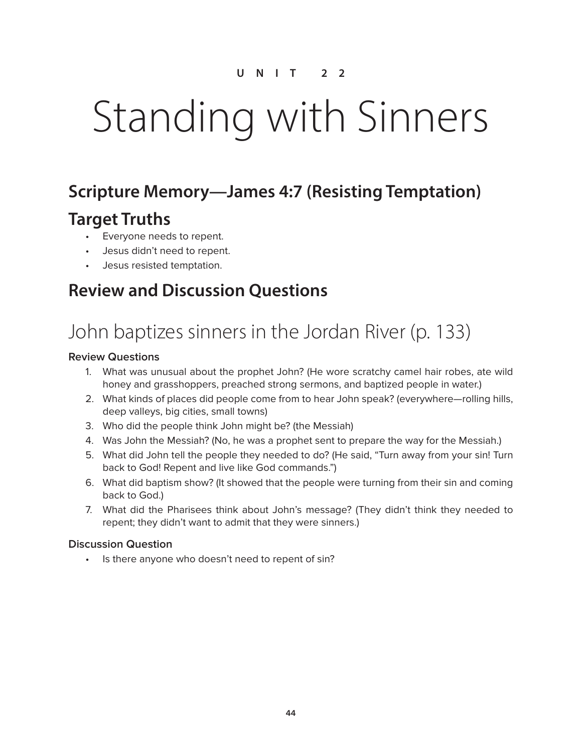# Standing with Sinners

### **Scripture Memory—James 4:7 (Resisting Temptation)**

### **Target Truths**

- Everyone needs to repent.
- Jesus didn't need to repent.
- Jesus resisted temptation.

### **Review and Discussion Questions**

# John baptizes sinners in the Jordan River (p. 133)

#### **Review Questions**

- 1. What was unusual about the prophet John? (He wore scratchy camel hair robes, ate wild honey and grasshoppers, preached strong sermons, and baptized people in water.)
- 2. What kinds of places did people come from to hear John speak? (everywhere—rolling hills, deep valleys, big cities, small towns)
- 3. Who did the people think John might be? (the Messiah)
- 4. Was John the Messiah? (No, he was a prophet sent to prepare the way for the Messiah.)
- 5. What did John tell the people they needed to do? (He said, "Turn away from your sin! Turn back to God! Repent and live like God commands.")
- 6. What did baptism show? (It showed that the people were turning from their sin and coming back to God.)
- 7. What did the Pharisees think about John's message? (They didn't think they needed to repent; they didn't want to admit that they were sinners.)

#### **Discussion Question**

• Is there anyone who doesn't need to repent of sin?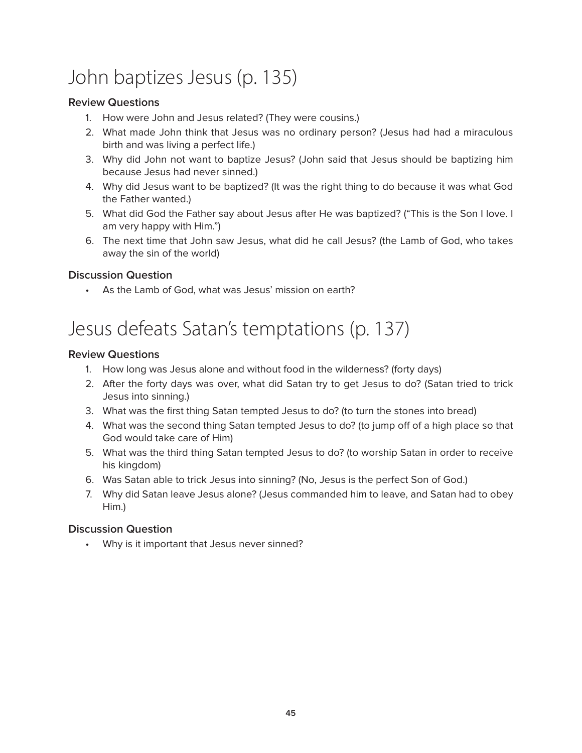# John baptizes Jesus (p. 135)

#### **Review Questions**

- 1. How were John and Jesus related? (They were cousins.)
- 2. What made John think that Jesus was no ordinary person? (Jesus had had a miraculous birth and was living a perfect life.)
- 3. Why did John not want to baptize Jesus? (John said that Jesus should be baptizing him because Jesus had never sinned.)
- 4. Why did Jesus want to be baptized? (It was the right thing to do because it was what God the Father wanted.)
- 5. What did God the Father say about Jesus after He was baptized? ("This is the Son I love. I am very happy with Him.")
- 6. The next time that John saw Jesus, what did he call Jesus? (the Lamb of God, who takes away the sin of the world)

#### **Discussion Question**

• As the Lamb of God, what was Jesus' mission on earth?

# Jesus defeats Satan's temptations (p. 137)

#### **Review Questions**

- 1. How long was Jesus alone and without food in the wilderness? (forty days)
- 2. After the forty days was over, what did Satan try to get Jesus to do? (Satan tried to trick Jesus into sinning.)
- 3. What was the first thing Satan tempted Jesus to do? (to turn the stones into bread)
- 4. What was the second thing Satan tempted Jesus to do? (to jump off of a high place so that God would take care of Him)
- 5. What was the third thing Satan tempted Jesus to do? (to worship Satan in order to receive his kingdom)
- 6. Was Satan able to trick Jesus into sinning? (No, Jesus is the perfect Son of God.)
- 7. Why did Satan leave Jesus alone? (Jesus commanded him to leave, and Satan had to obey Him.)

#### **Discussion Question**

• Why is it important that Jesus never sinned?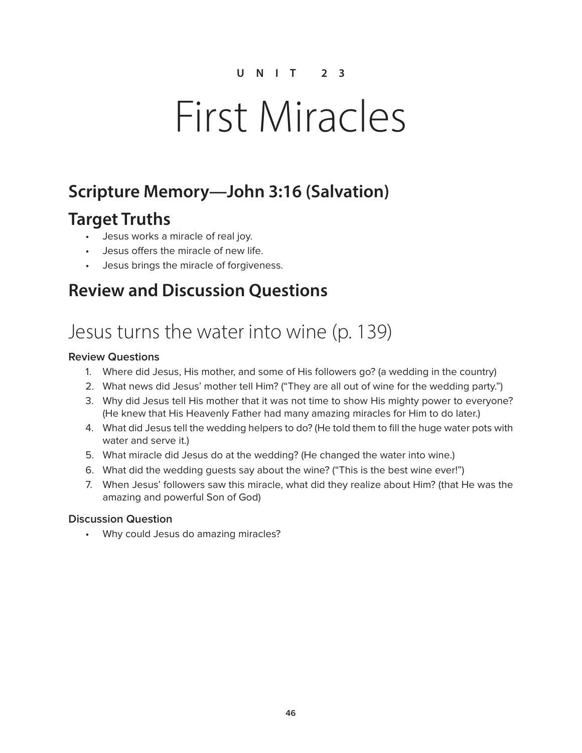# First Miracles

## **Scripture Memory—John 3:16 (Salvation)**

### **Target Truths**

- Jesus works a miracle of real joy.
- Jesus offers the miracle of new life.
- Jesus brings the miracle of forgiveness.

### **Review and Discussion Questions**

## Jesus turns the water into wine (p. 139)

#### **Review Questions**

- 1. Where did Jesus, His mother, and some of His followers go? (a wedding in the country)
- 2. What news did Jesus' mother tell Him? ("They are all out of wine for the wedding party.")
- 3. Why did Jesus tell His mother that it was not time to show His mighty power to everyone? (He knew that His Heavenly Father had many amazing miracles for Him to do later.)
- 4. What did Jesus tell the wedding helpers to do? (He told them to fill the huge water pots with water and serve it.)
- 5. What miracle did Jesus do at the wedding? (He changed the water into wine.)
- 6. What did the wedding guests say about the wine? ("This is the best wine ever!")
- 7. When Jesus' followers saw this miracle, what did they realize about Him? (that He was the amazing and powerful Son of God)

#### **Discussion Question**

• Why could Jesus do amazing miracles?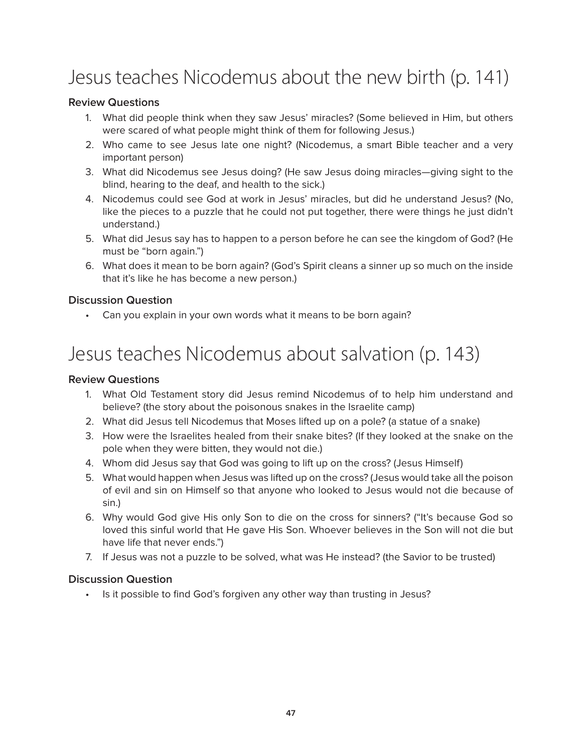# Jesus teaches Nicodemus about the new birth (p. 141)

#### **Review Questions**

- 1. What did people think when they saw Jesus' miracles? (Some believed in Him, but others were scared of what people might think of them for following Jesus.)
- 2. Who came to see Jesus late one night? (Nicodemus, a smart Bible teacher and a very important person)
- 3. What did Nicodemus see Jesus doing? (He saw Jesus doing miracles—giving sight to the blind, hearing to the deaf, and health to the sick.)
- 4. Nicodemus could see God at work in Jesus' miracles, but did he understand Jesus? (No, like the pieces to a puzzle that he could not put together, there were things he just didn't understand.)
- 5. What did Jesus say has to happen to a person before he can see the kingdom of God? (He must be "born again.")
- 6. What does it mean to be born again? (God's Spirit cleans a sinner up so much on the inside that it's like he has become a new person.)

#### **Discussion Question**

• Can you explain in your own words what it means to be born again?

## Jesus teaches Nicodemus about salvation (p. 143)

#### **Review Questions**

- 1. What Old Testament story did Jesus remind Nicodemus of to help him understand and believe? (the story about the poisonous snakes in the Israelite camp)
- 2. What did Jesus tell Nicodemus that Moses lifted up on a pole? (a statue of a snake)
- 3. How were the Israelites healed from their snake bites? (If they looked at the snake on the pole when they were bitten, they would not die.)
- 4. Whom did Jesus say that God was going to lift up on the cross? (Jesus Himself)
- 5. What would happen when Jesus was lifted up on the cross? (Jesus would take all the poison of evil and sin on Himself so that anyone who looked to Jesus would not die because of sin.)
- 6. Why would God give His only Son to die on the cross for sinners? ("It's because God so loved this sinful world that He gave His Son. Whoever believes in the Son will not die but have life that never ends.")
- 7. If Jesus was not a puzzle to be solved, what was He instead? (the Savior to be trusted)

#### **Discussion Question**

• Is it possible to find God's forgiven any other way than trusting in Jesus?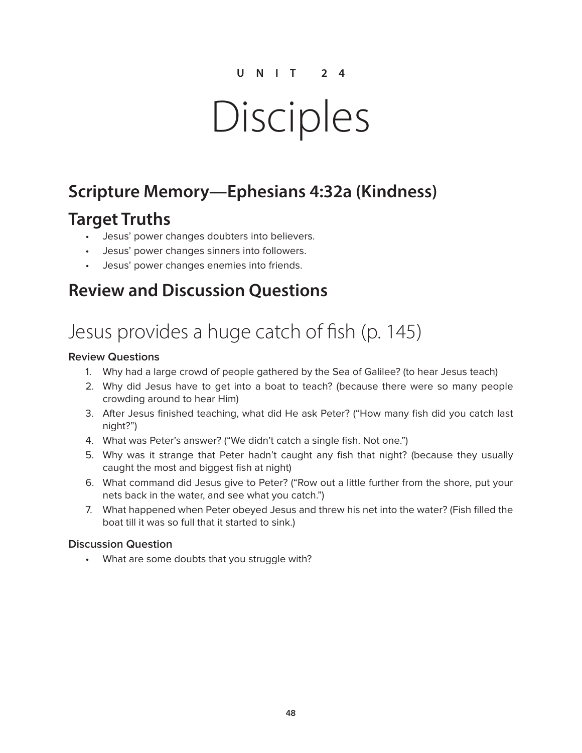# Disciples

### **Scripture Memory—Ephesians 4:32a (Kindness)**

### **Target Truths**

- Jesus' power changes doubters into believers.
- Jesus' power changes sinners into followers.
- Jesus' power changes enemies into friends.

### **Review and Discussion Questions**

# Jesus provides a huge catch of fish (p. 145)

#### **Review Questions**

- 1. Why had a large crowd of people gathered by the Sea of Galilee? (to hear Jesus teach)
- 2. Why did Jesus have to get into a boat to teach? (because there were so many people crowding around to hear Him)
- 3. After Jesus finished teaching, what did He ask Peter? ("How many fish did you catch last night?")
- 4. What was Peter's answer? ("We didn't catch a single fish. Not one.")
- 5. Why was it strange that Peter hadn't caught any fish that night? (because they usually caught the most and biggest fish at night)
- 6. What command did Jesus give to Peter? ("Row out a little further from the shore, put your nets back in the water, and see what you catch.")
- 7. What happened when Peter obeyed Jesus and threw his net into the water? (Fish filled the boat till it was so full that it started to sink.)

#### **Discussion Question**

• What are some doubts that you struggle with?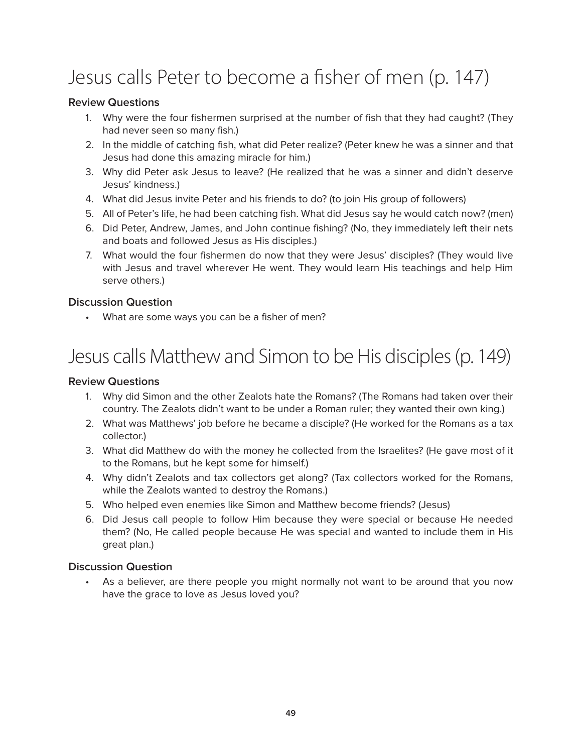# Jesus calls Peter to become a fisher of men (p. 147)

#### **Review Questions**

- 1. Why were the four fishermen surprised at the number of fish that they had caught? (They had never seen so many fish.)
- 2. In the middle of catching fish, what did Peter realize? (Peter knew he was a sinner and that Jesus had done this amazing miracle for him.)
- 3. Why did Peter ask Jesus to leave? (He realized that he was a sinner and didn't deserve Jesus' kindness.)
- 4. What did Jesus invite Peter and his friends to do? (to join His group of followers)
- 5. All of Peter's life, he had been catching fish. What did Jesus say he would catch now? (men)
- 6. Did Peter, Andrew, James, and John continue fishing? (No, they immediately left their nets and boats and followed Jesus as His disciples.)
- 7. What would the four fishermen do now that they were Jesus' disciples? (They would live with Jesus and travel wherever He went. They would learn His teachings and help Him serve others.)

#### **Discussion Question**

• What are some ways you can be a fisher of men?

# Jesus calls Matthew and Simon to be His disciples (p. 149)

#### **Review Questions**

- 1. Why did Simon and the other Zealots hate the Romans? (The Romans had taken over their country. The Zealots didn't want to be under a Roman ruler; they wanted their own king.)
- 2. What was Matthews' job before he became a disciple? (He worked for the Romans as a tax collector.)
- 3. What did Matthew do with the money he collected from the Israelites? (He gave most of it to the Romans, but he kept some for himself.)
- 4. Why didn't Zealots and tax collectors get along? (Tax collectors worked for the Romans, while the Zealots wanted to destroy the Romans.)
- 5. Who helped even enemies like Simon and Matthew become friends? (Jesus)
- 6. Did Jesus call people to follow Him because they were special or because He needed them? (No, He called people because He was special and wanted to include them in His great plan.)

#### **Discussion Question**

As a believer, are there people you might normally not want to be around that you now have the grace to love as Jesus loved you?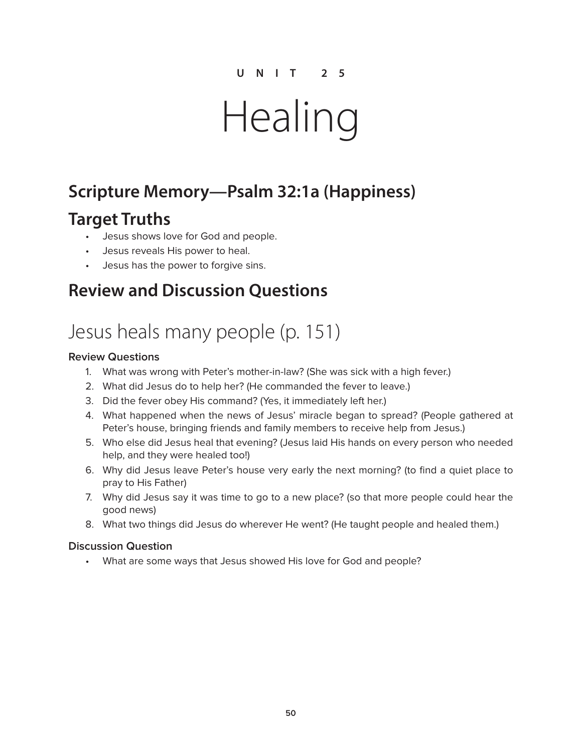# Healing

## **Scripture Memory—Psalm 32:1a (Happiness)**

### **Target Truths**

- Jesus shows love for God and people.
- Jesus reveals His power to heal.
- Jesus has the power to forgive sins.

### **Review and Discussion Questions**

## Jesus heals many people (p. 151)

#### **Review Questions**

- 1. What was wrong with Peter's mother-in-law? (She was sick with a high fever.)
- 2. What did Jesus do to help her? (He commanded the fever to leave.)
- 3. Did the fever obey His command? (Yes, it immediately left her.)
- 4. What happened when the news of Jesus' miracle began to spread? (People gathered at Peter's house, bringing friends and family members to receive help from Jesus.)
- 5. Who else did Jesus heal that evening? (Jesus laid His hands on every person who needed help, and they were healed too!)
- 6. Why did Jesus leave Peter's house very early the next morning? (to find a quiet place to pray to His Father)
- 7. Why did Jesus say it was time to go to a new place? (so that more people could hear the good news)
- 8. What two things did Jesus do wherever He went? (He taught people and healed them.)

#### **Discussion Question**

• What are some ways that Jesus showed His love for God and people?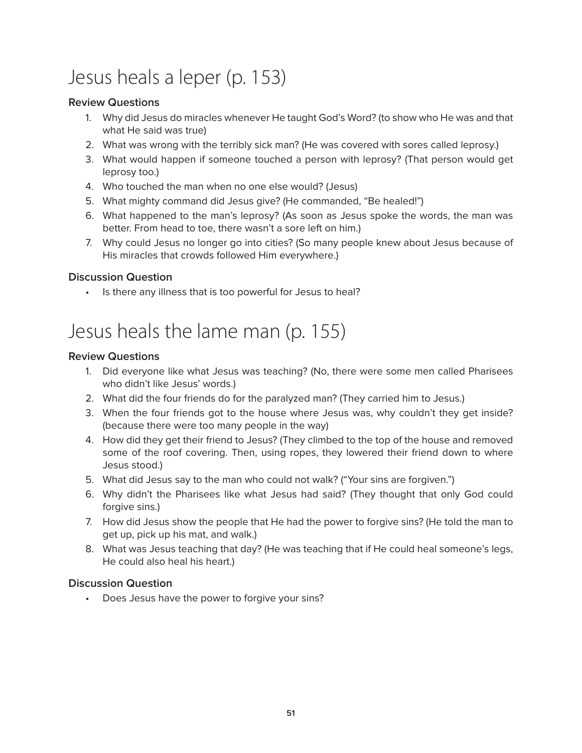# Jesus heals a leper (p. 153)

#### **Review Questions**

- 1. Why did Jesus do miracles whenever He taught God's Word? (to show who He was and that what He said was true)
- 2. What was wrong with the terribly sick man? (He was covered with sores called leprosy.)
- 3. What would happen if someone touched a person with leprosy? (That person would get leprosy too.)
- 4. Who touched the man when no one else would? (Jesus)
- 5. What mighty command did Jesus give? (He commanded, "Be healed!")
- 6. What happened to the man's leprosy? (As soon as Jesus spoke the words, the man was better. From head to toe, there wasn't a sore left on him.)
- 7. Why could Jesus no longer go into cities? (So many people knew about Jesus because of His miracles that crowds followed Him everywhere.)

#### **Discussion Question**

Is there any illness that is too powerful for Jesus to heal?

## Jesus heals the lame man (p. 155)

#### **Review Questions**

- 1. Did everyone like what Jesus was teaching? (No, there were some men called Pharisees who didn't like Jesus' words.)
- 2. What did the four friends do for the paralyzed man? (They carried him to Jesus.)
- 3. When the four friends got to the house where Jesus was, why couldn't they get inside? (because there were too many people in the way)
- 4. How did they get their friend to Jesus? (They climbed to the top of the house and removed some of the roof covering. Then, using ropes, they lowered their friend down to where Jesus stood.)
- 5. What did Jesus say to the man who could not walk? ("Your sins are forgiven.")
- 6. Why didn't the Pharisees like what Jesus had said? (They thought that only God could forgive sins.)
- 7. How did Jesus show the people that He had the power to forgive sins? (He told the man to get up, pick up his mat, and walk.)
- 8. What was Jesus teaching that day? (He was teaching that if He could heal someone's legs, He could also heal his heart.)

#### **Discussion Question**

• Does Jesus have the power to forgive your sins?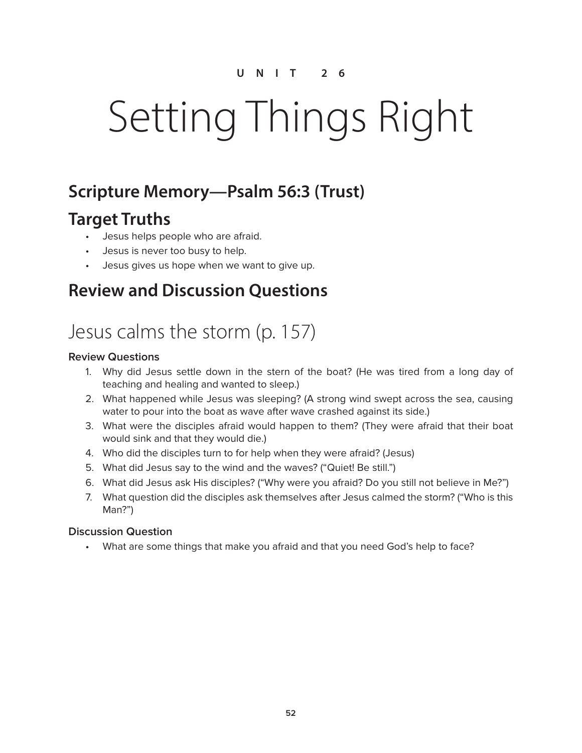# Setting Things Right

### **Scripture Memory—Psalm 56:3 (Trust)**

### **Target Truths**

- Jesus helps people who are afraid.
- Jesus is never too busy to help.
- Jesus gives us hope when we want to give up.

### **Review and Discussion Questions**

# Jesus calms the storm (p. 157)

#### **Review Questions**

- 1. Why did Jesus settle down in the stern of the boat? (He was tired from a long day of teaching and healing and wanted to sleep.)
- 2. What happened while Jesus was sleeping? (A strong wind swept across the sea, causing water to pour into the boat as wave after wave crashed against its side.)
- 3. What were the disciples afraid would happen to them? (They were afraid that their boat would sink and that they would die.)
- 4. Who did the disciples turn to for help when they were afraid? (Jesus)
- 5. What did Jesus say to the wind and the waves? ("Quiet! Be still.")
- 6. What did Jesus ask His disciples? ("Why were you afraid? Do you still not believe in Me?")
- 7. What question did the disciples ask themselves after Jesus calmed the storm? ("Who is this Man?")

#### **Discussion Question**

• What are some things that make you afraid and that you need God's help to face?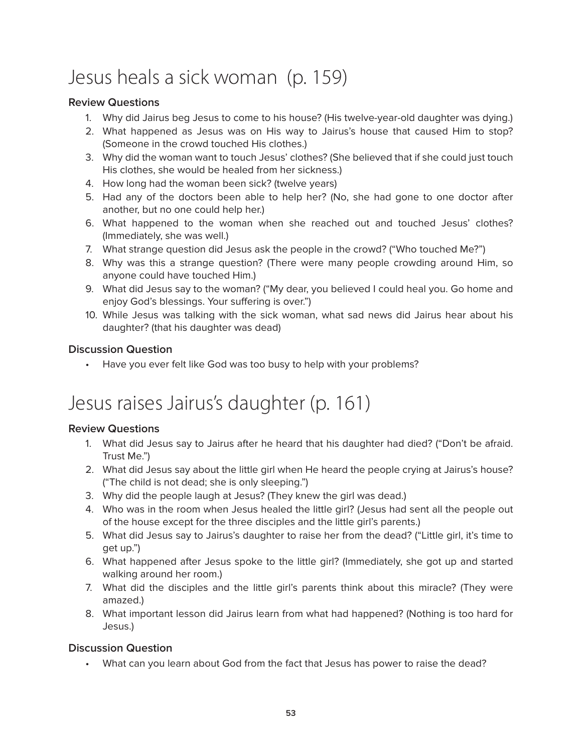# Jesus heals a sick woman (p. 159)

#### **Review Questions**

- 1. Why did Jairus beg Jesus to come to his house? (His twelve-year-old daughter was dying.)
- 2. What happened as Jesus was on His way to Jairus's house that caused Him to stop? (Someone in the crowd touched His clothes.)
- 3. Why did the woman want to touch Jesus' clothes? (She believed that if she could just touch His clothes, she would be healed from her sickness.)
- 4. How long had the woman been sick? (twelve years)
- 5. Had any of the doctors been able to help her? (No, she had gone to one doctor after another, but no one could help her.)
- 6. What happened to the woman when she reached out and touched Jesus' clothes? (Immediately, she was well.)
- 7. What strange question did Jesus ask the people in the crowd? ("Who touched Me?")
- 8. Why was this a strange question? (There were many people crowding around Him, so anyone could have touched Him.)
- 9. What did Jesus say to the woman? ("My dear, you believed I could heal you. Go home and enjoy God's blessings. Your suffering is over.")
- 10. While Jesus was talking with the sick woman, what sad news did Jairus hear about his daughter? (that his daughter was dead)

#### **Discussion Question**

Have you ever felt like God was too busy to help with your problems?

## Jesus raises Jairus's daughter (p. 161)

#### **Review Questions**

- 1. What did Jesus say to Jairus after he heard that his daughter had died? ("Don't be afraid. Trust Me.")
- 2. What did Jesus say about the little girl when He heard the people crying at Jairus's house? ("The child is not dead; she is only sleeping.")
- 3. Why did the people laugh at Jesus? (They knew the girl was dead.)
- 4. Who was in the room when Jesus healed the little girl? (Jesus had sent all the people out of the house except for the three disciples and the little girl's parents.)
- 5. What did Jesus say to Jairus's daughter to raise her from the dead? ("Little girl, it's time to get up.")
- 6. What happened after Jesus spoke to the little girl? (Immediately, she got up and started walking around her room.)
- 7. What did the disciples and the little girl's parents think about this miracle? (They were amazed.)
- 8. What important lesson did Jairus learn from what had happened? (Nothing is too hard for Jesus.)

#### **Discussion Question**

• What can you learn about God from the fact that Jesus has power to raise the dead?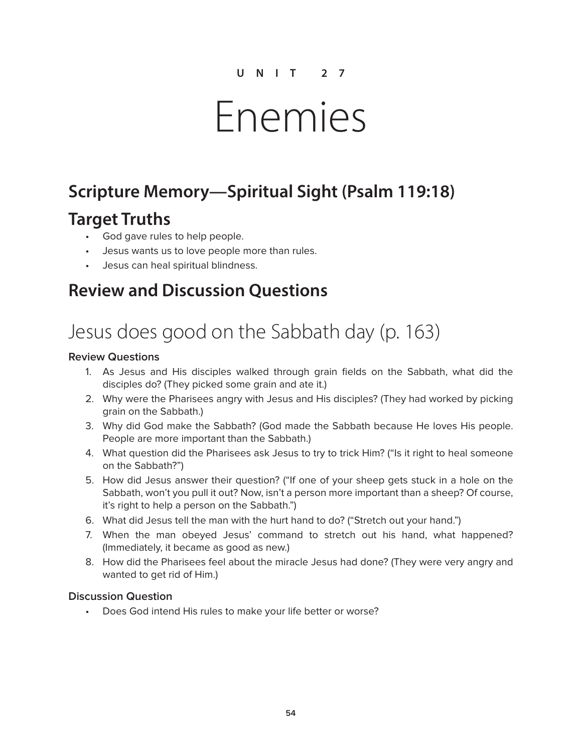# Enemies

### **Scripture Memory—Spiritual Sight (Psalm 119:18)**

### **Target Truths**

- God gave rules to help people.
- Jesus wants us to love people more than rules.
- Jesus can heal spiritual blindness.

### **Review and Discussion Questions**

# Jesus does good on the Sabbath day (p. 163)

#### **Review Questions**

- 1. As Jesus and His disciples walked through grain fields on the Sabbath, what did the disciples do? (They picked some grain and ate it.)
- 2. Why were the Pharisees angry with Jesus and His disciples? (They had worked by picking grain on the Sabbath.)
- 3. Why did God make the Sabbath? (God made the Sabbath because He loves His people. People are more important than the Sabbath.)
- 4. What question did the Pharisees ask Jesus to try to trick Him? ("Is it right to heal someone on the Sabbath?")
- 5. How did Jesus answer their question? ("If one of your sheep gets stuck in a hole on the Sabbath, won't you pull it out? Now, isn't a person more important than a sheep? Of course, it's right to help a person on the Sabbath.")
- 6. What did Jesus tell the man with the hurt hand to do? ("Stretch out your hand.")
- 7. When the man obeyed Jesus' command to stretch out his hand, what happened? (Immediately, it became as good as new.)
- 8. How did the Pharisees feel about the miracle Jesus had done? (They were very angry and wanted to get rid of Him.)

#### **Discussion Question**

• Does God intend His rules to make your life better or worse?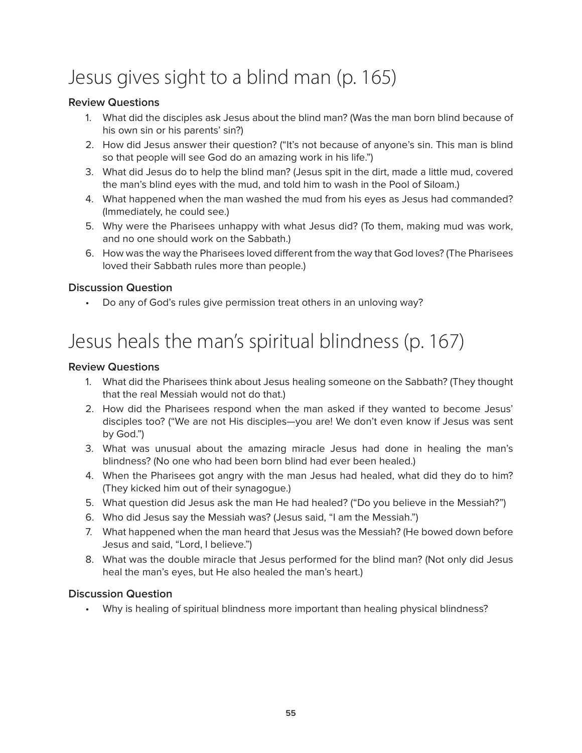# Jesus gives sight to a blind man (p. 165)

#### **Review Questions**

- 1. What did the disciples ask Jesus about the blind man? (Was the man born blind because of his own sin or his parents' sin?)
- 2. How did Jesus answer their question? ("It's not because of anyone's sin. This man is blind so that people will see God do an amazing work in his life.")
- 3. What did Jesus do to help the blind man? (Jesus spit in the dirt, made a little mud, covered the man's blind eyes with the mud, and told him to wash in the Pool of Siloam.)
- 4. What happened when the man washed the mud from his eyes as Jesus had commanded? (Immediately, he could see.)
- 5. Why were the Pharisees unhappy with what Jesus did? (To them, making mud was work, and no one should work on the Sabbath.)
- 6. How was the way the Pharisees loved different from the way that God loves? (The Pharisees loved their Sabbath rules more than people.)

#### **Discussion Question**

• Do any of God's rules give permission treat others in an unloving way?

# Jesus heals the man's spiritual blindness (p. 167)

#### **Review Questions**

- 1. What did the Pharisees think about Jesus healing someone on the Sabbath? (They thought that the real Messiah would not do that.)
- 2. How did the Pharisees respond when the man asked if they wanted to become Jesus' disciples too? ("We are not His disciples—you are! We don't even know if Jesus was sent by God.")
- 3. What was unusual about the amazing miracle Jesus had done in healing the man's blindness? (No one who had been born blind had ever been healed.)
- 4. When the Pharisees got angry with the man Jesus had healed, what did they do to him? (They kicked him out of their synagogue.)
- 5. What question did Jesus ask the man He had healed? ("Do you believe in the Messiah?")
- 6. Who did Jesus say the Messiah was? (Jesus said, "I am the Messiah.")
- 7. What happened when the man heard that Jesus was the Messiah? (He bowed down before Jesus and said, "Lord, I believe.")
- 8. What was the double miracle that Jesus performed for the blind man? (Not only did Jesus heal the man's eyes, but He also healed the man's heart.)

#### **Discussion Question**

• Why is healing of spiritual blindness more important than healing physical blindness?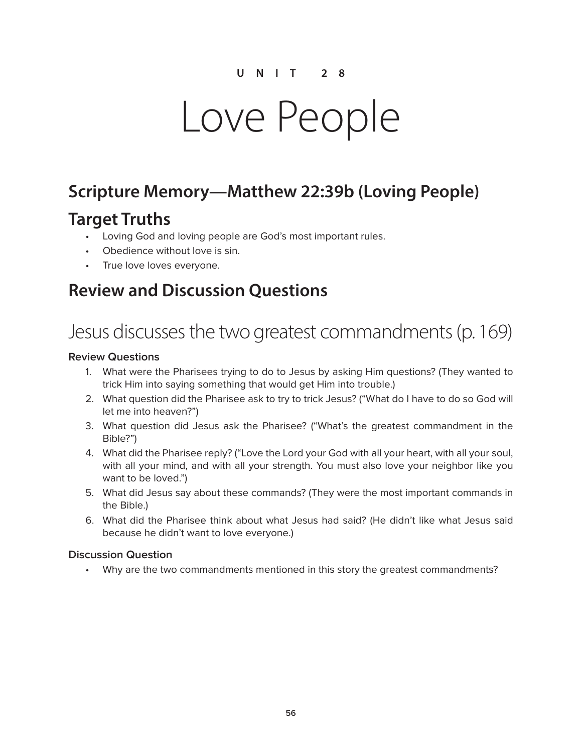# Love People

### **Scripture Memory—Matthew 22:39b (Loving People)**

### **Target Truths**

- Loving God and loving people are God's most important rules.
- Obedience without love is sin.
- True love loves everyone.

### **Review and Discussion Questions**

# Jesus discusses the two greatest commandments (p. 169)

#### **Review Questions**

- 1. What were the Pharisees trying to do to Jesus by asking Him questions? (They wanted to trick Him into saying something that would get Him into trouble.)
- 2. What question did the Pharisee ask to try to trick Jesus? ("What do I have to do so God will let me into heaven?")
- 3. What question did Jesus ask the Pharisee? ("What's the greatest commandment in the Bible?")
- 4. What did the Pharisee reply? ("Love the Lord your God with all your heart, with all your soul, with all your mind, and with all your strength. You must also love your neighbor like you want to be loved.")
- 5. What did Jesus say about these commands? (They were the most important commands in the Bible.)
- 6. What did the Pharisee think about what Jesus had said? (He didn't like what Jesus said because he didn't want to love everyone.)

#### **Discussion Question**

• Why are the two commandments mentioned in this story the greatest commandments?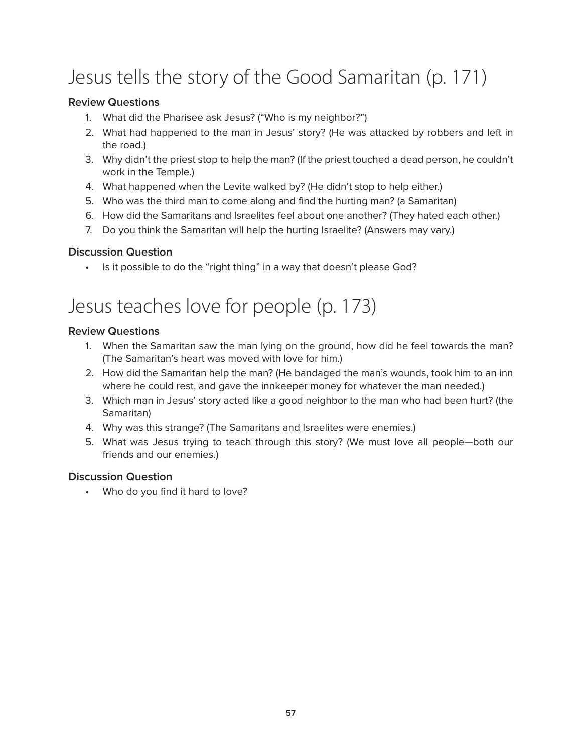# Jesus tells the story of the Good Samaritan (p. 171)

#### **Review Questions**

- 1. What did the Pharisee ask Jesus? ("Who is my neighbor?")
- 2. What had happened to the man in Jesus' story? (He was attacked by robbers and left in the road.)
- 3. Why didn't the priest stop to help the man? (If the priest touched a dead person, he couldn't work in the Temple.)
- 4. What happened when the Levite walked by? (He didn't stop to help either.)
- 5. Who was the third man to come along and find the hurting man? (a Samaritan)
- 6. How did the Samaritans and Israelites feel about one another? (They hated each other.)
- 7. Do you think the Samaritan will help the hurting Israelite? (Answers may vary.)

#### **Discussion Question**

• Is it possible to do the "right thing" in a way that doesn't please God?

## Jesus teaches love for people (p. 173)

#### **Review Questions**

- 1. When the Samaritan saw the man lying on the ground, how did he feel towards the man? (The Samaritan's heart was moved with love for him.)
- 2. How did the Samaritan help the man? (He bandaged the man's wounds, took him to an inn where he could rest, and gave the innkeeper money for whatever the man needed.)
- 3. Which man in Jesus' story acted like a good neighbor to the man who had been hurt? (the Samaritan)
- 4. Why was this strange? (The Samaritans and Israelites were enemies.)
- 5. What was Jesus trying to teach through this story? (We must love all people—both our friends and our enemies.)

#### **Discussion Question**

• Who do you find it hard to love?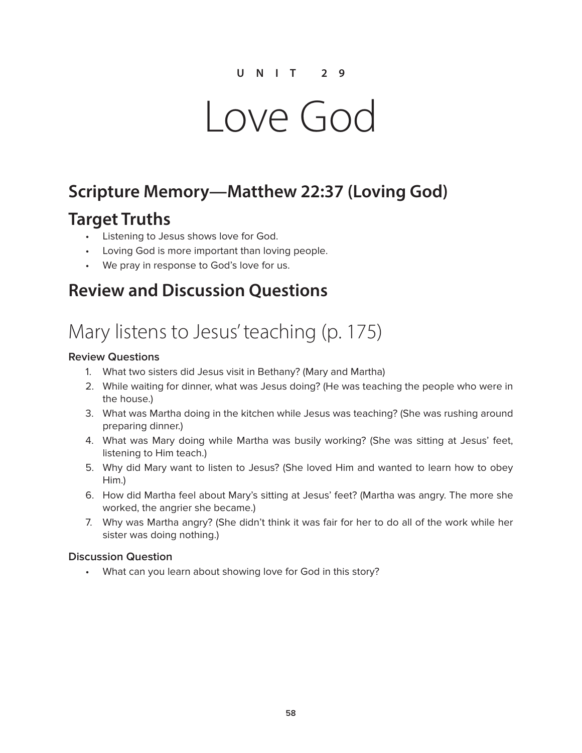# Love God

### **Scripture Memory—Matthew 22:37 (Loving God)**

### **Target Truths**

- Listening to Jesus shows love for God.
- Loving God is more important than loving people.
- We pray in response to God's love for us.

### **Review and Discussion Questions**

## Mary listens to Jesus' teaching (p. 175)

#### **Review Questions**

- 1. What two sisters did Jesus visit in Bethany? (Mary and Martha)
- 2. While waiting for dinner, what was Jesus doing? (He was teaching the people who were in the house.)
- 3. What was Martha doing in the kitchen while Jesus was teaching? (She was rushing around preparing dinner.)
- 4. What was Mary doing while Martha was busily working? (She was sitting at Jesus' feet, listening to Him teach.)
- 5. Why did Mary want to listen to Jesus? (She loved Him and wanted to learn how to obey Him.)
- 6. How did Martha feel about Mary's sitting at Jesus' feet? (Martha was angry. The more she worked, the angrier she became.)
- 7. Why was Martha angry? (She didn't think it was fair for her to do all of the work while her sister was doing nothing.)

#### **Discussion Question**

• What can you learn about showing love for God in this story?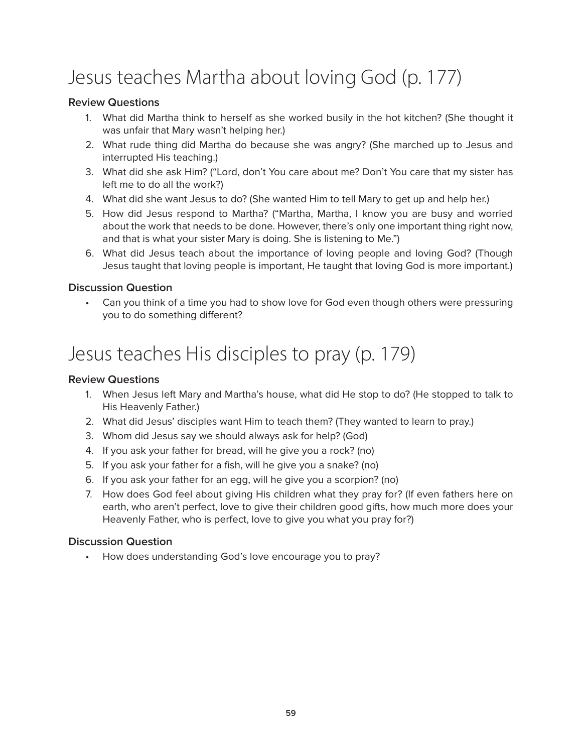# Jesus teaches Martha about loving God (p. 177)

#### **Review Questions**

- 1. What did Martha think to herself as she worked busily in the hot kitchen? (She thought it was unfair that Mary wasn't helping her.)
- 2. What rude thing did Martha do because she was angry? (She marched up to Jesus and interrupted His teaching.)
- 3. What did she ask Him? ("Lord, don't You care about me? Don't You care that my sister has left me to do all the work?)
- 4. What did she want Jesus to do? (She wanted Him to tell Mary to get up and help her.)
- 5. How did Jesus respond to Martha? ("Martha, Martha, I know you are busy and worried about the work that needs to be done. However, there's only one important thing right now, and that is what your sister Mary is doing. She is listening to Me.")
- 6. What did Jesus teach about the importance of loving people and loving God? (Though Jesus taught that loving people is important, He taught that loving God is more important.)

#### **Discussion Question**

• Can you think of a time you had to show love for God even though others were pressuring you to do something different?

## Jesus teaches His disciples to pray (p. 179)

#### **Review Questions**

- 1. When Jesus left Mary and Martha's house, what did He stop to do? (He stopped to talk to His Heavenly Father.)
- 2. What did Jesus' disciples want Him to teach them? (They wanted to learn to pray.)
- 3. Whom did Jesus say we should always ask for help? (God)
- 4. If you ask your father for bread, will he give you a rock? (no)
- 5. If you ask your father for a fish, will he give you a snake? (no)
- 6. If you ask your father for an egg, will he give you a scorpion? (no)
- 7. How does God feel about giving His children what they pray for? (If even fathers here on earth, who aren't perfect, love to give their children good gifts, how much more does your Heavenly Father, who is perfect, love to give you what you pray for?)

#### **Discussion Question**

• How does understanding God's love encourage you to pray?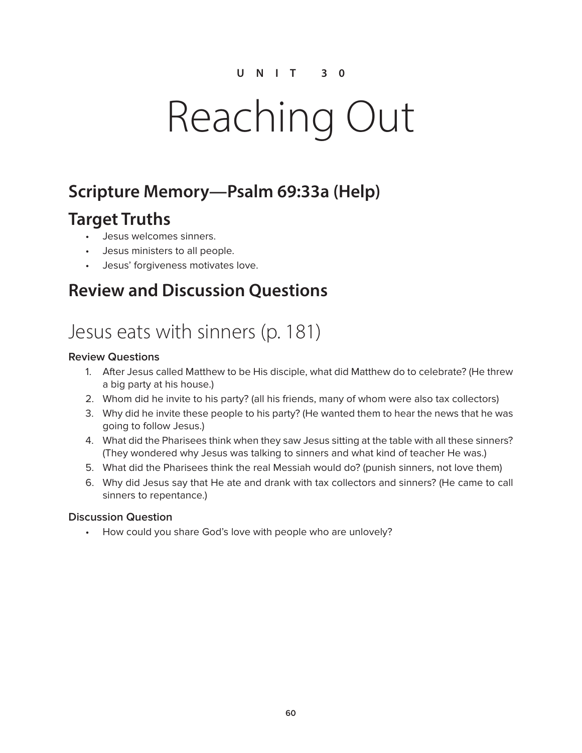# Reaching Out

### **Scripture Memory—Psalm 69:33a (Help)**

### **Target Truths**

- Jesus welcomes sinners.
- Jesus ministers to all people.
- Jesus' forgiveness motivates love.

### **Review and Discussion Questions**

## Jesus eats with sinners (p. 181)

#### **Review Questions**

- 1. After Jesus called Matthew to be His disciple, what did Matthew do to celebrate? (He threw a big party at his house.)
- 2. Whom did he invite to his party? (all his friends, many of whom were also tax collectors)
- 3. Why did he invite these people to his party? (He wanted them to hear the news that he was going to follow Jesus.)
- 4. What did the Pharisees think when they saw Jesus sitting at the table with all these sinners? (They wondered why Jesus was talking to sinners and what kind of teacher He was.)
- 5. What did the Pharisees think the real Messiah would do? (punish sinners, not love them)
- 6. Why did Jesus say that He ate and drank with tax collectors and sinners? (He came to call sinners to repentance.)

#### **Discussion Question**

• How could you share God's love with people who are unlovely?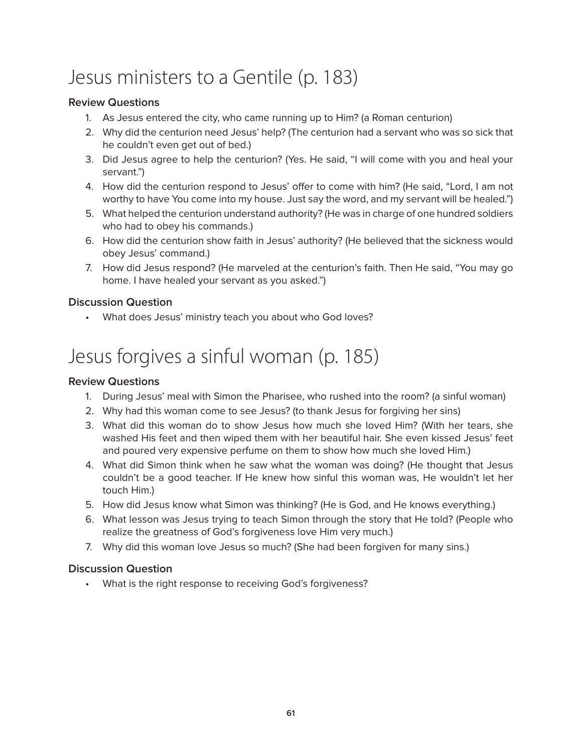# Jesus ministers to a Gentile (p. 183)

#### **Review Questions**

- 1. As Jesus entered the city, who came running up to Him? (a Roman centurion)
- 2. Why did the centurion need Jesus' help? (The centurion had a servant who was so sick that he couldn't even get out of bed.)
- 3. Did Jesus agree to help the centurion? (Yes. He said, "I will come with you and heal your servant.")
- 4. How did the centurion respond to Jesus' offer to come with him? (He said, "Lord, I am not worthy to have You come into my house. Just say the word, and my servant will be healed.")
- 5. What helped the centurion understand authority? (He was in charge of one hundred soldiers who had to obey his commands.)
- 6. How did the centurion show faith in Jesus' authority? (He believed that the sickness would obey Jesus' command.)
- 7. How did Jesus respond? (He marveled at the centurion's faith. Then He said, "You may go home. I have healed your servant as you asked.")

#### **Discussion Question**

• What does Jesus' ministry teach you about who God loves?

# Jesus forgives a sinful woman (p. 185)

#### **Review Questions**

- 1. During Jesus' meal with Simon the Pharisee, who rushed into the room? (a sinful woman)
- 2. Why had this woman come to see Jesus? (to thank Jesus for forgiving her sins)
- 3. What did this woman do to show Jesus how much she loved Him? (With her tears, she washed His feet and then wiped them with her beautiful hair. She even kissed Jesus' feet and poured very expensive perfume on them to show how much she loved Him.)
- 4. What did Simon think when he saw what the woman was doing? (He thought that Jesus couldn't be a good teacher. If He knew how sinful this woman was, He wouldn't let her touch Him.)
- 5. How did Jesus know what Simon was thinking? (He is God, and He knows everything.)
- 6. What lesson was Jesus trying to teach Simon through the story that He told? (People who realize the greatness of God's forgiveness love Him very much.)
- 7. Why did this woman love Jesus so much? (She had been forgiven for many sins.)

#### **Discussion Question**

• What is the right response to receiving God's forgiveness?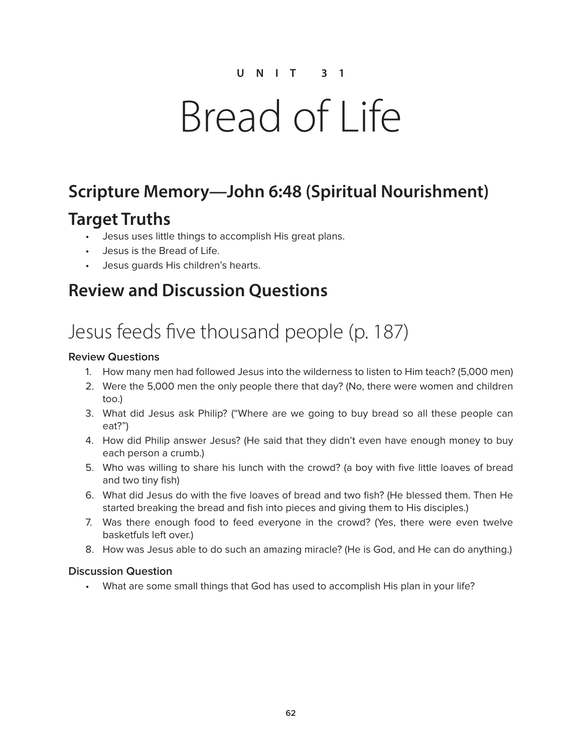# Bread of Life

## **Scripture Memory—John 6:48 (Spiritual Nourishment)**

### **Target Truths**

- Jesus uses little things to accomplish His great plans.
- Jesus is the Bread of Life.
- Jesus guards His children's hearts.

### **Review and Discussion Questions**

# Jesus feeds five thousand people (p. 187)

#### **Review Questions**

- 1. How many men had followed Jesus into the wilderness to listen to Him teach? (5,000 men)
- 2. Were the 5,000 men the only people there that day? (No, there were women and children too.)
- 3. What did Jesus ask Philip? ("Where are we going to buy bread so all these people can eat?")
- 4. How did Philip answer Jesus? (He said that they didn't even have enough money to buy each person a crumb.)
- 5. Who was willing to share his lunch with the crowd? (a boy with five little loaves of bread and two tiny fish)
- 6. What did Jesus do with the five loaves of bread and two fish? (He blessed them. Then He started breaking the bread and fish into pieces and giving them to His disciples.)
- 7. Was there enough food to feed everyone in the crowd? (Yes, there were even twelve basketfuls left over.)
- 8. How was Jesus able to do such an amazing miracle? (He is God, and He can do anything.)

#### **Discussion Question**

• What are some small things that God has used to accomplish His plan in your life?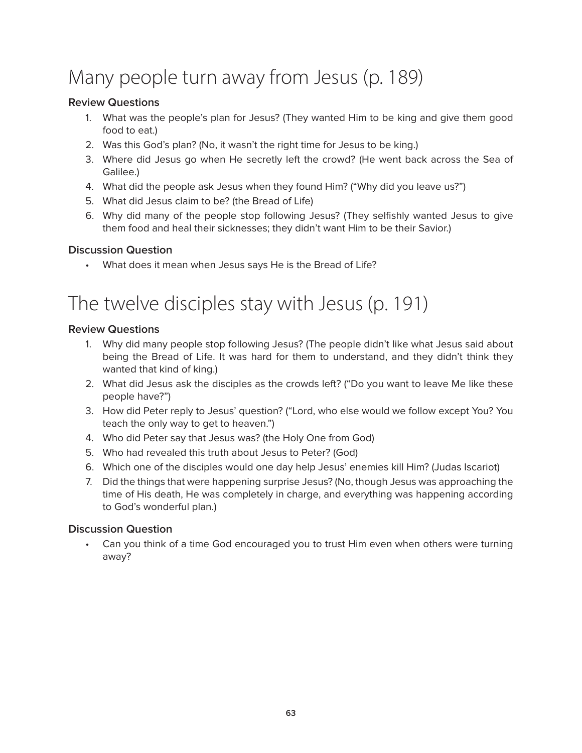# Many people turn away from Jesus (p. 189)

#### **Review Questions**

- 1. What was the people's plan for Jesus? (They wanted Him to be king and give them good food to eat.)
- 2. Was this God's plan? (No, it wasn't the right time for Jesus to be king.)
- 3. Where did Jesus go when He secretly left the crowd? (He went back across the Sea of Galilee.)
- 4. What did the people ask Jesus when they found Him? ("Why did you leave us?")
- 5. What did Jesus claim to be? (the Bread of Life)
- 6. Why did many of the people stop following Jesus? (They selfishly wanted Jesus to give them food and heal their sicknesses; they didn't want Him to be their Savior.)

#### **Discussion Question**

• What does it mean when Jesus says He is the Bread of Life?

## The twelve disciples stay with Jesus (p. 191)

#### **Review Questions**

- 1. Why did many people stop following Jesus? (The people didn't like what Jesus said about being the Bread of Life. It was hard for them to understand, and they didn't think they wanted that kind of king.)
- 2. What did Jesus ask the disciples as the crowds left? ("Do you want to leave Me like these people have?")
- 3. How did Peter reply to Jesus' question? ("Lord, who else would we follow except You? You teach the only way to get to heaven.")
- 4. Who did Peter say that Jesus was? (the Holy One from God)
- 5. Who had revealed this truth about Jesus to Peter? (God)
- 6. Which one of the disciples would one day help Jesus' enemies kill Him? (Judas Iscariot)
- 7. Did the things that were happening surprise Jesus? (No, though Jesus was approaching the time of His death, He was completely in charge, and everything was happening according to God's wonderful plan.)

#### **Discussion Question**

• Can you think of a time God encouraged you to trust Him even when others were turning away?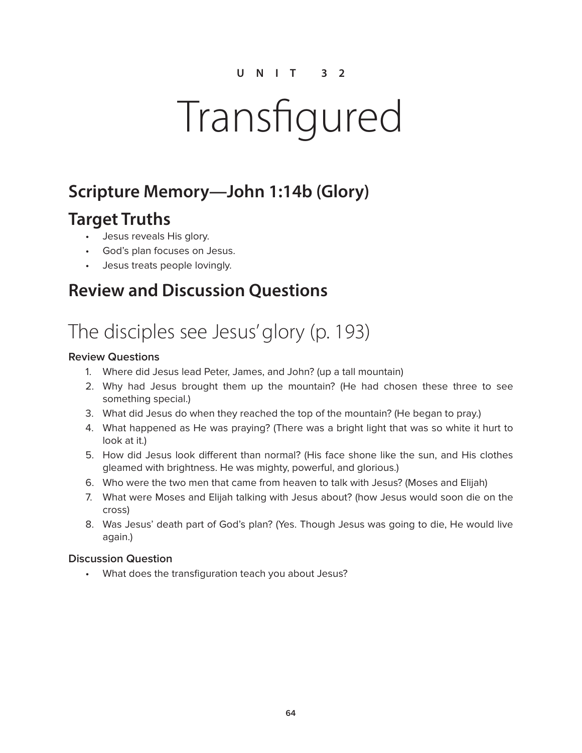# Transfigured

## **Scripture Memory—John 1:14b (Glory)**

### **Target Truths**

- Jesus reveals His glory.
- God's plan focuses on Jesus.
- Jesus treats people lovingly.

### **Review and Discussion Questions**

# The disciples see Jesus' glory (p. 193)

#### **Review Questions**

- 1. Where did Jesus lead Peter, James, and John? (up a tall mountain)
- 2. Why had Jesus brought them up the mountain? (He had chosen these three to see something special.)
- 3. What did Jesus do when they reached the top of the mountain? (He began to pray.)
- 4. What happened as He was praying? (There was a bright light that was so white it hurt to look at it.)
- 5. How did Jesus look different than normal? (His face shone like the sun, and His clothes gleamed with brightness. He was mighty, powerful, and glorious.)
- 6. Who were the two men that came from heaven to talk with Jesus? (Moses and Elijah)
- 7. What were Moses and Elijah talking with Jesus about? (how Jesus would soon die on the cross)
- 8. Was Jesus' death part of God's plan? (Yes. Though Jesus was going to die, He would live again.)

#### **Discussion Question**

• What does the transfiguration teach you about Jesus?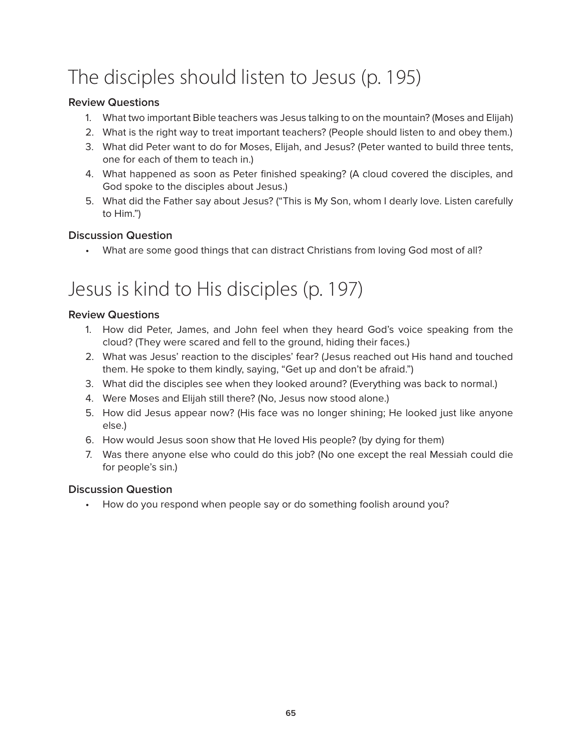# The disciples should listen to Jesus (p. 195)

#### **Review Questions**

- 1. What two important Bible teachers was Jesus talking to on the mountain? (Moses and Elijah)
- 2. What is the right way to treat important teachers? (People should listen to and obey them.)
- 3. What did Peter want to do for Moses, Elijah, and Jesus? (Peter wanted to build three tents, one for each of them to teach in.)
- 4. What happened as soon as Peter finished speaking? (A cloud covered the disciples, and God spoke to the disciples about Jesus.)
- 5. What did the Father say about Jesus? ("This is My Son, whom I dearly love. Listen carefully to Him.")

#### **Discussion Question**

• What are some good things that can distract Christians from loving God most of all?

## Jesus is kind to His disciples (p. 197)

#### **Review Questions**

- 1. How did Peter, James, and John feel when they heard God's voice speaking from the cloud? (They were scared and fell to the ground, hiding their faces.)
- 2. What was Jesus' reaction to the disciples' fear? (Jesus reached out His hand and touched them. He spoke to them kindly, saying, "Get up and don't be afraid.")
- 3. What did the disciples see when they looked around? (Everything was back to normal.)
- 4. Were Moses and Elijah still there? (No, Jesus now stood alone.)
- 5. How did Jesus appear now? (His face was no longer shining; He looked just like anyone else.)
- 6. How would Jesus soon show that He loved His people? (by dying for them)
- 7. Was there anyone else who could do this job? (No one except the real Messiah could die for people's sin.)

#### **Discussion Question**

• How do you respond when people say or do something foolish around you?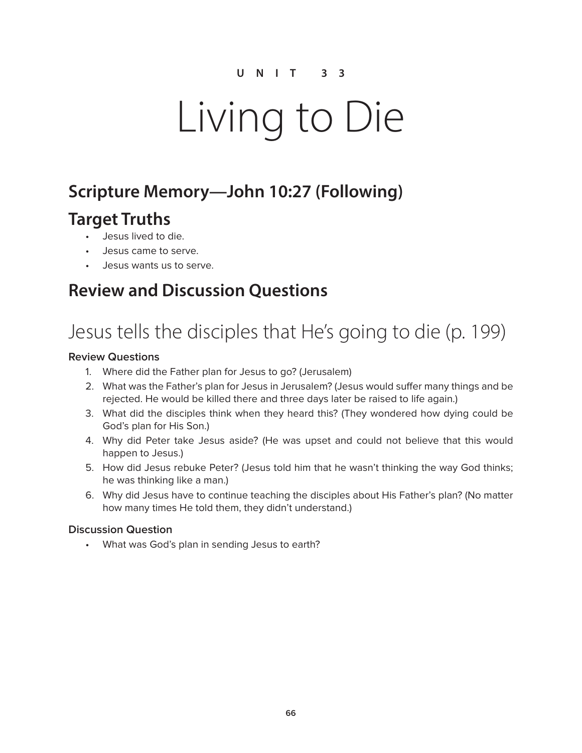# Living to Die

### **Scripture Memory—John 10:27 (Following)**

### **Target Truths**

- Jesus lived to die.
- Jesus came to serve.
- Jesus wants us to serve.

### **Review and Discussion Questions**

# Jesus tells the disciples that He's going to die (p. 199)

#### **Review Questions**

- 1. Where did the Father plan for Jesus to go? (Jerusalem)
- 2. What was the Father's plan for Jesus in Jerusalem? (Jesus would suffer many things and be rejected. He would be killed there and three days later be raised to life again.)
- 3. What did the disciples think when they heard this? (They wondered how dying could be God's plan for His Son.)
- 4. Why did Peter take Jesus aside? (He was upset and could not believe that this would happen to Jesus.)
- 5. How did Jesus rebuke Peter? (Jesus told him that he wasn't thinking the way God thinks; he was thinking like a man.)
- 6. Why did Jesus have to continue teaching the disciples about His Father's plan? (No matter how many times He told them, they didn't understand.)

#### **Discussion Question**

• What was God's plan in sending Jesus to earth?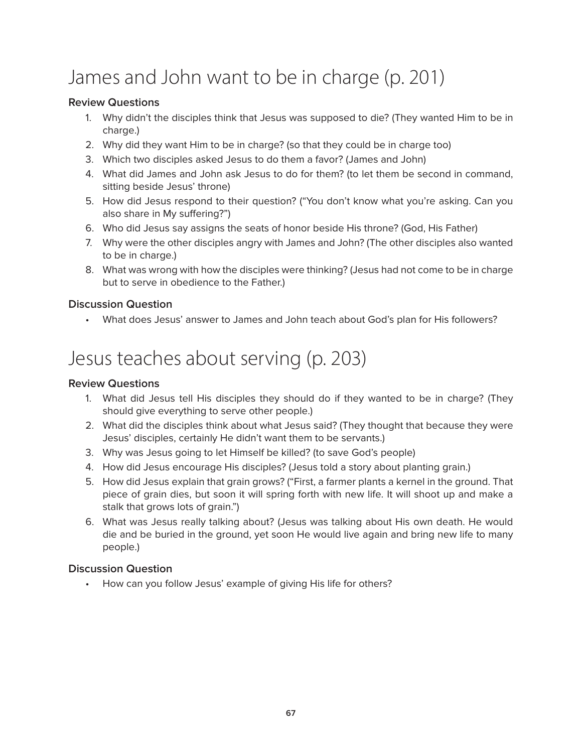# James and John want to be in charge (p. 201)

#### **Review Questions**

- 1. Why didn't the disciples think that Jesus was supposed to die? (They wanted Him to be in charge.)
- 2. Why did they want Him to be in charge? (so that they could be in charge too)
- 3. Which two disciples asked Jesus to do them a favor? (James and John)
- 4. What did James and John ask Jesus to do for them? (to let them be second in command, sitting beside Jesus' throne)
- 5. How did Jesus respond to their question? ("You don't know what you're asking. Can you also share in My suffering?")
- 6. Who did Jesus say assigns the seats of honor beside His throne? (God, His Father)
- 7. Why were the other disciples angry with James and John? (The other disciples also wanted to be in charge.)
- 8. What was wrong with how the disciples were thinking? (Jesus had not come to be in charge but to serve in obedience to the Father.)

#### **Discussion Question**

• What does Jesus' answer to James and John teach about God's plan for His followers?

# Jesus teaches about serving (p. 203)

#### **Review Questions**

- 1. What did Jesus tell His disciples they should do if they wanted to be in charge? (They should give everything to serve other people.)
- 2. What did the disciples think about what Jesus said? (They thought that because they were Jesus' disciples, certainly He didn't want them to be servants.)
- 3. Why was Jesus going to let Himself be killed? (to save God's people)
- 4. How did Jesus encourage His disciples? (Jesus told a story about planting grain.)
- 5. How did Jesus explain that grain grows? ("First, a farmer plants a kernel in the ground. That piece of grain dies, but soon it will spring forth with new life. It will shoot up and make a stalk that grows lots of grain.")
- 6. What was Jesus really talking about? (Jesus was talking about His own death. He would die and be buried in the ground, yet soon He would live again and bring new life to many people.)

#### **Discussion Question**

How can you follow Jesus' example of giving His life for others?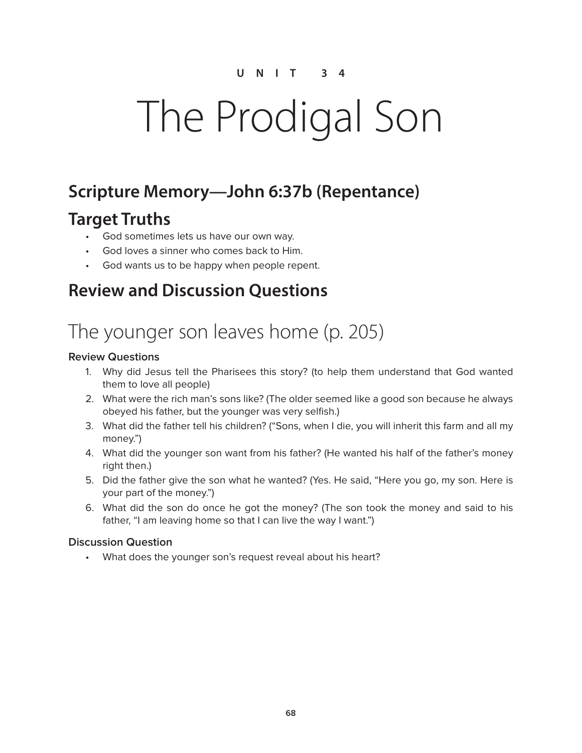# The Prodigal Son

### **Scripture Memory—John 6:37b (Repentance)**

### **Target Truths**

- God sometimes lets us have our own way.
- God loves a sinner who comes back to Him.
- God wants us to be happy when people repent.

### **Review and Discussion Questions**

# The younger son leaves home (p. 205)

#### **Review Questions**

- 1. Why did Jesus tell the Pharisees this story? (to help them understand that God wanted them to love all people)
- 2. What were the rich man's sons like? (The older seemed like a good son because he always obeyed his father, but the younger was very selfish.)
- 3. What did the father tell his children? ("Sons, when I die, you will inherit this farm and all my money.")
- 4. What did the younger son want from his father? (He wanted his half of the father's money right then.)
- 5. Did the father give the son what he wanted? (Yes. He said, "Here you go, my son. Here is your part of the money.")
- 6. What did the son do once he got the money? (The son took the money and said to his father, "I am leaving home so that I can live the way I want.")

#### **Discussion Question**

• What does the younger son's request reveal about his heart?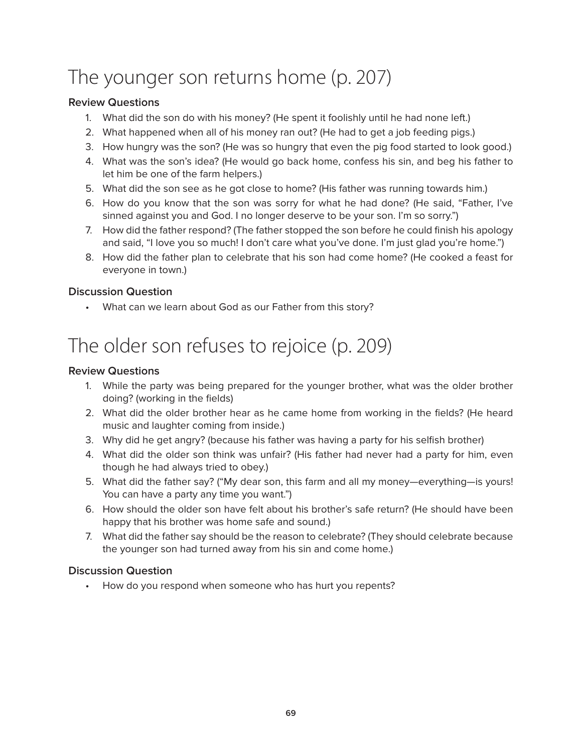# The younger son returns home (p. 207)

#### **Review Questions**

- 1. What did the son do with his money? (He spent it foolishly until he had none left.)
- 2. What happened when all of his money ran out? (He had to get a job feeding pigs.)
- 3. How hungry was the son? (He was so hungry that even the pig food started to look good.)
- 4. What was the son's idea? (He would go back home, confess his sin, and beg his father to let him be one of the farm helpers.)
- 5. What did the son see as he got close to home? (His father was running towards him.)
- 6. How do you know that the son was sorry for what he had done? (He said, "Father, I've sinned against you and God. I no longer deserve to be your son. I'm so sorry.")
- 7. How did the father respond? (The father stopped the son before he could finish his apology and said, "I love you so much! I don't care what you've done. I'm just glad you're home.")
- 8. How did the father plan to celebrate that his son had come home? (He cooked a feast for everyone in town.)

#### **Discussion Question**

• What can we learn about God as our Father from this story?

# The older son refuses to rejoice (p. 209)

#### **Review Questions**

- 1. While the party was being prepared for the younger brother, what was the older brother doing? (working in the fields)
- 2. What did the older brother hear as he came home from working in the fields? (He heard music and laughter coming from inside.)
- 3. Why did he get angry? (because his father was having a party for his selfish brother)
- 4. What did the older son think was unfair? (His father had never had a party for him, even though he had always tried to obey.)
- 5. What did the father say? ("My dear son, this farm and all my money—everything—is yours! You can have a party any time you want.")
- 6. How should the older son have felt about his brother's safe return? (He should have been happy that his brother was home safe and sound.)
- 7. What did the father say should be the reason to celebrate? (They should celebrate because the younger son had turned away from his sin and come home.)

#### **Discussion Question**

How do you respond when someone who has hurt you repents?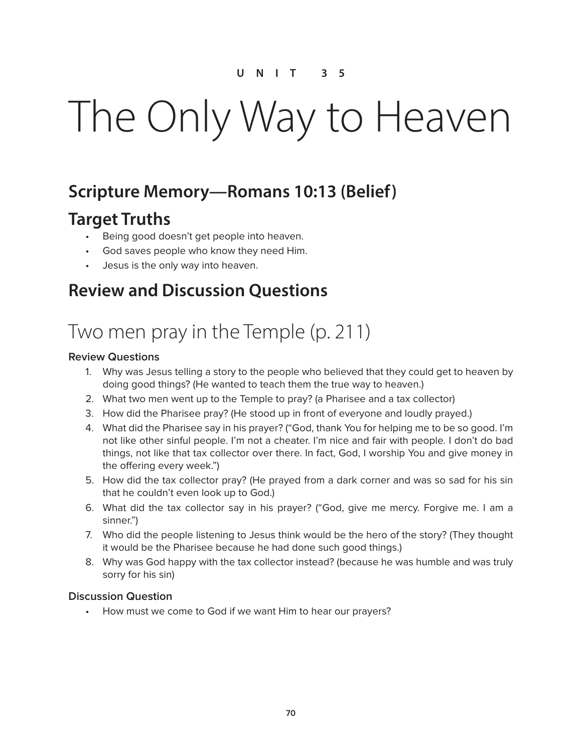# The Only Way to Heaven

### **Scripture Memory—Romans 10:13 (Belief)**

### **Target Truths**

- Being good doesn't get people into heaven.
- God saves people who know they need Him.
- Jesus is the only way into heaven.

### **Review and Discussion Questions**

## Two men pray in the Temple (p. 211)

#### **Review Questions**

- 1. Why was Jesus telling a story to the people who believed that they could get to heaven by doing good things? (He wanted to teach them the true way to heaven.)
- 2. What two men went up to the Temple to pray? (a Pharisee and a tax collector)
- 3. How did the Pharisee pray? (He stood up in front of everyone and loudly prayed.)
- 4. What did the Pharisee say in his prayer? ("God, thank You for helping me to be so good. I'm not like other sinful people. I'm not a cheater. I'm nice and fair with people. I don't do bad things, not like that tax collector over there. In fact, God, I worship You and give money in the offering every week.")
- 5. How did the tax collector pray? (He prayed from a dark corner and was so sad for his sin that he couldn't even look up to God.)
- 6. What did the tax collector say in his prayer? ("God, give me mercy. Forgive me. I am a sinner.")
- 7. Who did the people listening to Jesus think would be the hero of the story? (They thought it would be the Pharisee because he had done such good things.)
- 8. Why was God happy with the tax collector instead? (because he was humble and was truly sorry for his sin)

#### **Discussion Question**

• How must we come to God if we want Him to hear our prayers?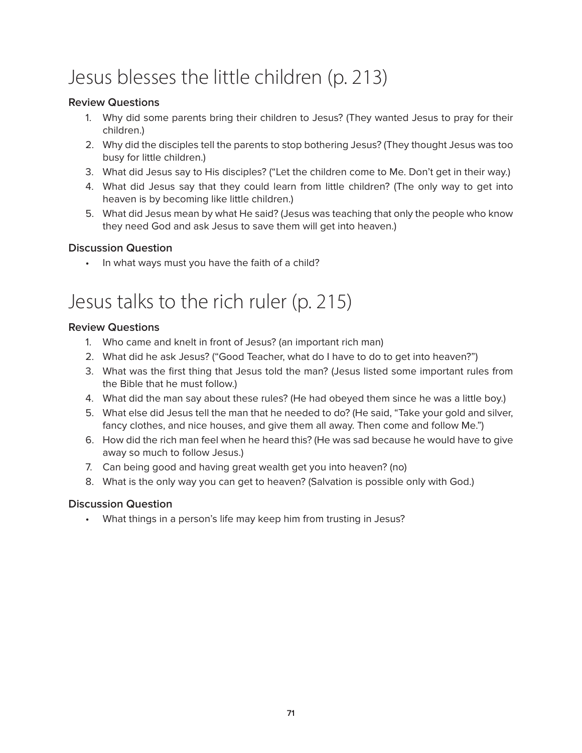# Jesus blesses the little children (p. 213)

#### **Review Questions**

- 1. Why did some parents bring their children to Jesus? (They wanted Jesus to pray for their children.)
- 2. Why did the disciples tell the parents to stop bothering Jesus? (They thought Jesus was too busy for little children.)
- 3. What did Jesus say to His disciples? ("Let the children come to Me. Don't get in their way.)
- 4. What did Jesus say that they could learn from little children? (The only way to get into heaven is by becoming like little children.)
- 5. What did Jesus mean by what He said? (Jesus was teaching that only the people who know they need God and ask Jesus to save them will get into heaven.)

#### **Discussion Question**

• In what ways must you have the faith of a child?

## Jesus talks to the rich ruler (p. 215)

#### **Review Questions**

- 1. Who came and knelt in front of Jesus? (an important rich man)
- 2. What did he ask Jesus? ("Good Teacher, what do I have to do to get into heaven?")
- 3. What was the first thing that Jesus told the man? (Jesus listed some important rules from the Bible that he must follow.)
- 4. What did the man say about these rules? (He had obeyed them since he was a little boy.)
- 5. What else did Jesus tell the man that he needed to do? (He said, "Take your gold and silver, fancy clothes, and nice houses, and give them all away. Then come and follow Me.")
- 6. How did the rich man feel when he heard this? (He was sad because he would have to give away so much to follow Jesus.)
- 7. Can being good and having great wealth get you into heaven? (no)
- 8. What is the only way you can get to heaven? (Salvation is possible only with God.)

#### **Discussion Question**

• What things in a person's life may keep him from trusting in Jesus?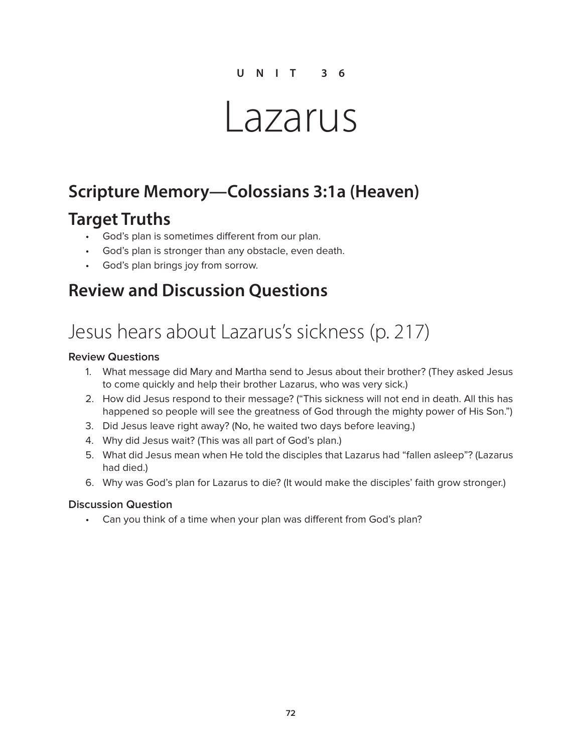# Lazarus

### **Scripture Memory—Colossians 3:1a (Heaven)**

### **Target Truths**

- God's plan is sometimes different from our plan.
- God's plan is stronger than any obstacle, even death.
- God's plan brings joy from sorrow.

### **Review and Discussion Questions**

## Jesus hears about Lazarus's sickness (p. 217)

#### **Review Questions**

- 1. What message did Mary and Martha send to Jesus about their brother? (They asked Jesus to come quickly and help their brother Lazarus, who was very sick.)
- 2. How did Jesus respond to their message? ("This sickness will not end in death. All this has happened so people will see the greatness of God through the mighty power of His Son.")
- 3. Did Jesus leave right away? (No, he waited two days before leaving.)
- 4. Why did Jesus wait? (This was all part of God's plan.)
- 5. What did Jesus mean when He told the disciples that Lazarus had "fallen asleep"? (Lazarus had died.)
- 6. Why was God's plan for Lazarus to die? (It would make the disciples' faith grow stronger.)

#### **Discussion Question**

• Can you think of a time when your plan was different from God's plan?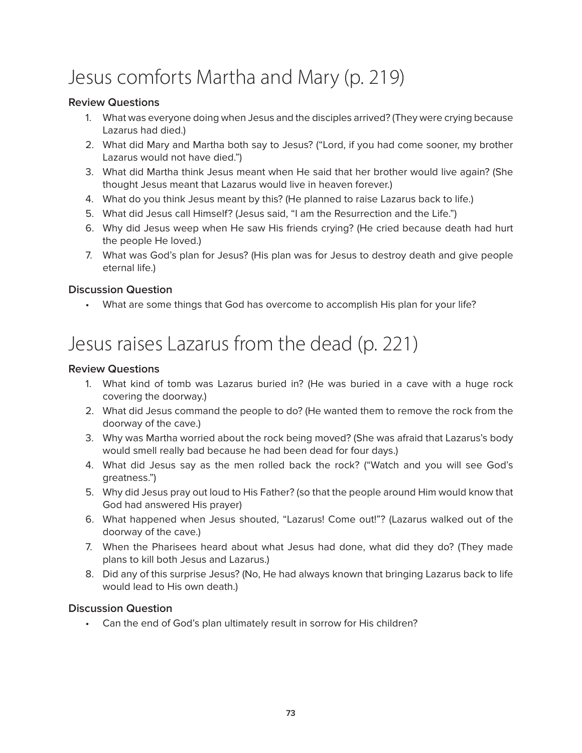# Jesus comforts Martha and Mary (p. 219)

#### **Review Questions**

- 1. What was everyone doing when Jesus and the disciples arrived? (They were crying because Lazarus had died.)
- 2. What did Mary and Martha both say to Jesus? ("Lord, if you had come sooner, my brother Lazarus would not have died.")
- 3. What did Martha think Jesus meant when He said that her brother would live again? (She thought Jesus meant that Lazarus would live in heaven forever.)
- 4. What do you think Jesus meant by this? (He planned to raise Lazarus back to life.)
- 5. What did Jesus call Himself? (Jesus said, "I am the Resurrection and the Life.")
- 6. Why did Jesus weep when He saw His friends crying? (He cried because death had hurt the people He loved.)
- 7. What was God's plan for Jesus? (His plan was for Jesus to destroy death and give people eternal life.)

#### **Discussion Question**

• What are some things that God has overcome to accomplish His plan for your life?

# Jesus raises Lazarus from the dead (p. 221)

#### **Review Questions**

- 1. What kind of tomb was Lazarus buried in? (He was buried in a cave with a huge rock covering the doorway.)
- 2. What did Jesus command the people to do? (He wanted them to remove the rock from the doorway of the cave.)
- 3. Why was Martha worried about the rock being moved? (She was afraid that Lazarus's body would smell really bad because he had been dead for four days.)
- 4. What did Jesus say as the men rolled back the rock? ("Watch and you will see God's greatness.")
- 5. Why did Jesus pray out loud to His Father? (so that the people around Him would know that God had answered His prayer)
- 6. What happened when Jesus shouted, "Lazarus! Come out!"? (Lazarus walked out of the doorway of the cave.)
- 7. When the Pharisees heard about what Jesus had done, what did they do? (They made plans to kill both Jesus and Lazarus.)
- 8. Did any of this surprise Jesus? (No, He had always known that bringing Lazarus back to life would lead to His own death.)

#### **Discussion Question**

• Can the end of God's plan ultimately result in sorrow for His children?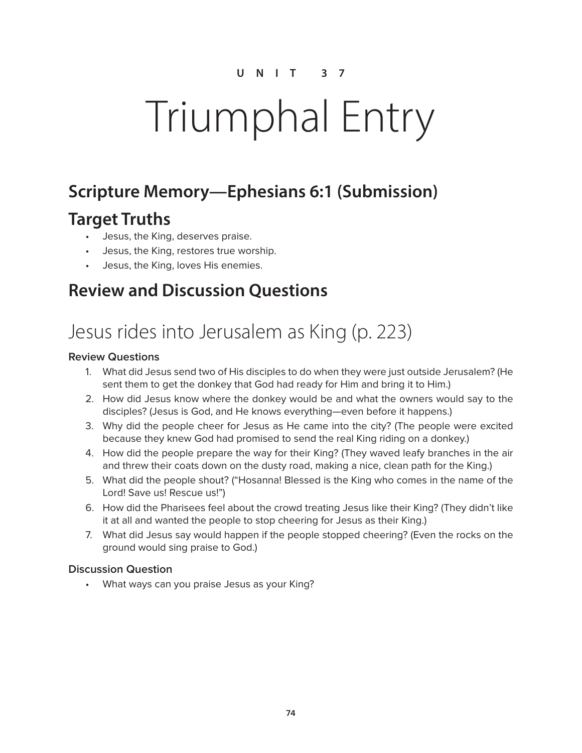# Triumphal Entry

## **Scripture Memory—Ephesians 6:1 (Submission)**

## **Target Truths**

- Jesus, the King, deserves praise.
- Jesus, the King, restores true worship.
- Jesus, the King, loves His enemies.

### **Review and Discussion Questions**

## Jesus rides into Jerusalem as King (p. 223)

#### **Review Questions**

- 1. What did Jesus send two of His disciples to do when they were just outside Jerusalem? (He sent them to get the donkey that God had ready for Him and bring it to Him.)
- 2. How did Jesus know where the donkey would be and what the owners would say to the disciples? (Jesus is God, and He knows everything—even before it happens.)
- 3. Why did the people cheer for Jesus as He came into the city? (The people were excited because they knew God had promised to send the real King riding on a donkey.)
- 4. How did the people prepare the way for their King? (They waved leafy branches in the air and threw their coats down on the dusty road, making a nice, clean path for the King.)
- 5. What did the people shout? ("Hosanna! Blessed is the King who comes in the name of the Lord! Save us! Rescue us!")
- 6. How did the Pharisees feel about the crowd treating Jesus like their King? (They didn't like it at all and wanted the people to stop cheering for Jesus as their King.)
- 7. What did Jesus say would happen if the people stopped cheering? (Even the rocks on the ground would sing praise to God.)

#### **Discussion Question**

• What ways can you praise Jesus as your King?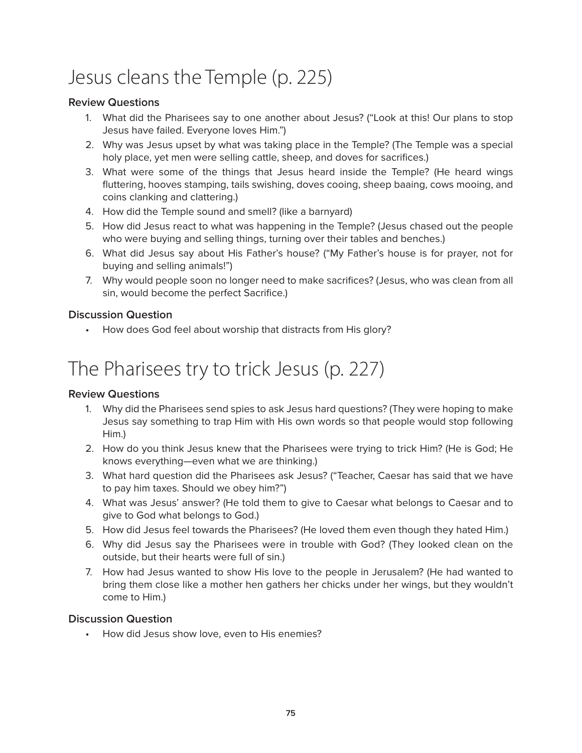# Jesus cleans the Temple (p. 225)

#### **Review Questions**

- 1. What did the Pharisees say to one another about Jesus? ("Look at this! Our plans to stop Jesus have failed. Everyone loves Him.")
- 2. Why was Jesus upset by what was taking place in the Temple? (The Temple was a special holy place, yet men were selling cattle, sheep, and doves for sacrifices.)
- 3. What were some of the things that Jesus heard inside the Temple? (He heard wings fluttering, hooves stamping, tails swishing, doves cooing, sheep baaing, cows mooing, and coins clanking and clattering.)
- 4. How did the Temple sound and smell? (like a barnyard)
- 5. How did Jesus react to what was happening in the Temple? (Jesus chased out the people who were buying and selling things, turning over their tables and benches.)
- 6. What did Jesus say about His Father's house? ("My Father's house is for prayer, not for buying and selling animals!")
- 7. Why would people soon no longer need to make sacrifices? (Jesus, who was clean from all sin, would become the perfect Sacrifice.)

#### **Discussion Question**

• How does God feel about worship that distracts from His glory?

## The Pharisees try to trick Jesus (p. 227)

#### **Review Questions**

- 1. Why did the Pharisees send spies to ask Jesus hard questions? (They were hoping to make Jesus say something to trap Him with His own words so that people would stop following Him.)
- 2. How do you think Jesus knew that the Pharisees were trying to trick Him? (He is God; He knows everything—even what we are thinking.)
- 3. What hard question did the Pharisees ask Jesus? ("Teacher, Caesar has said that we have to pay him taxes. Should we obey him?")
- 4. What was Jesus' answer? (He told them to give to Caesar what belongs to Caesar and to give to God what belongs to God.)
- 5. How did Jesus feel towards the Pharisees? (He loved them even though they hated Him.)
- 6. Why did Jesus say the Pharisees were in trouble with God? (They looked clean on the outside, but their hearts were full of sin.)
- 7. How had Jesus wanted to show His love to the people in Jerusalem? (He had wanted to bring them close like a mother hen gathers her chicks under her wings, but they wouldn't come to Him.)

#### **Discussion Question**

• How did Jesus show love, even to His enemies?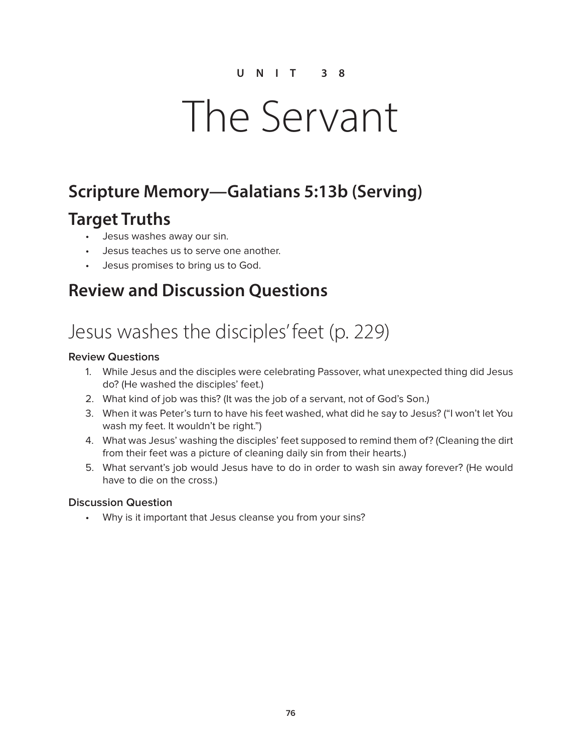# The Servant

## **Scripture Memory—Galatians 5:13b (Serving)**

## **Target Truths**

- Jesus washes away our sin.
- Jesus teaches us to serve one another.
- Jesus promises to bring us to God.

### **Review and Discussion Questions**

# Jesus washes the disciples' feet (p. 229)

#### **Review Questions**

- 1. While Jesus and the disciples were celebrating Passover, what unexpected thing did Jesus do? (He washed the disciples' feet.)
- 2. What kind of job was this? (It was the job of a servant, not of God's Son.)
- 3. When it was Peter's turn to have his feet washed, what did he say to Jesus? ("I won't let You wash my feet. It wouldn't be right.")
- 4. What was Jesus' washing the disciples' feet supposed to remind them of? (Cleaning the dirt from their feet was a picture of cleaning daily sin from their hearts.)
- 5. What servant's job would Jesus have to do in order to wash sin away forever? (He would have to die on the cross.)

#### **Discussion Question**

• Why is it important that Jesus cleanse you from your sins?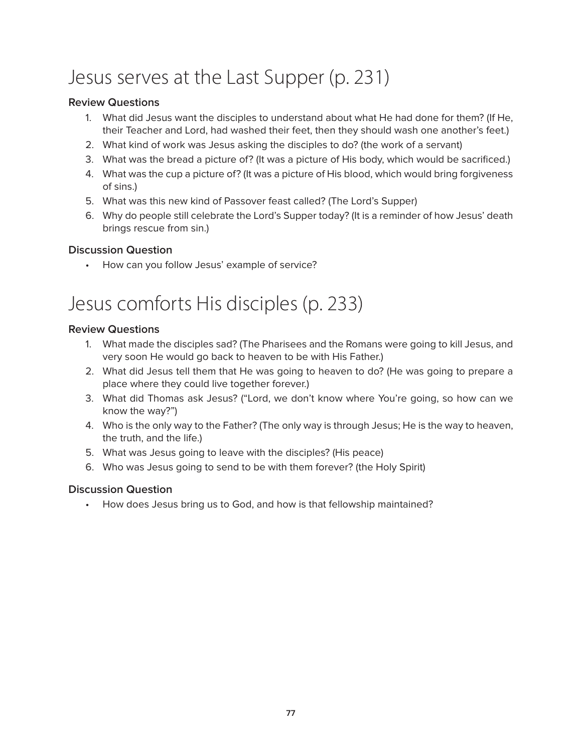# Jesus serves at the Last Supper (p. 231)

#### **Review Questions**

- 1. What did Jesus want the disciples to understand about what He had done for them? (If He, their Teacher and Lord, had washed their feet, then they should wash one another's feet.)
- 2. What kind of work was Jesus asking the disciples to do? (the work of a servant)
- 3. What was the bread a picture of? (It was a picture of His body, which would be sacrificed.)
- 4. What was the cup a picture of? (It was a picture of His blood, which would bring forgiveness of sins.)
- 5. What was this new kind of Passover feast called? (The Lord's Supper)
- 6. Why do people still celebrate the Lord's Supper today? (It is a reminder of how Jesus' death brings rescue from sin.)

#### **Discussion Question**

• How can you follow Jesus' example of service?

## Jesus comforts His disciples (p. 233)

#### **Review Questions**

- 1. What made the disciples sad? (The Pharisees and the Romans were going to kill Jesus, and very soon He would go back to heaven to be with His Father.)
- 2. What did Jesus tell them that He was going to heaven to do? (He was going to prepare a place where they could live together forever.)
- 3. What did Thomas ask Jesus? ("Lord, we don't know where You're going, so how can we know the way?")
- 4. Who is the only way to the Father? (The only way is through Jesus; He is the way to heaven, the truth, and the life.)
- 5. What was Jesus going to leave with the disciples? (His peace)
- 6. Who was Jesus going to send to be with them forever? (the Holy Spirit)

#### **Discussion Question**

• How does Jesus bring us to God, and how is that fellowship maintained?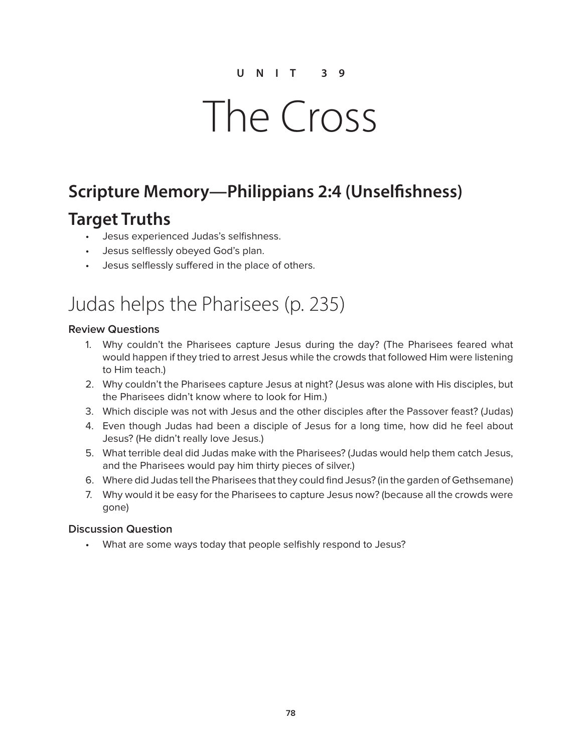# The Cross

## **Scripture Memory—Philippians 2:4 (Unselfishness)**

## **Target Truths**

- Jesus experienced Judas's selfishness.
- Jesus selflessly obeyed God's plan.
- Jesus selflessly suffered in the place of others.

## Judas helps the Pharisees (p. 235)

#### **Review Questions**

- 1. Why couldn't the Pharisees capture Jesus during the day? (The Pharisees feared what would happen if they tried to arrest Jesus while the crowds that followed Him were listening to Him teach.)
- 2. Why couldn't the Pharisees capture Jesus at night? (Jesus was alone with His disciples, but the Pharisees didn't know where to look for Him.)
- 3. Which disciple was not with Jesus and the other disciples after the Passover feast? (Judas)
- 4. Even though Judas had been a disciple of Jesus for a long time, how did he feel about Jesus? (He didn't really love Jesus.)
- 5. What terrible deal did Judas make with the Pharisees? (Judas would help them catch Jesus, and the Pharisees would pay him thirty pieces of silver.)
- 6. Where did Judas tell the Pharisees that they could find Jesus? (in the garden of Gethsemane)
- 7. Why would it be easy for the Pharisees to capture Jesus now? (because all the crowds were gone)

#### **Discussion Question**

• What are some ways today that people selfishly respond to Jesus?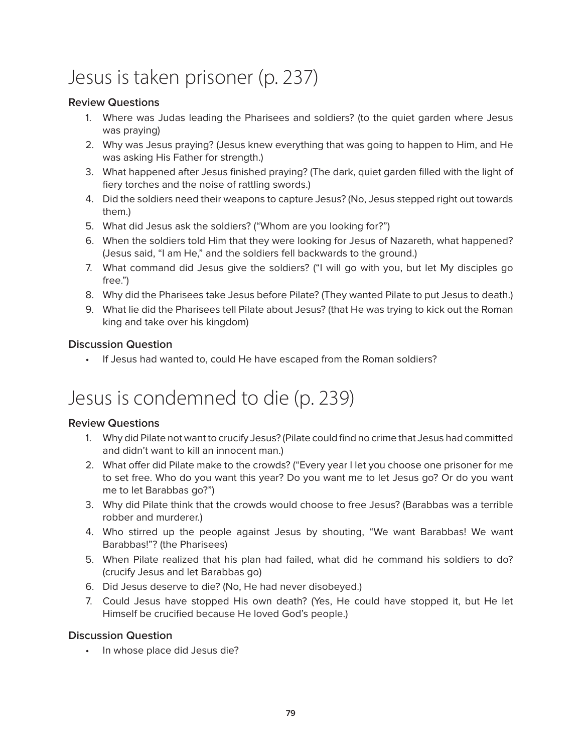# Jesus is taken prisoner (p. 237)

#### **Review Questions**

- 1. Where was Judas leading the Pharisees and soldiers? (to the quiet garden where Jesus was praying)
- 2. Why was Jesus praying? (Jesus knew everything that was going to happen to Him, and He was asking His Father for strength.)
- 3. What happened after Jesus finished praying? (The dark, quiet garden filled with the light of fiery torches and the noise of rattling swords.)
- 4. Did the soldiers need their weapons to capture Jesus? (No, Jesus stepped right out towards them.)
- 5. What did Jesus ask the soldiers? ("Whom are you looking for?")
- 6. When the soldiers told Him that they were looking for Jesus of Nazareth, what happened? (Jesus said, "I am He," and the soldiers fell backwards to the ground.)
- 7. What command did Jesus give the soldiers? ("I will go with you, but let My disciples go free.")
- 8. Why did the Pharisees take Jesus before Pilate? (They wanted Pilate to put Jesus to death.)
- 9. What lie did the Pharisees tell Pilate about Jesus? (that He was trying to kick out the Roman king and take over his kingdom)

#### **Discussion Question**

• If Jesus had wanted to, could He have escaped from the Roman soldiers?

## Jesus is condemned to die (p. 239)

#### **Review Questions**

- 1. Why did Pilate not want to crucify Jesus? (Pilate could find no crime that Jesus had committed and didn't want to kill an innocent man.)
- 2. What offer did Pilate make to the crowds? ("Every year I let you choose one prisoner for me to set free. Who do you want this year? Do you want me to let Jesus go? Or do you want me to let Barabbas go?")
- 3. Why did Pilate think that the crowds would choose to free Jesus? (Barabbas was a terrible robber and murderer.)
- 4. Who stirred up the people against Jesus by shouting, "We want Barabbas! We want Barabbas!"? (the Pharisees)
- 5. When Pilate realized that his plan had failed, what did he command his soldiers to do? (crucify Jesus and let Barabbas go)
- 6. Did Jesus deserve to die? (No, He had never disobeyed.)
- 7. Could Jesus have stopped His own death? (Yes, He could have stopped it, but He let Himself be crucified because He loved God's people.)

#### **Discussion Question**

• In whose place did Jesus die?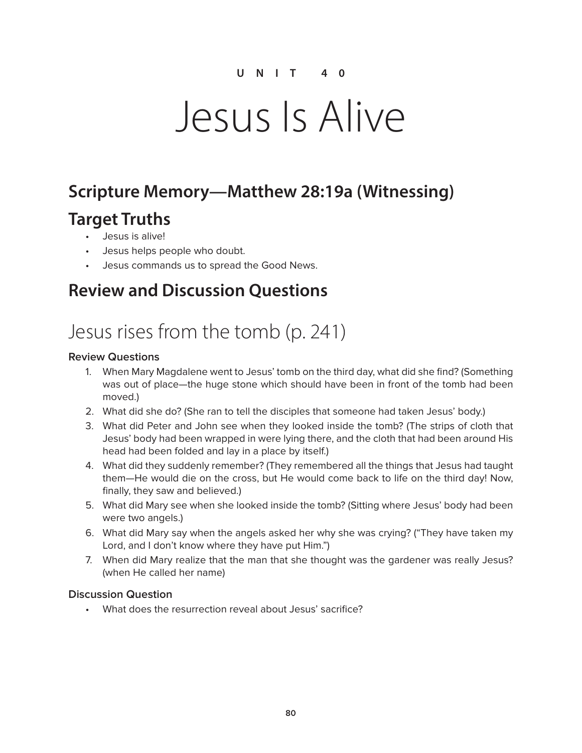# Jesus Is Alive

## **Scripture Memory—Matthew 28:19a (Witnessing)**

## **Target Truths**

- Jesus is alive!
- Jesus helps people who doubt.
- Jesus commands us to spread the Good News.

## **Review and Discussion Questions**

# Jesus rises from the tomb (p. 241)

#### **Review Questions**

- 1. When Mary Magdalene went to Jesus' tomb on the third day, what did she find? (Something was out of place—the huge stone which should have been in front of the tomb had been moved.)
- 2. What did she do? (She ran to tell the disciples that someone had taken Jesus' body.)
- 3. What did Peter and John see when they looked inside the tomb? (The strips of cloth that Jesus' body had been wrapped in were lying there, and the cloth that had been around His head had been folded and lay in a place by itself.)
- 4. What did they suddenly remember? (They remembered all the things that Jesus had taught them—He would die on the cross, but He would come back to life on the third day! Now, finally, they saw and believed.)
- 5. What did Mary see when she looked inside the tomb? (Sitting where Jesus' body had been were two angels.)
- 6. What did Mary say when the angels asked her why she was crying? ("They have taken my Lord, and I don't know where they have put Him.")
- 7. When did Mary realize that the man that she thought was the gardener was really Jesus? (when He called her name)

#### **Discussion Question**

• What does the resurrection reveal about Jesus' sacrifice?